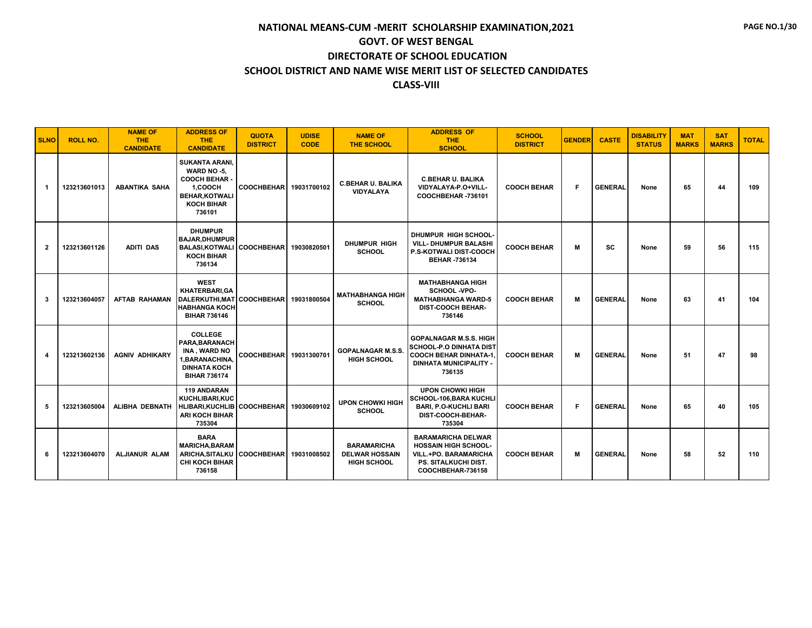| <b>SLNO</b>      | <b>ROLL NO.</b> | <b>NAME OF</b><br><b>THE</b><br><b>CANDIDATE</b> | <b>ADDRESS OF</b><br><b>THE</b><br><b>CANDIDATE</b>                                                                            | <b>QUOTA</b><br><b>DISTRICT</b> | <b>UDISE</b><br><b>CODE</b> | <b>NAME OF</b><br><b>THE SCHOOL</b>                               | <b>ADDRESS OF</b><br><b>THE</b><br><b>SCHOOL</b>                                                                                      | <b>SCHOOL</b><br><b>DISTRICT</b> | <b>GENDER</b> | <b>CASTE</b>   | <b>DISABILITY</b><br><b>STATUS</b> | <b>MAT</b><br><b>MARKS</b> | <b>SAT</b><br><b>MARKS</b> | <b>TOTAL</b> |
|------------------|-----------------|--------------------------------------------------|--------------------------------------------------------------------------------------------------------------------------------|---------------------------------|-----------------------------|-------------------------------------------------------------------|---------------------------------------------------------------------------------------------------------------------------------------|----------------------------------|---------------|----------------|------------------------------------|----------------------------|----------------------------|--------------|
| $\overline{1}$   | 123213601013    | <b>ABANTIKA SAHA</b>                             | <b>SUKANTA ARANI.</b><br>WARD NO -5.<br><b>COOCH BEHAR.</b><br>1.COOCH<br><b>BEHAR, KOTWALI</b><br><b>KOCH BIHAR</b><br>736101 | <b>COOCHBEHAR</b>               | 19031700102                 | <b>C.BEHAR U. BALIKA</b><br><b>VIDYALAYA</b>                      | <b>C.BEHAR U. BALIKA</b><br>VIDYALAYA-P.O+VILL-<br>COOCHBEHAR-736101                                                                  | <b>COOCH BEHAR</b>               | F.            | <b>GENERAL</b> | None                               | 65                         | 44                         | 109          |
| $\mathbf{2}$     | 123213601126    | <b>ADITI DAS</b>                                 | <b>DHUMPUR</b><br><b>BAJAR.DHUMPUR</b><br>BALASI.KOTWALI COOCHBEHAR<br><b>KOCH BIHAR</b><br>736134                             |                                 | 19030820501                 | <b>DHUMPUR HIGH</b><br><b>SCHOOL</b>                              | DHUMPUR HIGH SCHOOL-<br><b>VILL- DHUMPUR BALASHI</b><br>P.S-KOTWALI DIST-COOCH<br><b>BEHAR -736134</b>                                | <b>COOCH BEHAR</b>               | M             | <b>SC</b>      | None                               | 59                         | 56                         | 115          |
| 3                | 123213604057    | <b>AFTAB RAHAMAN</b>                             | <b>WEST</b><br>KHATERBARI, GA<br>DALERKUTHI,MAT COOCHBEHAR<br><b>HABHANGA KOCH</b><br><b>BIHAR 736146</b>                      |                                 | 19031800504                 | <b>MATHABHANGA HIGH</b><br><b>SCHOOL</b>                          | <b>MATHABHANGA HIGH</b><br>SCHOOL -VPO-<br><b>MATHABHANGA WARD-5</b><br><b>DIST-COOCH BEHAR-</b><br>736146                            | <b>COOCH BEHAR</b>               | М             | <b>GENERAL</b> | None                               | 63                         | 41                         | 104          |
| $\boldsymbol{4}$ | 123213602136    | <b>AGNIV ADHIKARY</b>                            | <b>COLLEGE</b><br>PARA, BARANACH<br>INA, WARD NO<br>1.BARANACHINA.<br><b>DINHATA KOCH</b><br><b>BIHAR 736174</b>               | <b>COOCHBEHAR</b>               | 19031300701                 | <b>GOPALNAGAR M.S.S.</b><br><b>HIGH SCHOOL</b>                    | <b>GOPALNAGAR M.S.S. HIGH</b><br>SCHOOL-P.O DINHATA DIST<br><b>COOCH BEHAR DINHATA-1.</b><br><b>DINHATA MUNICIPALITY -</b><br>736135  | <b>COOCH BEHAR</b>               | М             | <b>GENERAL</b> | None                               | 51                         | 47                         | 98           |
| 5                | 123213605004    | <b>ALIBHA DEBNATH</b>                            | <b>119 ANDARAN</b><br><b>KUCHLIBARI.KUC</b><br>HLIBARI, KUCHLIB COOCHBEHAR<br><b>ARI KOCH BIHAR</b><br>735304                  |                                 | 19030609102                 | <b>UPON CHOWKI HIGH</b><br><b>SCHOOL</b>                          | <b>UPON CHOWKI HIGH</b><br>SCHOOL-106, BARA KUCHLI<br><b>BARI, P.O-KUCHLI BARI</b><br>DIST-COOCH-BEHAR-<br>735304                     | <b>COOCH BEHAR</b>               | F.            | <b>GENERAL</b> | None                               | 65                         | 40                         | 105          |
| 6                | 123213604070    | <b>ALJIANUR ALAM</b>                             | <b>BARA</b><br><b>MARICHA, BARAM</b><br><b>ARICHA, SITALKU</b><br><b>CHI KOCH BIHAR</b><br>736158                              | <b>COOCHBEHAR</b>               | 19031008502                 | <b>BARAMARICHA</b><br><b>DELWAR HOSSAIN</b><br><b>HIGH SCHOOL</b> | <b>BARAMARICHA DELWAR</b><br><b>HOSSAIN HIGH SCHOOL-</b><br><b>VILL.+PO. BARAMARICHA</b><br>PS. SITALKUCHI DIST.<br>COOCHBEHAR-736158 | <b>COOCH BEHAR</b>               | М             | <b>GENERAL</b> | None                               | 58                         | 52                         | 110          |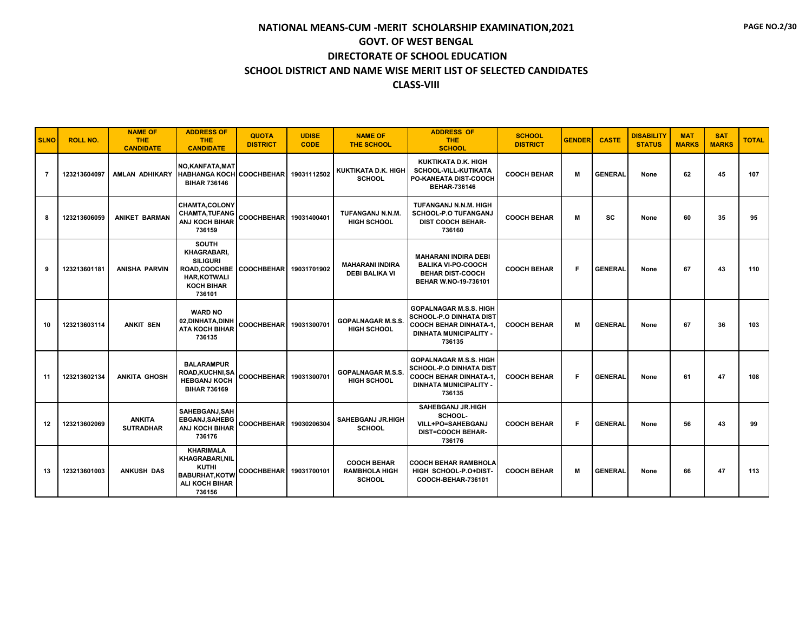| <b>SLNO</b> | <b>ROLL NO.</b> | <b>NAME OF</b><br><b>THE</b><br><b>CANDIDATE</b> | <b>ADDRESS OF</b><br><b>THE</b><br><b>CANDIDATE</b>                                                                         | <b>QUOTA</b><br><b>DISTRICT</b> | <b>UDISE</b><br><b>CODE</b> | <b>NAME OF</b><br><b>THE SCHOOL</b>                         | <b>ADDRESS OF</b><br><b>THE</b><br><b>SCHOOL</b>                                                                                           | <b>SCHOOL</b><br><b>DISTRICT</b> | <b>GENDER</b> | <b>CASTE</b>   | <b>DISABILITY</b><br><b>STATUS</b> | <b>MAT</b><br><b>MARKS</b> | <b>SAT</b><br><b>MARKS</b> | <b>TOTAL</b> |
|-------------|-----------------|--------------------------------------------------|-----------------------------------------------------------------------------------------------------------------------------|---------------------------------|-----------------------------|-------------------------------------------------------------|--------------------------------------------------------------------------------------------------------------------------------------------|----------------------------------|---------------|----------------|------------------------------------|----------------------------|----------------------------|--------------|
| 7           | 123213604097    | AMLAN ADHIKARY                                   | <b>NO.KANFATA.MAT</b><br><b>HABHANGA KOCH</b><br><b>BIHAR 736146</b>                                                        | COOCHBEHAR 19031112502          |                             | KUKTIKATA D.K. HIGH<br><b>SCHOOL</b>                        | KUKTIKATA D.K. HIGH<br>SCHOOL-VILL-KUTIKATA<br>PO-KANEATA DIST-COOCH<br><b>BEHAR-736146</b>                                                | <b>COOCH BEHAR</b>               | М             | <b>GENERAL</b> | None                               | 62                         | 45                         | 107          |
| 8           | 123213606059    | <b>ANIKET BARMAN</b>                             | <b>CHAMTA,COLONY</b><br><b>CHAMTA, TUFANG</b><br>ANJ KOCH BIHAR<br>736159                                                   | COOCHBEHAR 19031400401          |                             | TUFANGANJ N.N.M.<br><b>HIGH SCHOOL</b>                      | TUFANGANJ N.N.M. HIGH<br><b>SCHOOL-P.O TUFANGANJ</b><br><b>DIST COOCH BEHAR-</b><br>736160                                                 | <b>COOCH BEHAR</b>               | M             | <b>SC</b>      | None                               | 60                         | 35                         | 95           |
| 9           | 123213601181    | <b>ANISHA PARVIN</b>                             | <b>SOUTH</b><br>KHAGRABARI,<br><b>SILIGURI</b><br><b>ROAD.COOCHBE</b><br><b>HAR, KOTWALI</b><br><b>KOCH BIHAR</b><br>736101 | COOCHBEHAR 19031701902          |                             | <b>MAHARANI INDIRA</b><br><b>DEBI BALIKA VI</b>             | <b>MAHARANI INDIRA DEBI</b><br><b>BALIKA VI-PO-COOCH</b><br><b>BEHAR DIST-COOCH</b><br>BEHAR W.NO-19-736101                                | <b>COOCH BEHAR</b>               | F.            | <b>GENERAL</b> | None                               | 67                         | 43                         | 110          |
| 10          | 123213603114    | <b>ANKIT SEN</b>                                 | <b>WARD NO</b><br>02, DINHATA, DINH<br><b>ATA KOCH BIHAR</b><br>736135                                                      | COOCHBEHAR 19031300701          |                             | <b>GOPALNAGAR M.S.S.</b><br><b>HIGH SCHOOL</b>              | <b>GOPALNAGAR M.S.S. HIGH</b><br>SCHOOL-P.O DINHATA DIST<br><b>COOCH BEHAR DINHATA-1.</b><br><b>DINHATA MUNICIPALITY -</b><br>736135       | <b>COOCH BEHAR</b>               | M             | <b>GENERAL</b> | None                               | 67                         | 36                         | 103          |
| 11          | 123213602134    | ANKITA GHOSH                                     | <b>BALARAMPUR</b><br>ROAD,KUCHNI,SA<br><b>HEBGANJ KOCH</b><br><b>BIHAR 736169</b>                                           | COOCHBEHAR 19031300701          |                             | <b>GOPALNAGAR M.S.S.</b><br><b>HIGH SCHOOL</b>              | <b>GOPALNAGAR M.S.S. HIGH</b><br><b>SCHOOL-P.O DINHATA DIST</b><br><b>COOCH BEHAR DINHATA-1</b><br><b>DINHATA MUNICIPALITY -</b><br>736135 | <b>COOCH BEHAR</b>               | F.            | <b>GENERAL</b> | None                               | 61                         | 47                         | 108          |
| 12          | 123213602069    | <b>ANKITA</b><br><b>SUTRADHAR</b>                | SAHEBGANJ.SAH<br><b>EBGANJ, SAHEBG</b><br>ANJ KOCH BIHAR<br>736176                                                          | COOCHBEHAR 19030206304          |                             | <b>SAHEBGANJ JR.HIGH</b><br><b>SCHOOL</b>                   | SAHEBGANJ JR.HIGH<br>SCHOOL-<br>VILL+PO=SAHEBGANJ<br><b>DIST=COOCH BEHAR-</b><br>736176                                                    | <b>COOCH BEHAR</b>               | F.            | <b>GENERAL</b> | None                               | 56                         | 43                         | 99           |
| 13          | 123213601003    | <b>ANKUSH DAS</b>                                | <b>KHARIMALA</b><br><b>KHAGRABARI, NIL</b><br><b>KUTHI</b><br><b>BABURHAT, KOTW</b><br><b>ALI KOCH BIHAR</b><br>736156      | COOCHBEHAR 19031700101          |                             | <b>COOCH BEHAR</b><br><b>RAMBHOLA HIGH</b><br><b>SCHOOL</b> | <b>COOCH BEHAR RAMBHOLA</b><br>HIGH SCHOOL-P.O+DIST-<br>COOCH-BEHAR-736101                                                                 | <b>COOCH BEHAR</b>               | М             | <b>GENERAL</b> | None                               | 66                         | 47                         | 113          |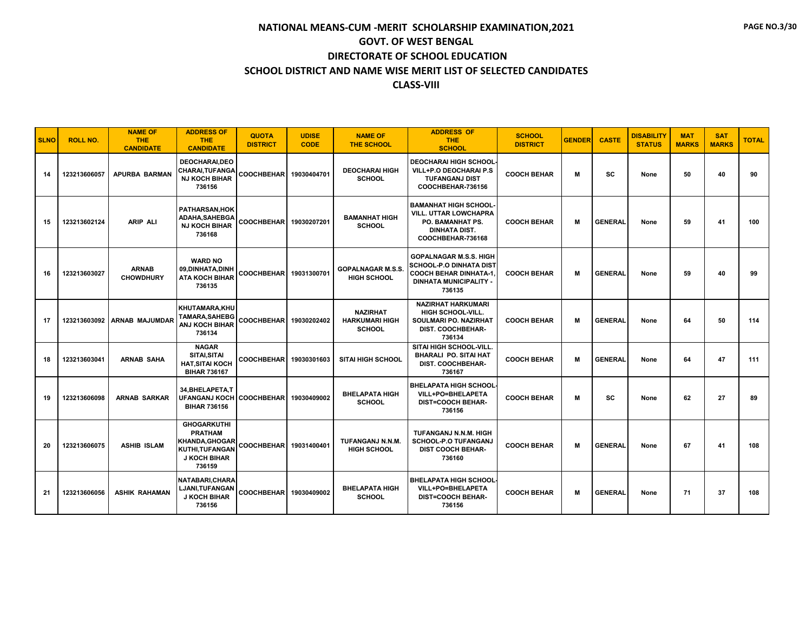| <b>SLNO</b> | <b>ROLL NO.</b> | <b>NAME OF</b><br>THE.<br><b>CANDIDATE</b> | <b>ADDRESS OF</b><br><b>THE</b><br><b>CANDIDATE</b>                                                       | <b>QUOTA</b><br><b>DISTRICT</b> | <b>UDISE</b><br><b>CODE</b> | <b>NAME OF</b><br><b>THE SCHOOL</b>                       | <b>ADDRESS OF</b><br><b>THE</b><br><b>SCHOOL</b>                                                                                           | <b>SCHOOL</b><br><b>DISTRICT</b> | <b>GENDER</b> | <b>CASTE</b>   | <b>DISABILITY</b><br><b>STATUS</b> | <b>MAT</b><br><b>MARKS</b> | <b>SAT</b><br><b>MARKS</b> | <b>TOTAL</b> |
|-------------|-----------------|--------------------------------------------|-----------------------------------------------------------------------------------------------------------|---------------------------------|-----------------------------|-----------------------------------------------------------|--------------------------------------------------------------------------------------------------------------------------------------------|----------------------------------|---------------|----------------|------------------------------------|----------------------------|----------------------------|--------------|
| 14          | 123213606057    | <b>APURBA BARMAN</b>                       | <b>DEOCHARAI.DEO</b><br>CHARAI, TUFANGA<br><b>NJ KOCH BIHAR</b><br>736156                                 | COOCHBEHAR 19030404701          |                             | <b>DEOCHARAI HIGH</b><br><b>SCHOOL</b>                    | <b>DEOCHARAI HIGH SCHOOL</b><br>VILL+P.O DEOCHARAI P.S<br><b>TUFANGANJ DIST</b><br>COOCHBEHAR-736156                                       | <b>COOCH BEHAR</b>               | М             | sc             | None                               | 50                         | 40                         | 90           |
| 15          | 123213602124    | <b>ARIP ALI</b>                            | <b>PATHARSAN.HOK</b><br>ADAHA, SAHEBGA<br><b>NJ KOCH BIHAR</b><br>736168                                  | COOCHBEHAR 19030207201          |                             | <b>BAMANHAT HIGH</b><br><b>SCHOOL</b>                     | <b>BAMANHAT HIGH SCHOOL-</b><br><b>VILL. UTTAR LOWCHAPRA</b><br><b>PO. BAMANHAT PS.</b><br><b>DINHATA DIST.</b><br>COOCHBEHAR-736168       | <b>COOCH BEHAR</b>               | м             | <b>GENERAL</b> | None                               | 59                         | 41                         | 100          |
| 16          | 123213603027    | <b>ARNAB</b><br><b>CHOWDHURY</b>           | <b>WARD NO</b><br>09, DINHATA, DINH<br><b>ATA KOCH BIHAR</b><br>736135                                    | COOCHBEHAR 19031300701          |                             | <b>GOPALNAGAR M.S.S</b><br><b>HIGH SCHOOL</b>             | <b>GOPALNAGAR M.S.S. HIGH</b><br><b>SCHOOL-P.O DINHATA DIST</b><br><b>COOCH BEHAR DINHATA-1</b><br><b>DINHATA MUNICIPALITY -</b><br>736135 | <b>COOCH BEHAR</b>               | м             | <b>GENERAL</b> | None                               | 59                         | 40                         | 99           |
| 17          |                 | 123213603092 ARNAB MAJUMDAR                | KHUTAMARA, KHU<br><b>TAMARA, SAHEBG</b><br><b>ANJ KOCH BIHAR</b><br>736134                                | COOCHBEHAR 19030202402          |                             | <b>NAZIRHAT</b><br><b>HARKUMARI HIGH</b><br><b>SCHOOL</b> | <b>NAZIRHAT HARKUMARI</b><br><b>HIGH SCHOOL-VILL.</b><br>SOULMARI PO. NAZIRHAT<br><b>DIST. COOCHBEHAR-</b><br>736134                       | <b>COOCH BEHAR</b>               | М             | <b>GENERAL</b> | None                               | 64                         | 50                         | 114          |
| 18          | 123213603041    | <b>ARNAB SAHA</b>                          | <b>NAGAR</b><br>SITAI, SITAI<br><b>HAT, SITAI KOCH</b><br><b>BIHAR 736167</b>                             | <b>COOCHBEHAR</b>               | 19030301603                 | <b>SITAI HIGH SCHOOL</b>                                  | SITAI HIGH SCHOOL-VILL<br><b>BHARALI PO. SITAI HAT</b><br><b>DIST. COOCHBEHAR-</b><br>736167                                               | <b>COOCH BEHAR</b>               | М             | <b>GENERAL</b> | None                               | 64                         | 47                         | 111          |
| 19          | 123213606098    | <b>ARNAB SARKAR</b>                        | 34.BHELAPETA.T<br>UFANGANJ KOCH COOCHBEHAR 19030409002<br><b>BIHAR 736156</b>                             |                                 |                             | <b>BHELAPATA HIGH</b><br><b>SCHOOL</b>                    | <b>BHELAPATA HIGH SCHOOL-</b><br>VILL+PO=BHELAPETA<br><b>DIST=COOCH BEHAR-</b><br>736156                                                   | <b>COOCH BEHAR</b>               | M             | <b>SC</b>      | None                               | 62                         | 27                         | 89           |
| 20          | 123213606075    | <b>ASHIB ISLAM</b>                         | <b>GHOGARKUTHI</b><br><b>PRATHAM</b><br>KHANDA, GHOGAR<br>KUTHI.TUFANGAN<br><b>J KOCH BIHAR</b><br>736159 | COOCHBEHAR 19031400401          |                             | TUFANGANJ N.N.M.<br><b>HIGH SCHOOL</b>                    | TUFANGANJ N.N.M. HIGH<br><b>SCHOOL-P.O TUFANGANJ</b><br><b>DIST COOCH BEHAR-</b><br>736160                                                 | <b>COOCH BEHAR</b>               | м             | <b>GENERAL</b> | None                               | 67                         | 41                         | 108          |
| 21          | 123213606056    | <b>ASHIK RAHAMAN</b>                       | NATABARI, CHARA<br>LJANI,TUFANGAN<br><b>J KOCH BIHAR</b><br>736156                                        | COOCHBEHAR 19030409002          |                             | <b>BHELAPATA HIGH</b><br><b>SCHOOL</b>                    | <b>BHELAPATA HIGH SCHOOL-</b><br>VILL+PO=BHELAPETA<br><b>DIST=COOCH BEHAR-</b><br>736156                                                   | <b>COOCH BEHAR</b>               | м             | <b>GENERAL</b> | None                               | 71                         | 37                         | 108          |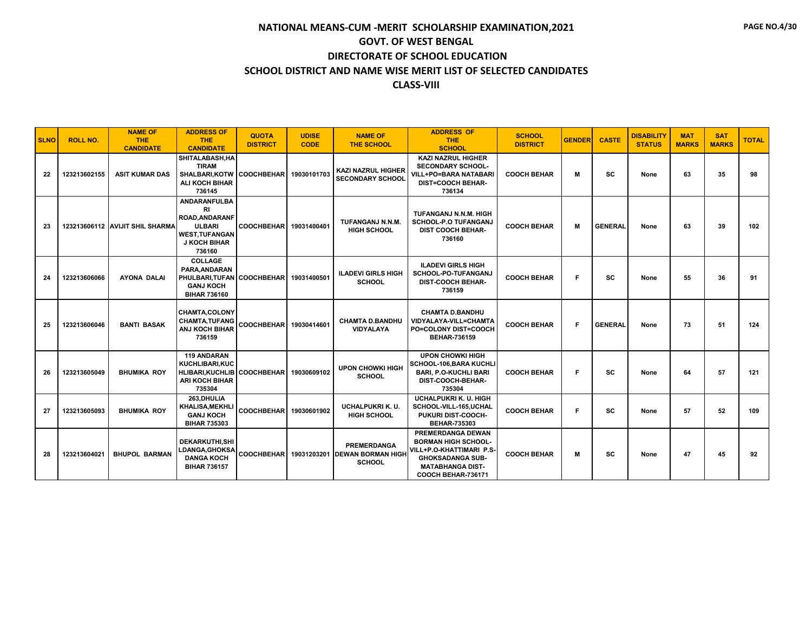| <b>SLNO</b> | <b>ROLL NO.</b> | <b>NAME OF</b><br><b>THE</b><br><b>CANDIDATE</b> | <b>ADDRESS OF</b><br><b>THE</b><br><b>CANDIDATE</b>                                                                   | <b>QUOTA</b><br><b>DISTRICT</b> | <b>UDISE</b><br><b>CODE</b> | <b>NAME OF</b><br><b>THE SCHOOL</b>                                             | <b>ADDRESS OF</b><br><b>THE</b><br><b>SCHOOL</b>                                                                                                                      | <b>SCHOOL</b><br><b>DISTRICT</b> | <b>GENDER</b> | <b>CASTE</b>   | <b>DISABILITY</b><br><b>STATUS</b> | <b>MAT</b><br><b>MARKS</b> | <b>SAT</b><br><b>MARKS</b> | <b>TOTAL</b> |
|-------------|-----------------|--------------------------------------------------|-----------------------------------------------------------------------------------------------------------------------|---------------------------------|-----------------------------|---------------------------------------------------------------------------------|-----------------------------------------------------------------------------------------------------------------------------------------------------------------------|----------------------------------|---------------|----------------|------------------------------------|----------------------------|----------------------------|--------------|
| 22          | 123213602155    | <b>ASIT KUMAR DAS</b>                            | SHITALABASH, HA<br><b>TIRAM</b><br>SHALBARI.KOTW COOCHBEHAR 19030101703<br><b>ALI KOCH BIHAR</b><br>736145            |                                 |                             | <b>KAZI NAZRUL HIGHER</b><br><b>SECONDARY SCHOOL</b>                            | <b>KAZI NAZRUL HIGHER</b><br><b>SECONDARY SCHOOL-</b><br><b>VILL+PO=BARA NATABARI</b><br><b>DIST=COOCH BEHAR-</b><br>736134                                           | <b>COOCH BEHAR</b>               | М             | <b>SC</b>      | None                               | 63                         | 35                         | 98           |
| 23          |                 | 123213606112 AVIJIT SHIL SHARMA                  | <b>ANDARANFULBA</b><br>RI<br>ROAD, ANDARANF<br><b>ULBARI</b><br><b>WEST.TUFANGAN</b><br><b>J KOCH BIHAR</b><br>736160 | <b>COOCHBEHAR</b>               | 19031400401                 | TUFANGANJ N.N.M.<br><b>HIGH SCHOOL</b>                                          | TUFANGANJ N.N.M. HIGH<br><b>SCHOOL-P.O TUFANGANJ</b><br><b>DIST COOCH BEHAR-</b><br>736160                                                                            | <b>COOCH BEHAR</b>               | M             | <b>GENERAL</b> | None                               | 63                         | 39                         | 102          |
| 24          | 123213606066    | <b>AYONA DALAI</b>                               | <b>COLLAGE</b><br>PARA.ANDARAN<br>PHULBARI.TUFAN COOCHBEHAR 19031400501<br><b>GANJ KOCH</b><br><b>BIHAR 736160</b>    |                                 |                             | <b>ILADEVI GIRLS HIGH</b><br><b>SCHOOL</b>                                      | <b>ILADEVI GIRLS HIGH</b><br>SCHOOL-PO-TUFANGANJ<br><b>DIST-COOCH BEHAR-</b><br>736159                                                                                | <b>COOCH BEHAR</b>               | F.            | <b>SC</b>      | None                               | 55                         | 36                         | 91           |
| 25          | 123213606046    | <b>BANTI BASAK</b>                               | <b>CHAMTA,COLONY</b><br>CHAMTA, TUFANG<br><b>ANJ KOCH BIHAR</b><br>736159                                             | <b>COOCHBEHAR</b>               | 19030414601                 | <b>CHAMTA D.BANDHU</b><br><b>VIDYALAYA</b>                                      | <b>CHAMTA D.BANDHU</b><br>VIDYALAYA-VILL=CHAMTA<br>PO=COLONY DIST=COOCH<br><b>BEHAR-736159</b>                                                                        | <b>COOCH BEHAR</b>               | F.            | <b>GENERAL</b> | None                               | 73                         | 51                         | 124          |
| 26          | 123213605049    | <b>BHUMIKA ROY</b>                               | <b>119 ANDARAN</b><br><b>KUCHLIBARI.KUC</b><br><b>HLIBARI, KUCHLIB</b><br><b>ARI KOCH BIHAR</b><br>735304             | <b>COOCHBEHAR</b>               | 19030609102                 | <b>UPON CHOWKI HIGH</b><br><b>SCHOOL</b>                                        | <b>UPON CHOWKI HIGH</b><br>SCHOOL-106, BARA KUCHLI<br><b>BARI, P.O-KUCHLI BARI</b><br>DIST-COOCH-BEHAR-<br>735304                                                     | <b>COOCH BEHAR</b>               | Е             | SC             | None                               | 64                         | 57                         | 121          |
| 27          | 123213605093    | <b>BHUMIKA ROY</b>                               | 263, DHULIA<br><b>KHALISA, MEKHLI</b><br><b>GANJ KOCH</b><br><b>BIHAR 735303</b>                                      | <b>COOCHBEHAR</b>               | 19030601902                 | <b>UCHALPUKRI K. U.</b><br><b>HIGH SCHOOL</b>                                   | <b>UCHALPUKRI K. U. HIGH</b><br>SCHOOL-VILL-165,UCHAL<br><b>PUKURI DIST-COOCH-</b><br><b>BEHAR-735303</b>                                                             | <b>COOCH BEHAR</b>               | Е             | <b>SC</b>      | None                               | 57                         | 52                         | 109          |
| 28          | 123213604021    | <b>BHUPOL BARMAN</b>                             | <b>DEKARKUTHI.SHI</b><br><b>LDANGA,GHOKSA</b><br><b>DANGA KOCH</b><br><b>BIHAR 736157</b>                             |                                 |                             | <b>PREMERDANGA</b><br>COOCHBEHAR 19031203201 DEWAN BORMAN HIGH<br><b>SCHOOL</b> | <b>PREMERDANGA DEWAN</b><br><b>BORMAN HIGH SCHOOL-</b><br>VILL+P.O-KHATTIMARI P.S-<br><b>GHOKSADANGA SUB-</b><br><b>MATABHANGA DIST-</b><br><b>COOCH BEHAR-736171</b> | <b>COOCH BEHAR</b>               | M             | <b>SC</b>      | None                               | 47                         | 45                         | 92           |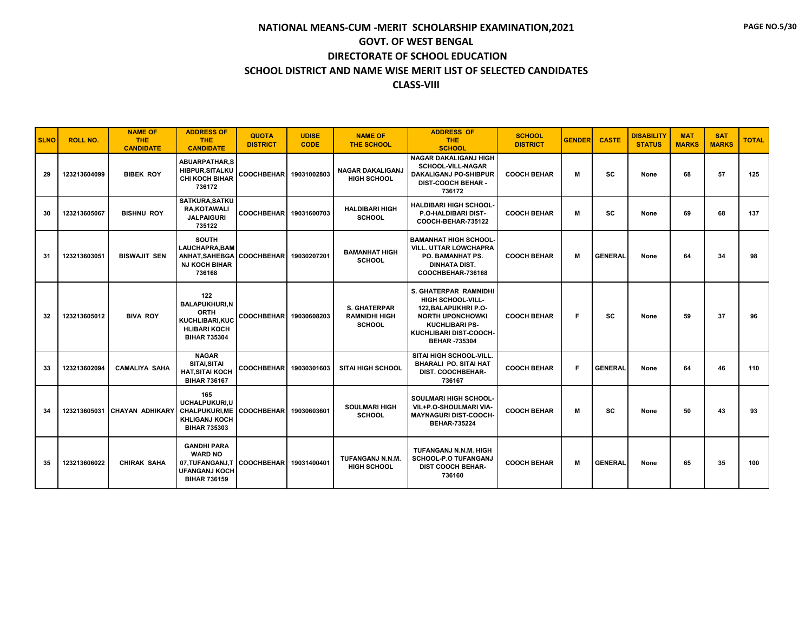| <b>SLNO</b> | <b>ROLL NO.</b> | <b>NAME OF</b><br><b>THE</b><br><b>CANDIDATE</b> | <b>ADDRESS OF</b><br><b>THE</b><br><b>CANDIDATE</b>                                                               | <b>QUOTA</b><br><b>DISTRICT</b> | <b>UDISE</b><br><b>CODE</b> | <b>NAME OF</b><br><b>THE SCHOOL</b>                          | <b>ADDRESS OF</b><br><b>THE</b><br><b>SCHOOL</b>                                                                                                                               | <b>SCHOOL</b><br><b>DISTRICT</b> | <b>GENDER</b> | <b>CASTE</b>   | <b>DISABILITY</b><br><b>STATUS</b> | <b>MAT</b><br><b>MARKS</b> | <b>SAT</b><br><b>MARKS</b> | <b>TOTAL</b> |
|-------------|-----------------|--------------------------------------------------|-------------------------------------------------------------------------------------------------------------------|---------------------------------|-----------------------------|--------------------------------------------------------------|--------------------------------------------------------------------------------------------------------------------------------------------------------------------------------|----------------------------------|---------------|----------------|------------------------------------|----------------------------|----------------------------|--------------|
| 29          | 123213604099    | <b>BIBEK ROY</b>                                 | <b>ABUARPATHAR,S</b><br><b>HIBPUR, SITALKU</b><br><b>CHI KOCH BIHAR</b><br>736172                                 | COOCHBEHAR 19031002803          |                             | <b>NAGAR DAKALIGANJ</b><br><b>HIGH SCHOOL</b>                | <b>NAGAR DAKALIGANJ HIGH</b><br><b>SCHOOL-VILL-NAGAR</b><br><b>DAKALIGANJ PO-SHIBPUR</b><br><b>DIST-COOCH BEHAR -</b><br>736172                                                | <b>COOCH BEHAR</b>               | м             | SC             | None                               | 68                         | 57                         | 125          |
| 30          | 123213605067    | <b>BISHNU ROY</b>                                | SATKURA, SATKU<br><b>RA,KOTAWALI</b><br><b>JALPAIGURI</b><br>735122                                               | COOCHBEHAR 19031600703          |                             | <b>HALDIBARI HIGH</b><br><b>SCHOOL</b>                       | <b>HALDIBARI HIGH SCHOOL-</b><br><b>P.O-HALDIBARI DIST-</b><br>COOCH-BEHAR-735122                                                                                              | <b>COOCH BEHAR</b>               | м             | SC             | None                               | 69                         | 68                         | 137          |
| 31          | 123213603051    | <b>BISWAJIT SEN</b>                              | <b>SOUTH</b><br><b>LAUCHAPRA.BAM</b><br>ANHAT.SAHEBGA<br><b>NJ KOCH BIHAR</b><br>736168                           | COOCHBEHAR 19030207201          |                             | <b>BAMANHAT HIGH</b><br><b>SCHOOL</b>                        | <b>BAMANHAT HIGH SCHOOL-</b><br><b>VILL. UTTAR LOWCHAPRA</b><br>PO. BAMANHAT PS.<br><b>DINHATA DIST.</b><br>COOCHBEHAR-736168                                                  | <b>COOCH BEHAR</b>               | M             | <b>GENERAL</b> | None                               | 64                         | 34                         | 98           |
| 32          | 123213605012    | <b>BIVA ROY</b>                                  | 122<br><b>BALAPUKHURI,N</b><br><b>ORTH</b><br><b>KUCHLIBARI.KUC</b><br><b>HLIBARI KOCH</b><br><b>BIHAR 735304</b> | <b>COOCHBEHARI</b>              | 19030608203                 | <b>S. GHATERPAR</b><br><b>RAMNIDHI HIGH</b><br><b>SCHOOL</b> | <b>S. GHATERPAR RAMNIDHI</b><br>HIGH SCHOOL-VILL-<br>122. BALAPUKHRI P.O-<br><b>NORTH UPONCHOWKI</b><br><b>KUCHLIBARI PS-</b><br>KUCHLIBARI DIST-COOCH-<br><b>BEHAR-735304</b> | <b>COOCH BEHAR</b>               | F.            | SC             | None                               | 59                         | 37                         | 96           |
| 33          | 123213602094    | <b>CAMALIYA SAHA</b>                             | <b>NAGAR</b><br>SITAI, SITAI<br><b>HAT.SITAI KOCH</b><br><b>BIHAR 736167</b>                                      | COOCHBEHAR 19030301603          |                             | <b>SITAI HIGH SCHOOL</b>                                     | <b>SITAI HIGH SCHOOL-VILL</b><br><b>BHARALI PO. SITAI HAT</b><br><b>DIST. COOCHBEHAR-</b><br>736167                                                                            | <b>COOCH BEHAR</b>               | F             | <b>GENERAL</b> | None                               | 64                         | 46                         | 110          |
| 34          | 123213605031    | CHAYAN ADHIKARY                                  | 165<br>UCHALPUKURI.U<br><b>CHALPUKURI.ME</b><br><b>KHLIGANJ KOCH</b><br><b>BIHAR 735303</b>                       | COOCHBEHAR 19030603601          |                             | <b>SOULMARI HIGH</b><br><b>SCHOOL</b>                        | <b>SOULMARI HIGH SCHOOL-</b><br>VIL+P.O-SHOULMARI VIA-<br><b>MAYNAGURI DIST-COOCH-</b><br><b>BEHAR-735224</b>                                                                  | <b>COOCH BEHAR</b>               | M             | SC             | None                               | 50                         | 43                         | 93           |
| 35          | 123213606022    | <b>CHIRAK SAHA</b>                               | <b>GANDHI PARA</b><br><b>WARD NO</b><br>07.TUFANGANJ.T<br><b>UFANGANJ KOCH</b><br><b>BIHAR 736159</b>             | COOCHBEHAR 19031400401          |                             | TUFANGANJ N.N.M.<br><b>HIGH SCHOOL</b>                       | TUFANGANJ N.N.M. HIGH<br><b>SCHOOL-P.O TUFANGANJ</b><br><b>DIST COOCH BEHAR-</b><br>736160                                                                                     | <b>COOCH BEHAR</b>               | М             | <b>GENERAL</b> | None                               | 65                         | 35                         | 100          |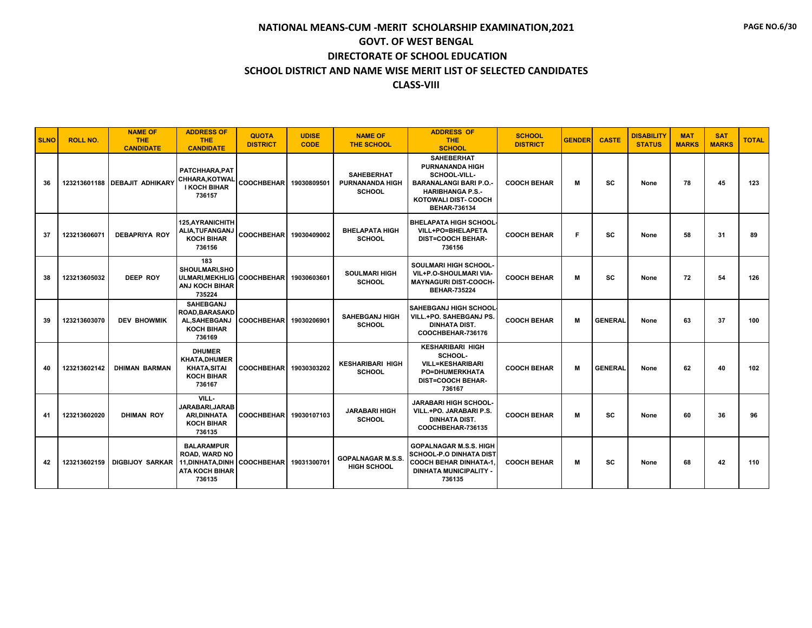| <b>SLNO</b> | <b>ROLL NO.</b> | <b>NAME OF</b><br><b>THE</b><br><b>CANDIDATE</b> | <b>ADDRESS OF</b><br><b>THE</b><br><b>CANDIDATE</b>                                                  | <b>QUOTA</b><br><b>DISTRICT</b> | <b>UDISE</b><br><b>CODE</b> | <b>NAME OF</b><br><b>THE SCHOOL</b>                          | <b>ADDRESS OF</b><br><b>THE</b><br><b>SCHOOL</b>                                                                                                                      | <b>SCHOOL</b><br><b>DISTRICT</b> | <b>GENDER</b> | <b>CASTE</b>   | <b>DISABILITY</b><br><b>STATUS</b> | <b>MAT</b><br><b>MARKS</b> | <b>SAT</b><br><b>MARKS</b> | <b>TOTAL</b> |
|-------------|-----------------|--------------------------------------------------|------------------------------------------------------------------------------------------------------|---------------------------------|-----------------------------|--------------------------------------------------------------|-----------------------------------------------------------------------------------------------------------------------------------------------------------------------|----------------------------------|---------------|----------------|------------------------------------|----------------------------|----------------------------|--------------|
| 36          |                 | 123213601188 DEBAJIT ADHIKARY                    | PATCHHARA, PAT<br>CHHARA, KOTWAL<br><b>I KOCH BIHAR</b><br>736157                                    | COOCHBEHAR 19030809501          |                             | <b>SAHEBERHAT</b><br><b>PURNANANDA HIGH</b><br><b>SCHOOL</b> | <b>SAHEBERHAT</b><br><b>PURNANANDA HIGH</b><br>SCHOOL-VILL-<br><b>BARANALANGI BARI P.O.</b><br><b>HARIBHANGA P.S.-</b><br>KOTOWALI DIST- COOCH<br><b>BEHAR-736134</b> | <b>COOCH BEHAR</b>               | м             | <b>SC</b>      | None                               | 78                         | 45                         | 123          |
| -37         | 123213606071    | <b>DEBAPRIYA ROY</b>                             | 125, AYRANICHITH<br>ALIA, TUFANGANJ<br><b>KOCH BIHAR</b><br>736156                                   | <b>COOCHBEHAR</b>               | 19030409002                 | <b>BHELAPATA HIGH</b><br><b>SCHOOL</b>                       | <b>BHELAPATA HIGH SCHOOL</b><br>VILL+PO=BHELAPETA<br><b>DIST=COOCH BEHAR-</b><br>736156                                                                               | <b>COOCH BEHAR</b>               | Е             | <b>SC</b>      | None                               | 58                         | 31                         | 89           |
| 38          | 123213605032    | DEEP ROY                                         | 183<br><b>SHOULMARI.SHO</b><br><b>ULMARI.MEKHLIG   COOCHBEHAR</b><br><b>ANJ KOCH BIHAR</b><br>735224 |                                 | 19030603601                 | <b>SOULMARI HIGH</b><br><b>SCHOOL</b>                        | <b>SOULMARI HIGH SCHOOL-</b><br>VIL+P.O-SHOULMARI VIA-<br><b>MAYNAGURI DIST-COOCH-</b><br><b>BEHAR-735224</b>                                                         | <b>COOCH BEHAR</b>               | М             | SC             | None                               | 72                         | 54                         | 126          |
| 39          | 123213603070    | <b>DEV BHOWMIK</b>                               | <b>SAHEBGANJ</b><br><b>ROAD.BARASAKD</b><br>AL, SAHEBGANJ<br><b>KOCH BIHAR</b><br>736169             | <b>COOCHBEHAR</b>               | 19030206901                 | <b>SAHEBGANJ HIGH</b><br><b>SCHOOL</b>                       | <b>SAHEBGANJ HIGH SCHOOL</b><br>VILL.+PO. SAHEBGANJ PS.<br><b>DINHATA DIST.</b><br>COOCHBEHAR-736176                                                                  | <b>COOCH BEHAR</b>               | м             | <b>GENERAL</b> | None                               | 63                         | 37                         | 100          |
| 40          | 123213602142    | <b>DHIMAN BARMAN</b>                             | <b>DHUMER</b><br><b>KHATA,DHUMER</b><br><b>KHATA, SITAI</b><br><b>KOCH BIHAR</b><br>736167           | <b>COOCHBEHAR</b>               | 19030303202                 | <b>KESHARIBARI HIGH</b><br><b>SCHOOL</b>                     | <b>KESHARIBARI HIGH</b><br>SCHOOL-<br><b>VILL=KESHARIBARI</b><br><b>PO=DHUMERKHATA</b><br><b>DIST=COOCH BEHAR-</b><br>736167                                          | <b>COOCH BEHAR</b>               | M             | <b>GENERAL</b> | None                               | 62                         | 40                         | 102          |
| 41          | 123213602020    | <b>DHIMAN ROY</b>                                | VILL-<br>JARABARI.JARAB<br><b>ARI.DINHATA</b><br><b>KOCH BIHAR</b><br>736135                         | COOCHBEHAR 19030107103          |                             | <b>JARABARI HIGH</b><br><b>SCHOOL</b>                        | JARABARI HIGH SCHOOL-<br>VILL.+PO. JARABARI P.S.<br><b>DINHATA DIST.</b><br>COOCHBEHAR-736135                                                                         | <b>COOCH BEHAR</b>               | M             | <b>SC</b>      | None                               | 60                         | 36                         | 96           |
| 42          | 123213602159    | <b>DIGBIJOY SARKAR</b>                           | <b>BALARAMPUR</b><br><b>ROAD, WARD NO</b><br>11, DINHATA, DINH<br><b>ATA KOCH BIHAR</b><br>736135    | <b>COOCHBEHAR</b>               | 19031300701                 | <b>GOPALNAGAR M.S.S.</b><br><b>HIGH SCHOOL</b>               | <b>GOPALNAGAR M.S.S. HIGH</b><br><b>SCHOOL-P.O DINHATA DIST</b><br><b>COOCH BEHAR DINHATA-1,</b><br><b>DINHATA MUNICIPALITY -</b><br>736135                           | <b>COOCH BEHAR</b>               | М             | SC             | None                               | 68                         | 42                         | 110          |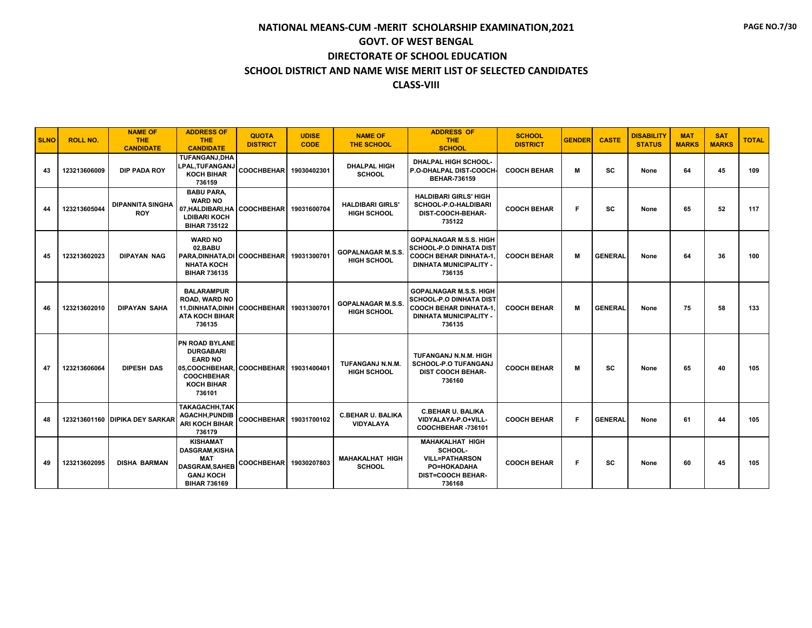| <b>SLNO</b> | <b>ROLL NO.</b> | <b>NAME OF</b><br>THE.<br><b>CANDIDATE</b> | <b>ADDRESS OF</b><br><b>THE</b><br><b>CANDIDATE</b>                                                                                                       | <b>QUOTA</b><br><b>DISTRICT</b> | <b>UDISE</b><br><b>CODE</b> | <b>NAME OF</b><br><b>THE SCHOOL</b>            | <b>ADDRESS OF</b><br><b>THE</b><br><b>SCHOOL</b>                                                                                           | <b>SCHOOL</b><br><b>DISTRICT</b> | <b>GENDER</b> | <b>CASTE</b>   | <b>DISABILITY</b><br><b>STATUS</b> | <b>MAT</b><br><b>MARKS</b> | <b>SAT</b><br><b>MARKS</b> | <b>TOTAL</b> |
|-------------|-----------------|--------------------------------------------|-----------------------------------------------------------------------------------------------------------------------------------------------------------|---------------------------------|-----------------------------|------------------------------------------------|--------------------------------------------------------------------------------------------------------------------------------------------|----------------------------------|---------------|----------------|------------------------------------|----------------------------|----------------------------|--------------|
| 43          | 123213606009    | <b>DIP PADA ROY</b>                        | <b>TUFANGANJ.DHA</b><br>_PAL,TUFANGANJ<br><b>KOCH BIHAR</b><br>736159                                                                                     | <b>COOCHBEHAR</b>               | 19030402301                 | <b>DHALPAL HIGH</b><br><b>SCHOOL</b>           | <b>DHALPAL HIGH SCHOOL-</b><br>P.O-DHALPAL DIST-COOCH-<br><b>BEHAR-736159</b>                                                              | <b>COOCH BEHAR</b>               | м             | <b>SC</b>      | None                               | 64                         | 45                         | 109          |
| 44          | 123213605044    | <b>DIPANNITA SINGHA</b><br><b>ROY</b>      | <b>BABU PARA,</b><br><b>WARD NO</b><br>07, HALDIBARI, HA COOCHBEHAR<br><b>LDIBARI KOCH</b><br><b>BIHAR 735122</b>                                         |                                 | 19031600704                 | <b>HALDIBARI GIRLS'</b><br><b>HIGH SCHOOL</b>  | <b>HALDIBARI GIRLS' HIGH</b><br><b>SCHOOL-P.O-HALDIBARI</b><br>DIST-COOCH-BEHAR-<br>735122                                                 | <b>COOCH BEHAR</b>               | F             | SC             | None                               | 65                         | 52                         | 117          |
| 45          | 123213602023    | <b>DIPAYAN NAG</b>                         | <b>WARD NO</b><br>02.BABU<br>PARA, DINHATA, DI COOCHBEHAR<br><b>NHATA KOCH</b><br><b>BIHAR 736135</b>                                                     |                                 | 19031300701                 | <b>GOPALNAGAR M.S.S.</b><br><b>HIGH SCHOOL</b> | <b>GOPALNAGAR M.S.S. HIGH</b><br><b>SCHOOL-P.O DINHATA DIST</b><br><b>COOCH BEHAR DINHATA-1.</b><br><b>DINHATA MUNICIPALITY</b><br>736135  | <b>COOCH BEHAR</b>               | м             | <b>GENERAL</b> | None                               | 64                         | 36                         | 100          |
| 46          | 123213602010    | <b>DIPAYAN SAHA</b>                        | <b>BALARAMPUR</b><br><b>ROAD, WARD NO</b><br>11, DINHATA, DINH COOCHBEHAR<br><b>ATA KOCH BIHAR</b><br>736135                                              |                                 | 19031300701                 | <b>GOPALNAGAR M.S.S.</b><br><b>HIGH SCHOOL</b> | <b>GOPALNAGAR M.S.S. HIGH</b><br><b>SCHOOL-P.O DINHATA DIST</b><br><b>COOCH BEHAR DINHATA-1</b><br><b>DINHATA MUNICIPALITY -</b><br>736135 | <b>COOCH BEHAR</b>               | М             | <b>GENERAL</b> | None                               | 75                         | 58                         | 133          |
| 47          | 123213606064    | <b>DIPESH DAS</b>                          | <b>PN ROAD BYLANE</b><br><b>DURGABARI</b><br><b>EARD NO</b><br>05, COOCHBEHAR, COOCHBEHAR 19031400401<br><b>COOCHBEHAR</b><br><b>KOCH BIHAR</b><br>736101 |                                 |                             | TUFANGANJ N.N.M.<br><b>HIGH SCHOOL</b>         | TUFANGANJ N.N.M. HIGH<br><b>SCHOOL-P.O TUFANGANJ</b><br><b>DIST COOCH BEHAR-</b><br>736160                                                 | <b>COOCH BEHAR</b>               | м             | <b>SC</b>      | None                               | 65                         | 40                         | 105          |
| 48          |                 | 123213601160 DIPIKA DEY SARKAR             | <b>TAKAGACHH.TAK</b><br>AGACHH, PUNDIB<br><b>ARI KOCH BIHAR</b><br>736179                                                                                 | <b>COOCHBEHAR</b>               | 19031700102                 | <b>C.BEHAR U. BALIKA</b><br><b>VIDYALAYA</b>   | <b>C.BEHAR U. BALIKA</b><br>VIDYALAYA-P.O+VILL-<br>COOCHBEHAR-736101                                                                       | <b>COOCH BEHAR</b>               | F.            | <b>GENERAL</b> | None                               | 61                         | 44                         | 105          |
| 49          | 123213602095    | <b>DISHA BARMAN</b>                        | <b>KISHAMAT</b><br><b>DASGRAM,KISHA</b><br><b>MAT</b><br><b>DASGRAM.SAHEB</b><br><b>GANJ KOCH</b><br><b>BIHAR 736169</b>                                  | <b>COOCHBEHAR</b>               | 19030207803                 | <b>MAHAKALHAT HIGH</b><br><b>SCHOOL</b>        | <b>MAHAKALHAT HIGH</b><br>SCHOOL-<br><b>VILL=PATHARSON</b><br>PO=HOKADAHA<br><b>DIST=COOCH BEHAR-</b><br>736168                            | <b>COOCH BEHAR</b>               | F             | SC             | None                               | 60                         | 45                         | 105          |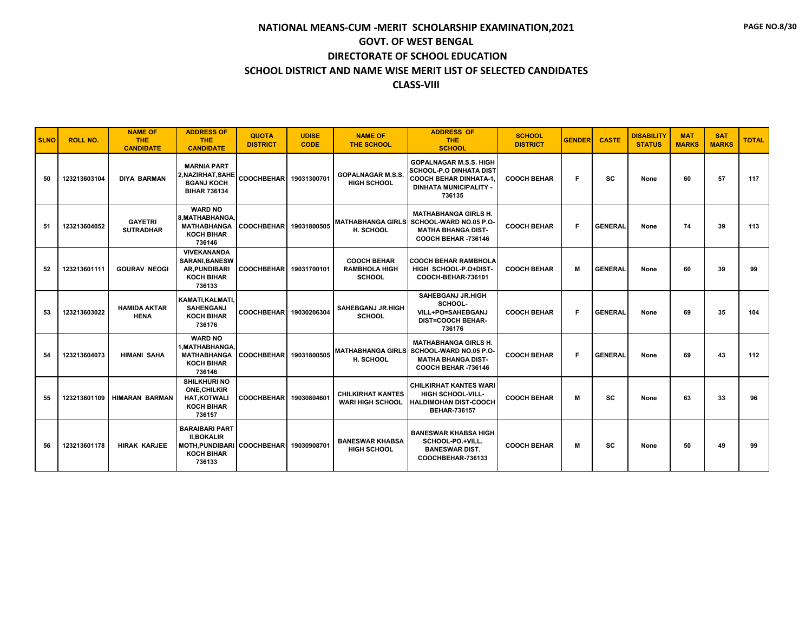| <b>SLNO</b> | <b>ROLL NO.</b> | <b>NAME OF</b><br><b>THE</b><br><b>CANDIDATE</b> | <b>ADDRESS OF</b><br><b>THE</b><br><b>CANDIDATE</b>                                                | <b>QUOTA</b><br><b>DISTRICT</b> | <b>UDISE</b><br><b>CODE</b> | <b>NAME OF</b><br><b>THE SCHOOL</b>                         | <b>ADDRESS OF</b><br><b>THE</b><br><b>SCHOOL</b>                                                                                       | <b>SCHOOL</b><br><b>DISTRICT</b> | <b>GENDER</b> | <b>CASTE</b>   | <b>DISABILITY</b><br><b>STATUS</b> | <b>MAT</b><br><b>MARKS</b> | <b>SAT</b><br><b>MARKS</b> | <b>TOTAL</b> |
|-------------|-----------------|--------------------------------------------------|----------------------------------------------------------------------------------------------------|---------------------------------|-----------------------------|-------------------------------------------------------------|----------------------------------------------------------------------------------------------------------------------------------------|----------------------------------|---------------|----------------|------------------------------------|----------------------------|----------------------------|--------------|
| 50          | 123213603104    | <b>DIYA BARMAN</b>                               | <b>MARNIA PART</b><br>2.NAZIRHAT.SAHE<br><b>BGANJ KOCH</b><br><b>BIHAR 736134</b>                  | COOCHBEHAR 19031300701          |                             | <b>GOPALNAGAR M.S.S.</b><br><b>HIGH SCHOOL</b>              | <b>GOPALNAGAR M.S.S. HIGH</b><br><b>SCHOOL-P.O DINHATA DIST</b><br>  COOCH BEHAR DINHATA-1.<br><b>DINHATA MUNICIPALITY -</b><br>736135 | <b>COOCH BEHAR</b>               | F             | <b>SC</b>      | None                               | 60                         | 57                         | 117          |
| 51          | 123213604052    | <b>GAYETRI</b><br><b>SUTRADHAR</b>               | <b>WARD NO</b><br>8. MATHABHANGA<br><b>MATHABHANGA</b><br><b>KOCH BIHAR</b><br>736146              | COOCHBEHAR 19031800505          |                             | H. SCHOOL                                                   | <b>MATHABHANGA GIRLS H.</b><br><b>MATHABHANGA GIRLS SCHOOL-WARD NO.05 P.O-</b><br><b>MATHA BHANGA DIST-</b><br>COOCH BEHAR -736146     | <b>COOCH BEHAR</b>               | F.            | <b>GENERAL</b> | None                               | 74                         | 39                         | 113          |
| 52          | 123213601111    | <b>GOURAV NEOGI</b>                              | <b>VIVEKANANDA</b><br><b>SARANI, BANESW</b><br><b>AR, PUNDIBARI</b><br><b>KOCH BIHAR</b><br>736133 | COOCHBEHAR 19031700101          |                             | <b>COOCH BEHAR</b><br><b>RAMBHOLA HIGH</b><br><b>SCHOOL</b> | <b>ICOOCH BEHAR RAMBHOLA</b><br>HIGH SCHOOL-P.O+DIST-<br>COOCH-BEHAR-736101                                                            | <b>COOCH BEHAR</b>               | М             | <b>GENERAL</b> | None                               | 60                         | 39                         | 99           |
| 53          | 123213603022    | <b>HAMIDA AKTAR</b><br><b>HENA</b>               | KAMATI, KALMATI<br><b>SAHENGANJ</b><br><b>KOCH BIHAR</b><br>736176                                 | <b>COOCHBEHAR</b>               | 19030206304                 | <b>SAHEBGANJ JR.HIGH</b><br><b>SCHOOL</b>                   | <b>SAHEBGANJ JR.HIGH</b><br>SCHOOL-<br>VILL+PO=SAHEBGANJ<br><b>DIST=COOCH BEHAR-</b><br>736176                                         | <b>COOCH BEHAR</b>               | F.            | <b>GENERAL</b> | None                               | 69                         | 35                         | 104          |
| 54          | 123213604073    | <b>HIMANI SAHA</b>                               | <b>WARD NO</b><br>1.MATHABHANGA<br><b>MATHABHANGA</b><br><b>KOCH BIHAR</b><br>736146               | COOCHBEHAR 19031800505          |                             | H. SCHOOL                                                   | <b>MATHABHANGA GIRLS H.</b><br><b>MATHABHANGA GIRLS SCHOOL-WARD NO.05 P.O-</b><br><b>MATHA BHANGA DIST-</b><br>COOCH BEHAR -736146     | <b>COOCH BEHAR</b>               | F.            | <b>GENERAL</b> | None                               | 69                         | 43                         | 112          |
| 55          | 123213601109    | <b>HIMARAN BARMAN</b>                            | <b>SHILKHURI NO</b><br><b>ONE.CHILKIR</b><br><b>HAT, KOTWALI</b><br><b>KOCH BIHAR</b><br>736157    | COOCHBEHAR 19030804601          |                             | <b>CHILKIRHAT KANTES</b><br><b>WARI HIGH SCHOOL</b>         | <b>CHILKIRHAT KANTES WARI</b><br><b>HIGH SCHOOL-VILL-</b><br><b>HALDIMOHAN DIST-COOCH</b><br><b>BEHAR-736157</b>                       | <b>COOCH BEHAR</b>               | м             | sc             | None                               | 63                         | 33                         | 96           |
| 56          | 123213601178    | <b>HIRAK KARJEE</b>                              | <b>BARAIBARI PART</b><br><b>II.BOKALIR</b><br><b>MOTH.PUNDIBARI</b><br><b>KOCH BIHAR</b><br>736133 | COOCHBEHAR 19030908701          |                             | <b>BANESWAR KHABSA</b><br><b>HIGH SCHOOL</b>                | <b>BANESWAR KHABSA HIGH</b><br>SCHOOL-PO.+VILL.<br><b>BANESWAR DIST.</b><br>COOCHBEHAR-736133                                          | <b>COOCH BEHAR</b>               | M             | <b>SC</b>      | None                               | 50                         | 49                         | 99           |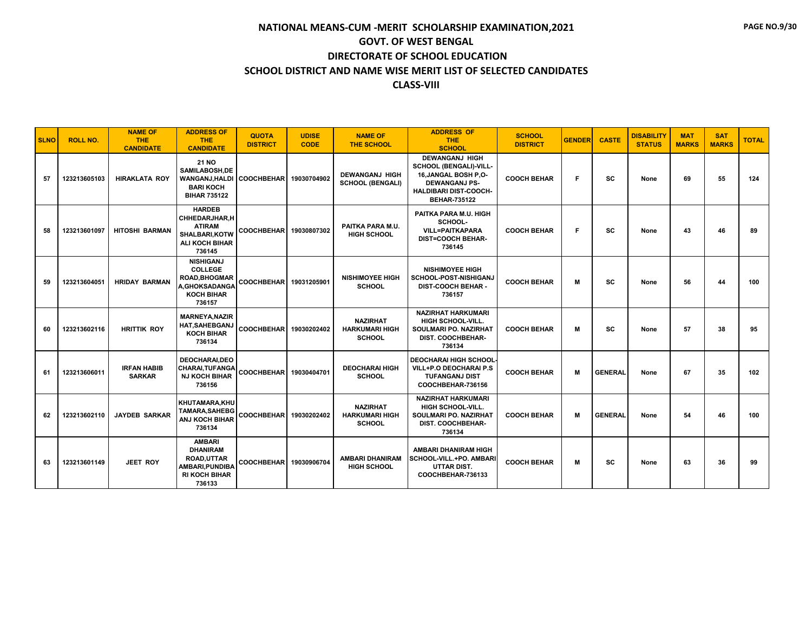| <b>SLNO</b> | <b>ROLL NO.</b> | <b>NAME OF</b><br><b>THE</b><br><b>CANDIDATE</b> | <b>ADDRESS OF</b><br><b>THE</b><br><b>CANDIDATE</b>                                                         | <b>QUOTA</b><br><b>DISTRICT</b> | <b>UDISE</b><br><b>CODE</b> | <b>NAME OF</b><br><b>THE SCHOOL</b>                       | <b>ADDRESS OF</b><br><b>THE</b><br><b>SCHOOL</b>                                                                                                       | <b>SCHOOL</b><br><b>DISTRICT</b> | <b>GENDER</b> | <b>CASTE</b>   | <b>DISABILITY</b><br><b>STATUS</b> | <b>MAT</b><br><b>MARKS</b> | <b>SAT</b><br><b>MARKS</b> | <b>TOTAL</b> |
|-------------|-----------------|--------------------------------------------------|-------------------------------------------------------------------------------------------------------------|---------------------------------|-----------------------------|-----------------------------------------------------------|--------------------------------------------------------------------------------------------------------------------------------------------------------|----------------------------------|---------------|----------------|------------------------------------|----------------------------|----------------------------|--------------|
| 57          | 123213605103    | <b>HIRAKLATA ROY</b>                             | <b>21 NO</b><br>SAMILABOSH.DE<br><b>WANGANJ.HALDI</b><br><b>BARI KOCH</b><br><b>BIHAR 735122</b>            | <b>COOCHBEHAR</b>               | 19030704902                 | <b>DEWANGANJ HIGH</b><br><b>SCHOOL (BENGALI)</b>          | <b>DEWANGANJ HIGH</b><br>SCHOOL (BENGALI)-VILL-<br>16, JANGAL BOSH P.O-<br><b>DEWANGANJ PS-</b><br><b>HALDIBARI DIST-COOCH-</b><br><b>BEHAR-735122</b> | <b>COOCH BEHAR</b>               | F             | <b>SC</b>      | None                               | 69                         | 55                         | 124          |
| 58          | 123213601097    | <b>HITOSHI BARMAN</b>                            | <b>HARDEB</b><br><b>CHHEDARJHAR.H</b><br><b>ATIRAM</b><br>SHALBARI.KOTW<br><b>ALI KOCH BIHAR</b><br>736145  | COOCHBEHAR 19030807302          |                             | PAITKA PARA M.U.<br><b>HIGH SCHOOL</b>                    | PAITKA PARA M.U. HIGH<br>SCHOOL-<br><b>VILL=PAITKAPARA</b><br><b>DIST=COOCH BEHAR-</b><br>736145                                                       | <b>COOCH BEHAR</b>               | F             | <b>SC</b>      | None                               | 43                         | 46                         | 89           |
| 59          | 123213604051    | <b>HRIDAY BARMAN</b>                             | <b>NISHIGANJ</b><br><b>COLLEGE</b><br><b>ROAD, BHOGMAR</b><br>A, GHOKSADANGA<br><b>KOCH BIHAR</b><br>736157 | <b>COOCHBEHAR</b>               | 19031205901                 | <b>NISHIMOYEE HIGH</b><br><b>SCHOOL</b>                   | <b>NISHIMOYEE HIGH</b><br><b>SCHOOL-POST-NISHIGANJ</b><br><b>DIST-COOCH BEHAR -</b><br>736157                                                          | <b>COOCH BEHAR</b>               | M             | SC             | None                               | 56                         | 44                         | 100          |
| 60          | 123213602116    | <b>HRITTIK ROY</b>                               | <b>MARNEYA.NAZIR</b><br><b>HAT, SAHEBGANJ</b><br><b>KOCH BIHAR</b><br>736134                                | <b>COOCHBEHAR</b>               | 19030202402                 | <b>NAZIRHAT</b><br><b>HARKUMARI HIGH</b><br><b>SCHOOL</b> | <b>NAZIRHAT HARKUMARI</b><br><b>HIGH SCHOOL-VILL.</b><br><b>SOULMARI PO. NAZIRHAT</b><br>DIST. COOCHBEHAR-<br>736134                                   | <b>COOCH BEHAR</b>               | M             | SC             | None                               | 57                         | 38                         | 95           |
| 61          | 123213606011    | <b>IRFAN HABIB</b><br><b>SARKAR</b>              | <b>DEOCHARAI.DEO</b><br><b>CHARAI, TUFANGA</b><br><b>NJ KOCH BIHAR</b><br>736156                            | COOCHBEHAR 19030404701          |                             | <b>DEOCHARAI HIGH</b><br><b>SCHOOL</b>                    | <b>DEOCHARAI HIGH SCHOOL</b><br><b>VILL+P.O DEOCHARAI P.S</b><br><b>TUFANGANJ DIST</b><br>COOCHBEHAR-736156                                            | <b>COOCH BEHAR</b>               | M             | <b>GENERAL</b> | None                               | 67                         | 35                         | 102          |
| 62          | 123213602110    | <b>JAYDEB SARKAR</b>                             | KHUTAMARA.KHU<br><b>TAMARA, SAHEBG</b><br><b>ANJ KOCH BIHAR</b><br>736134                                   | COOCHBEHAR 19030202402          |                             | <b>NAZIRHAT</b><br><b>HARKUMARI HIGH</b><br><b>SCHOOL</b> | <b>NAZIRHAT HARKUMARI</b><br><b>HIGH SCHOOL-VILL.</b><br>SOULMARI PO. NAZIRHAT<br>DIST. COOCHBEHAR-<br>736134                                          | <b>COOCH BEHAR</b>               | M             | <b>GENERAL</b> | None                               | 54                         | 46                         | 100          |
| 63          | 123213601149    | <b>JEET ROY</b>                                  | <b>AMBARI</b><br><b>DHANIRAM</b><br>ROAD, UTTAR<br>AMBARI, PUNDIBA<br><b>RI KOCH BIHAR</b><br>736133        | <b>COOCHBEHAR</b>               | 19030906704                 | <b>AMBARI DHANIRAM</b><br><b>HIGH SCHOOL</b>              | <b>AMBARI DHANIRAM HIGH</b><br><b>ISCHOOL-VILL.+PO. AMBARI</b><br><b>UTTAR DIST.</b><br>COOCHBEHAR-736133                                              | <b>COOCH BEHAR</b>               | М             | <b>SC</b>      | None                               | 63                         | 36                         | 99           |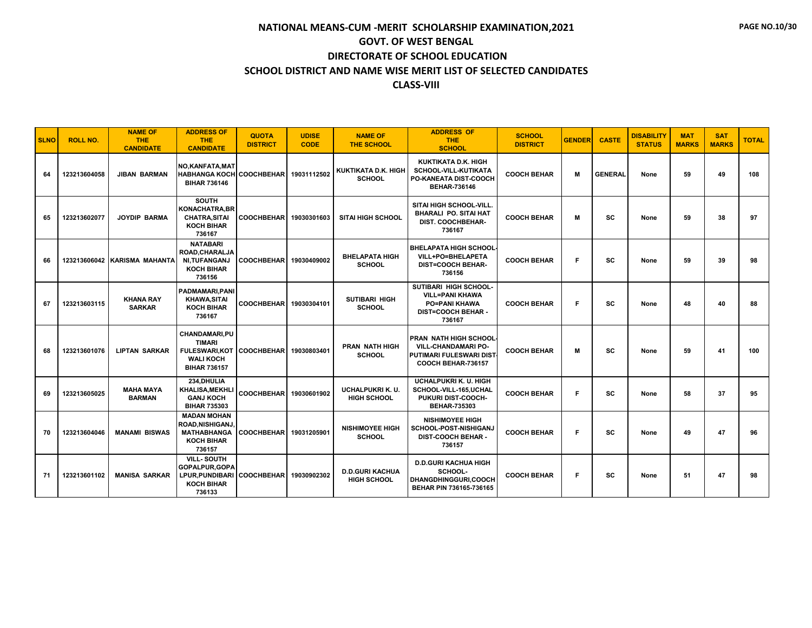| <b>SLNO</b> | <b>ROLL NO.</b> | <b>NAME OF</b><br><b>THE</b><br><b>CANDIDATE</b> | <b>ADDRESS OF</b><br><b>THE</b><br><b>CANDIDATE</b>                                               | <b>QUOTA</b><br><b>DISTRICT</b> | <b>UDISE</b><br><b>CODE</b> | <b>NAME OF</b><br><b>THE SCHOOL</b>          | <b>ADDRESS OF</b><br><b>THE</b><br><b>SCHOOL</b>                                                               | <b>SCHOOL</b><br><b>DISTRICT</b> | <b>GENDER</b> | <b>CASTE</b>   | <b>DISABILITY</b><br><b>STATUS</b> | <b>MAT</b><br><b>MARKS</b> | <b>SAT</b><br><b>MARKS</b> | <b>TOTAL</b> |
|-------------|-----------------|--------------------------------------------------|---------------------------------------------------------------------------------------------------|---------------------------------|-----------------------------|----------------------------------------------|----------------------------------------------------------------------------------------------------------------|----------------------------------|---------------|----------------|------------------------------------|----------------------------|----------------------------|--------------|
| 64          | 123213604058    | <b>JIBAN BARMAN</b>                              | NO, KANFATA, MAT<br><b>HABHANGA KOCH</b><br><b>BIHAR 736146</b>                                   | <b>COOCHBEHAR</b>               | 19031112502                 | KUKTIKATA D.K. HIGH<br><b>SCHOOL</b>         | KUKTIKATA D.K. HIGH<br>SCHOOL-VILL-KUTIKATA<br>PO-KANEATA DIST-COOCH<br><b>BEHAR-736146</b>                    | <b>COOCH BEHAR</b>               | M             | <b>GENERAL</b> | None                               | 59                         | 49                         | 108          |
| 65          | 123213602077    | <b>JOYDIP BARMA</b>                              | <b>SOUTH</b><br><b>KONACHATRA.BR</b><br><b>CHATRA, SITAI</b><br><b>KOCH BIHAR</b><br>736167       | <b>COOCHBEHAR</b>               | 19030301603                 | <b>SITAI HIGH SCHOOL</b>                     | SITAI HIGH SCHOOL-VILL<br><b>BHARALI PO. SITAI HAT</b><br><b>DIST. COOCHBEHAR-</b><br>736167                   | <b>COOCH BEHAR</b>               | M             | <b>SC</b>      | None                               | 59                         | 38                         | 97           |
| 66          |                 | 123213606042 KARISMA MAHANTA                     | <b>NATABARI</b><br>ROAD, CHARALJA<br>NI, TUFANGANJ<br><b>KOCH BIHAR</b><br>736156                 | <b>COOCHBEHAR</b>               | 19030409002                 | <b>BHELAPATA HIGH</b><br><b>SCHOOL</b>       | <b>I BHELAPATA HIGH SCHOOL</b><br>VILL+PO=BHELAPETA<br><b>DIST=COOCH BEHAR-</b><br>736156                      | <b>COOCH BEHAR</b>               | F             | <b>SC</b>      | None                               | 59                         | 39                         | 98           |
| 67          | 123213603115    | <b>KHANA RAY</b><br><b>SARKAR</b>                | <b>PADMAMARI.PANI</b><br>KHAWA,SITAI<br><b>KOCH BIHAR</b><br>736167                               | COOCHBEHAR 19030304101          |                             | <b>SUTIBARI HIGH</b><br><b>SCHOOL</b>        | SUTIBARI HIGH SCHOOL-<br><b>VILL=PANI KHAWA</b><br><b>PO=PANI KHAWA</b><br><b>DIST=COOCH BEHAR -</b><br>736167 | <b>COOCH BEHAR</b>               | F             | SC             | None                               | 48                         | 40                         | 88           |
| 68          | 123213601076    | <b>LIPTAN SARKAR</b>                             | CHANDAMARI,PU<br><b>TIMARI</b><br><b>FULESWARI.KOT</b><br><b>WALI KOCH</b><br><b>BIHAR 736157</b> | <b>COOCHBEHAR</b>               | 19030803401                 | <b>PRAN NATH HIGH</b><br><b>SCHOOL</b>       | I PRAN NATH HIGH SCHOOL·<br><b>VILL-CHANDAMARI PO-</b><br>PUTIMARI FULESWARI DIST<br>COOCH BEHAR-736157        | <b>COOCH BEHAR</b>               | M             | <b>SC</b>      | None                               | 59                         | 41                         | 100          |
| 69          | 123213605025    | <b>MAHA MAYA</b><br><b>BARMAN</b>                | 234.DHULIA<br><b>KHALISA, MEKHLI</b><br><b>GANJ KOCH</b><br><b>BIHAR 735303</b>                   | <b>COOCHBEHAR</b>               | 19030601902                 | UCHALPUKRI K. U.<br><b>HIGH SCHOOL</b>       | <b>UCHALPUKRI K. U. HIGH</b><br>SCHOOL-VILL-165,UCHAL<br>PUKURI DIST-COOCH-<br><b>BEHAR-735303</b>             | <b>COOCH BEHAR</b>               | F             | <b>SC</b>      | None                               | 58                         | 37                         | 95           |
| 70          | 123213604046    | <b>MANAMI BISWAS</b>                             | <b>MADAN MOHAN</b><br><b>ROAD, NISHIGANJ</b><br><b>MATHABHANGA</b><br><b>KOCH BIHAR</b><br>736157 | COOCHBEHAR 19031205901          |                             | <b>NISHIMOYEE HIGH</b><br><b>SCHOOL</b>      | <b>NISHIMOYEE HIGH</b><br><b>SCHOOL-POST-NISHIGANJ</b><br><b>DIST-COOCH BEHAR -</b><br>736157                  | <b>COOCH BEHAR</b>               | F             | <b>SC</b>      | None                               | 49                         | 47                         | 96           |
| 71          | 123213601102    | <b>MANISA SARKAR</b>                             | <b>VILL-SOUTH</b><br>GOPALPUR, GOPA<br><b>LPUR.PUNDIBARI</b><br><b>KOCH BIHAR</b><br>736133       | <b>COOCHBEHAR</b>               | 19030902302                 | <b>D.D.GURI KACHUA</b><br><b>HIGH SCHOOL</b> | <b>D.D.GURI KACHUA HIGH</b><br>SCHOOL-<br>DHANGDHINGGURI,COOCH<br>BEHAR PIN 736165-736165                      | <b>COOCH BEHAR</b>               | F             | <b>SC</b>      | None                               | 51                         | 47                         | 98           |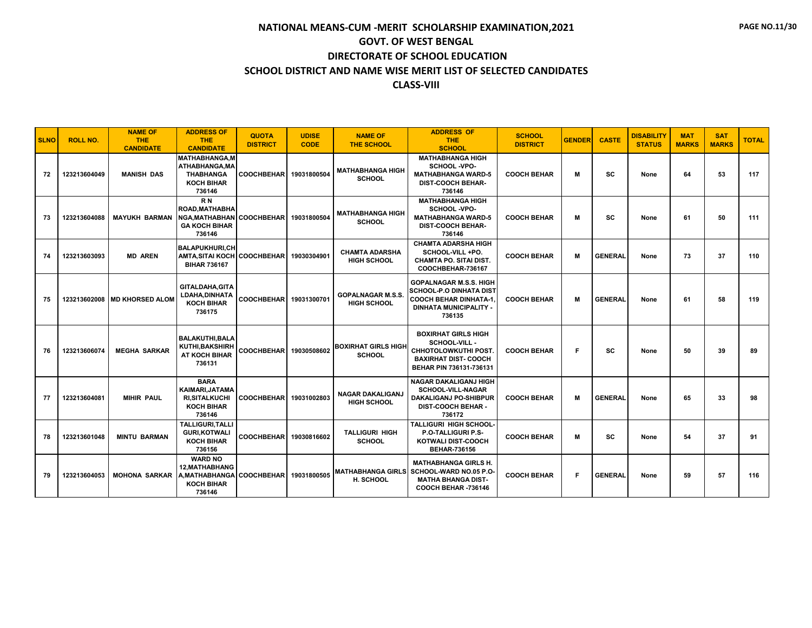| <b>SLNO</b> | <b>ROLL NO.</b> | <b>NAME OF</b><br>THE.<br><b>CANDIDATE</b> | <b>ADDRESS OF</b><br><b>THE</b><br><b>CANDIDATE</b>                                        | <b>QUOTA</b><br><b>DISTRICT</b> | <b>UDISE</b><br><b>CODE</b> | <b>NAME OF</b><br><b>THE SCHOOL</b>            | <b>ADDRESS OF</b><br><b>THE</b><br><b>SCHOOL</b>                                                                                     | <b>SCHOOL</b><br><b>DISTRICT</b> | <b>GENDER</b> | <b>CASTE</b>   | <b>DISABILITY</b><br><b>STATUS</b> | <b>MAT</b><br><b>MARKS</b> | <b>SAT</b><br><b>MARKS</b> | <b>TOTAL</b> |
|-------------|-----------------|--------------------------------------------|--------------------------------------------------------------------------------------------|---------------------------------|-----------------------------|------------------------------------------------|--------------------------------------------------------------------------------------------------------------------------------------|----------------------------------|---------------|----------------|------------------------------------|----------------------------|----------------------------|--------------|
| 72          | 123213604049    | <b>MANISH DAS</b>                          | <b>MATHABHANGA,M</b><br>ATHABHANGA.MA<br><b>THABHANGA</b><br><b>KOCH BIHAR</b><br>736146   | COOCHBEHAR 19031800504          |                             | <b>MATHABHANGA HIGH</b><br><b>SCHOOL</b>       | <b>MATHABHANGA HIGH</b><br>SCHOOL -VPO-<br><b>MATHABHANGA WARD-5</b><br><b>DIST-COOCH BEHAR-</b><br>736146                           | <b>COOCH BEHAR</b>               | м             | SC             | None                               | 64                         | 53                         | 117          |
| 73          | 123213604088    | <b>MAYUKH BARMAN</b>                       | R <sub>N</sub><br><b>ROAD.MATHABHA</b><br>NGA, MATHABHAN<br><b>GA KOCH BIHAR</b><br>736146 | <b>COOCHBEHARI</b>              | 19031800504                 | <b>MATHABHANGA HIGH</b><br><b>SCHOOL</b>       | <b>MATHABHANGA HIGH</b><br>SCHOOL -VPO-<br><b>MATHABHANGA WARD-5</b><br><b>DIST-COOCH BEHAR-</b><br>736146                           | <b>COOCH BEHAR</b>               | M             | SC             | None                               | 61                         | 50                         | 111          |
| 74          | 123213603093    | <b>MD AREN</b>                             | <b>BALAPUKHURI.CH</b><br><b>AMTA.SITAI KOCH</b><br><b>BIHAR 736167</b>                     | <b>COOCHBEHAR</b>               | 19030304901                 | <b>CHAMTA ADARSHA</b><br><b>HIGH SCHOOL</b>    | <b>CHAMTA ADARSHA HIGH</b><br>SCHOOL-VILL+PO.<br><b>CHAMTA PO. SITAI DIST.</b><br>COOCHBEHAR-736167                                  | <b>COOCH BEHAR</b>               | м             | <b>GENERAL</b> | None                               | 73                         | 37                         | 110          |
| 75          |                 | 123213602008 MD KHORSED ALOM               | <b>GITALDAHA.GITA</b><br>LDAHA, DINHATA<br><b>KOCH BIHAR</b><br>736175                     | <b>COOCHBEHAR</b>               | 19031300701                 | <b>GOPALNAGAR M.S.S.</b><br><b>HIGH SCHOOL</b> | <b>GOPALNAGAR M.S.S. HIGH</b><br>SCHOOL-P.O DINHATA DIST<br><b>COOCH BEHAR DINHATA-1.</b><br><b>DINHATA MUNICIPALITY -</b><br>736135 | <b>COOCH BEHAR</b>               | м             | <b>GENERAL</b> | None                               | 61                         | 58                         | 119          |
| 76          | 123213606074    | <b>MEGHA SARKAR</b>                        | <b>BALAKUTHI.BALA</b><br><b>KUTHI.BAKSHIRH</b><br>AT KOCH BIHAR<br>736131                  | COOCHBEHAR 19030508602          |                             | <b>BOXIRHAT GIRLS HIGH</b><br><b>SCHOOL</b>    | <b>BOXIRHAT GIRLS HIGH</b><br>SCHOOL-VILL -<br><b>CHHOTOLOWKUTHI POST.</b><br><b>BAXIRHAT DIST-COOCH</b><br>BEHAR PIN 736131-736131  | <b>COOCH BEHAR</b>               | Е             | sc             | None                               | 50                         | 39                         | 89           |
| 77          | 123213604081    | <b>MIHIR PAUL</b>                          | <b>BARA</b><br>KAIMARI, JATAMA<br><b>RI.SITALKUCHI</b><br><b>KOCH BIHAR</b><br>736146      | <b>COOCHBEHARI</b>              | 19031002803                 | <b>NAGAR DAKALIGANJ</b><br><b>HIGH SCHOOL</b>  | <b>NAGAR DAKALIGANJ HIGH</b><br><b>SCHOOL-VILL-NAGAR</b><br><b>DAKALIGANJ PO-SHIBPUR</b><br><b>DIST-COOCH BEHAR -</b><br>736172      | <b>COOCH BEHAR</b>               | м             | <b>GENERAL</b> | None                               | 65                         | 33                         | 98           |
| 78          | 123213601048    | <b>MINTU BARMAN</b>                        | <b>TALLIGURI.TALLI</b><br><b>GURI.KOTWALI</b><br><b>KOCH BIHAR</b><br>736156               | <b>COOCHBEHAR</b>               | 19030816602                 | <b>TALLIGURI HIGH</b><br><b>SCHOOL</b>         | <b>TALLIGURI HIGH SCHOOL-</b><br><b>P.O-TALLIGURI P.S-</b><br><b>KOTWALI DIST-COOCH</b><br><b>BEHAR-736156</b>                       | <b>COOCH BEHAR</b>               | M             | SC             | None                               | 54                         | 37                         | 91           |
| 79          | 123213604053    | <b>MOHONA SARKAR</b>                       | <b>WARD NO</b><br><b>12.MATHABHANG</b><br>A.MATHABHANGA<br><b>KOCH BIHAR</b><br>736146     | COOCHBEHAR 19031800505          |                             | H. SCHOOL                                      | <b>MATHABHANGA GIRLS H.</b><br>MATHABHANGA GIRLS SCHOOL-WARD NO.05 P.O-<br><b>MATHA BHANGA DIST-</b><br>COOCH BEHAR -736146          | <b>COOCH BEHAR</b>               | F.            | <b>GENERAL</b> | None                               | 59                         | 57                         | 116          |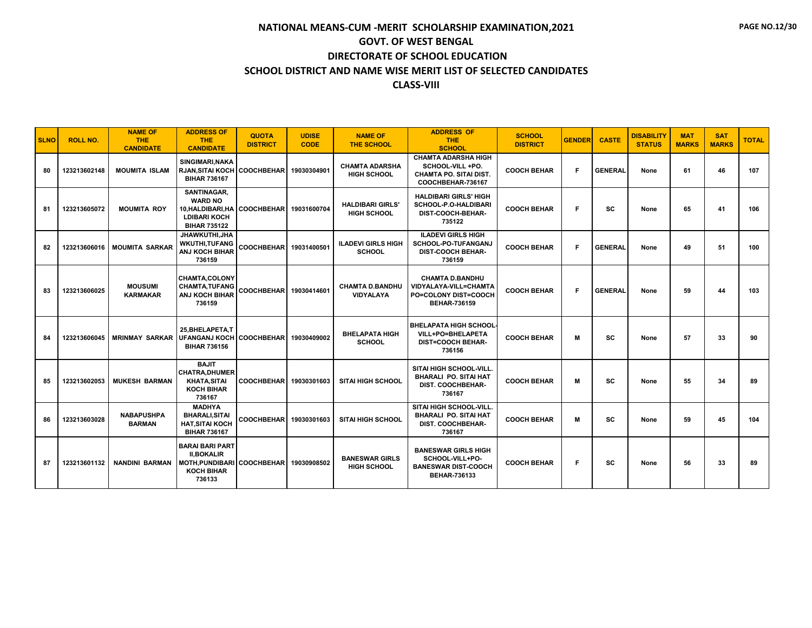| <b>SLNO</b> | <b>ROLL NO.</b> | <b>NAME OF</b><br><b>THE</b><br><b>CANDIDATE</b> | <b>ADDRESS OF</b><br><b>THE</b><br><b>CANDIDATE</b>                                                             | <b>QUOTA</b><br><b>DISTRICT</b> | <b>UDISE</b><br><b>CODE</b> | <b>NAME OF</b><br><b>THE SCHOOL</b>          | <b>ADDRESS OF</b><br><b>THE</b><br><b>SCHOOL</b>                                                      | <b>SCHOOL</b><br><b>DISTRICT</b> | <b>GENDER</b> | <b>CASTE</b>   | <b>DISABILITY</b><br><b>STATUS</b> | <b>MAT</b><br><b>MARKS</b> | <b>SAT</b><br><b>MARKS</b> | <b>TOTAL</b> |
|-------------|-----------------|--------------------------------------------------|-----------------------------------------------------------------------------------------------------------------|---------------------------------|-----------------------------|----------------------------------------------|-------------------------------------------------------------------------------------------------------|----------------------------------|---------------|----------------|------------------------------------|----------------------------|----------------------------|--------------|
| 80          | 123213602148    | <b>MOUMITA ISLAM</b>                             | SINGIMARI.NAKA<br><b>RJAN, SITAI KOCH</b><br><b>BIHAR 736167</b>                                                | <b>COOCHBEHAR</b>               | 19030304901                 | <b>CHAMTA ADARSHA</b><br><b>HIGH SCHOOL</b>  | <b>CHAMTA ADARSHA HIGH</b><br>SCHOOL-VILL+PO.<br><b>CHAMTA PO. SITAI DIST.</b><br>COOCHBEHAR-736167   | <b>COOCH BEHAR</b>               | F             | <b>GENERAL</b> | None                               | 61                         | 46                         | 107          |
| 81          | 123213605072    | <b>MOUMITA ROY</b>                               | SANTINAGAR,<br><b>WARD NO</b><br>10, HALDIBARI, HA<br><b>LDIBARI KOCH</b><br><b>BIHAR 735122</b>                | <b>COOCHBEHAR</b>               | 19031600704                 | <b>HALDIBARI GIRLS</b><br><b>HIGH SCHOOL</b> | <b>HALDIBARI GIRLS' HIGH</b><br><b>SCHOOL-P.O-HALDIBARI</b><br>DIST-COOCH-BEHAR-<br>735122            | <b>COOCH BEHAR</b>               | F             | SC             | None                               | 65                         | 41                         | 106          |
| 82          | 123213606016    | <b>MOUMITA SARKAR</b>                            | JHAWKUTHI, JHA<br><b>WKUTHI.TUFANG</b><br><b>ANJ KOCH BIHAR</b><br>736159                                       | <b>COOCHBEHAR</b>               | 19031400501                 | <b>ILADEVI GIRLS HIGH</b><br><b>SCHOOL</b>   | <b>ILADEVI GIRLS HIGH</b><br>SCHOOL-PO-TUFANGANJ<br><b>DIST-COOCH BEHAR-</b><br>736159                | <b>COOCH BEHAR</b>               | F             | <b>GENERAL</b> | None                               | 49                         | 51                         | 100          |
| 83          | 123213606025    | <b>MOUSUMI</b><br><b>KARMAKAR</b>                | <b>CHAMTA,COLONY</b><br><b>CHAMTA, TUFANG</b><br>ANJ KOCH BIHAR<br>736159                                       | <b>COOCHBEHAR</b>               | 19030414601                 | <b>CHAMTA D.BANDHU</b><br><b>VIDYALAYA</b>   | <b>CHAMTA D.BANDHU</b><br>VIDYALAYA-VILL=CHAMTA<br><b>PO=COLONY DIST=COOCH</b><br><b>BEHAR-736159</b> | <b>COOCH BEHAR</b>               | F.            | <b>GENERAL</b> | None                               | 59                         | 44                         | 103          |
| 84          | 123213606045    | <b>MRINMAY SARKAR</b>                            | 25.BHELAPETA.T<br><b>UFANGANJ KOCH   COOCHBEHAR  </b><br><b>BIHAR 736156</b>                                    |                                 | 19030409002                 | <b>BHELAPATA HIGH</b><br><b>SCHOOL</b>       | <b>BHELAPATA HIGH SCHOOL</b><br>VILL+PO=BHELAPETA<br><b>DIST=COOCH BEHAR-</b><br>736156               | <b>COOCH BEHAR</b>               | м             | SC             | None                               | 57                         | 33                         | 90           |
| 85          | 123213602053    | <b>MUKESH BARMAN</b>                             | <b>BAJIT</b><br><b>CHATRA, DHUMER</b><br><b>KHATA, SITAI</b><br><b>KOCH BIHAR</b><br>736167                     | <b>COOCHBEHAR</b>               | 19030301603                 | <b>SITAI HIGH SCHOOL</b>                     | SITAI HIGH SCHOOL-VILL.<br><b>BHARALI PO. SITAI HAT</b><br><b>DIST. COOCHBEHAR-</b><br>736167         | <b>COOCH BEHAR</b>               | M             | SC             | None                               | 55                         | 34                         | 89           |
| 86          | 123213603028    | <b>NABAPUSHPA</b><br><b>BARMAN</b>               | <b>MADHYA</b><br><b>BHARALI, SITAI</b><br><b>HAT.SITAI KOCH</b><br><b>BIHAR 736167</b>                          | <b>COOCHBEHAR</b>               | 19030301603                 | <b>SITAI HIGH SCHOOL</b>                     | SITAI HIGH SCHOOL-VILL.<br><b>BHARALI PO. SITAI HAT</b><br><b>DIST. COOCHBEHAR-</b><br>736167         | <b>COOCH BEHAR</b>               | M             | SC             | None                               | 59                         | 45                         | 104          |
| 87          | 123213601132    | <b>NANDINI BARMAN</b>                            | <b>BARAI BARI PART</b><br><b>II.BOKALIR</b><br><b>MOTH.PUNDIBARI COOCHBEHARI</b><br><b>KOCH BIHAR</b><br>736133 |                                 | 19030908502                 | <b>BANESWAR GIRLS</b><br><b>HIGH SCHOOL</b>  | <b>BANESWAR GIRLS HIGH</b><br>SCHOOL-VILL+PO-<br><b>BANESWAR DIST-COOCH</b><br><b>BEHAR-736133</b>    | <b>COOCH BEHAR</b>               | F             | SC             | None                               | 56                         | 33                         | 89           |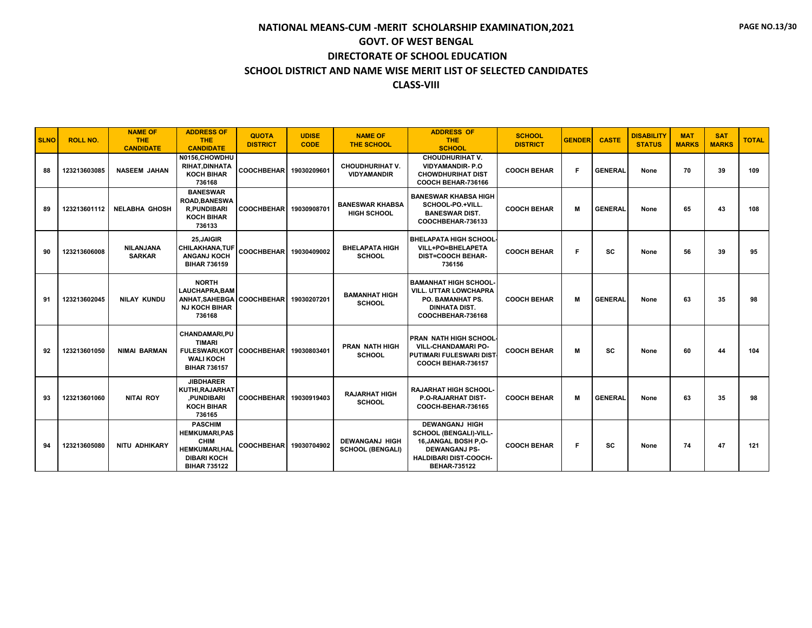| <b>SLNO</b> | <b>ROLL NO.</b> | <b>NAME OF</b><br><b>THE</b><br><b>CANDIDATE</b> | <b>ADDRESS OF</b><br><b>THE</b><br><b>CANDIDATE</b>                                                                         | <b>QUOTA</b><br><b>DISTRICT</b> | <b>UDISE</b><br><b>CODE</b> | <b>NAME OF</b><br><b>THE SCHOOL</b>              | <b>ADDRESS OF</b><br><b>THE</b><br><b>SCHOOL</b>                                                                                                      | <b>SCHOOL</b><br><b>DISTRICT</b> | <b>GENDER</b> | <b>CASTE</b>   | <b>DISABILITY</b><br><b>STATUS</b> | <b>MAT</b><br><b>MARKS</b> | <b>SAT</b><br><b>MARKS</b> | <b>TOTAL</b> |
|-------------|-----------------|--------------------------------------------------|-----------------------------------------------------------------------------------------------------------------------------|---------------------------------|-----------------------------|--------------------------------------------------|-------------------------------------------------------------------------------------------------------------------------------------------------------|----------------------------------|---------------|----------------|------------------------------------|----------------------------|----------------------------|--------------|
| 88          | 123213603085    | <b>NASEEM JAHAN</b>                              | N0156.CHOWDHU<br>RIHAT, DINHATA<br><b>KOCH BIHAR</b><br>736168                                                              | <b>COOCHBEHAR</b>               | 19030209601                 | <b>CHOUDHURIHAT V.</b><br><b>VIDYAMANDIR</b>     | <b>CHOUDHURIHAT V.</b><br><b>VIDYAMANDIR-P.O</b><br><b>CHOWDHURIHAT DIST</b><br>COOCH BEHAR-736166                                                    | <b>COOCH BEHAR</b>               | F.            | <b>GENERAL</b> | None                               | 70                         | 39                         | 109          |
| 89          | 123213601112    | <b>NELABHA GHOSH</b>                             | <b>BANESWAR</b><br><b>ROAD, BANESWA</b><br><b>R.PUNDIBARI</b><br><b>KOCH BIHAR</b><br>736133                                | COOCHBEHAR 19030908701          |                             | <b>BANESWAR KHABSA</b><br><b>HIGH SCHOOL</b>     | <b>BANESWAR KHABSA HIGH</b><br>SCHOOL-PO.+VILL.<br><b>BANESWAR DIST.</b><br>COOCHBEHAR-736133                                                         | <b>COOCH BEHAR</b>               | M             | <b>GENERAL</b> | None                               | 65                         | 43                         | 108          |
| 90          | 123213606008    | NILANJANA<br><b>SARKAR</b>                       | 25, JAIGIR<br><b>CHILAKHANA, TUF</b><br><b>ANGANJ KOCH</b><br><b>BIHAR 736159</b>                                           | <b>COOCHBEHAR</b>               | 19030409002                 | <b>BHELAPATA HIGH</b><br><b>SCHOOL</b>           | <b>I BHELAPATA HIGH SCHOOL</b><br>VILL+PO=BHELAPETA<br><b>DIST=COOCH BEHAR-</b><br>736156                                                             | <b>COOCH BEHAR</b>               | F             | <b>SC</b>      | None                               | 56                         | 39                         | 95           |
| 91          | 123213602045    | <b>NILAY KUNDU</b>                               | <b>NORTH</b><br><b>LAUCHAPRA.BAM</b><br>ANHAT.SAHEBGA<br><b>NJ KOCH BIHAR</b><br>736168                                     | <b>COOCHBEHAR</b>               | 19030207201                 | <b>BAMANHAT HIGH</b><br><b>SCHOOL</b>            | <b>BAMANHAT HIGH SCHOOL-</b><br><b>VILL. UTTAR LOWCHAPRA</b><br>PO. BAMANHAT PS.<br><b>DINHATA DIST.</b><br>COOCHBEHAR-736168                         | <b>COOCH BEHAR</b>               | М             | <b>GENERAL</b> | None                               | 63                         | 35                         | 98           |
| 92          | 123213601050    | <b>NIMAI BARMAN</b>                              | CHANDAMARI,PU<br><b>TIMARI</b><br><b>FULESWARI.KOT</b><br><b>WALI KOCH</b><br><b>BIHAR 736157</b>                           | <b>COOCHBEHAR</b>               | 19030803401                 | <b>PRAN NATH HIGH</b><br><b>SCHOOL</b>           | <b>PRAN NATH HIGH SCHOOL-</b><br><b>VILL-CHANDAMARI PO-</b><br><b>PUTIMARI FULESWARI DIST</b><br>COOCH BEHAR-736157                                   | <b>COOCH BEHAR</b>               | M             | <b>SC</b>      | None                               | 60                         | 44                         | 104          |
| 93          | 123213601060    | <b>NITAI ROY</b>                                 | <b>JIBDHARER</b><br>KUTHI, RAJARHAT<br>.PUNDIBARI<br><b>KOCH BIHAR</b><br>736165                                            | <b>COOCHBEHAR</b>               | 19030919403                 | <b>RAJARHAT HIGH</b><br><b>SCHOOL</b>            | <b>RAJARHAT HIGH SCHOOL-</b><br>P.O-RAJARHAT DIST-<br>COOCH-BEHAR-736165                                                                              | <b>COOCH BEHAR</b>               | M             | <b>GENERAL</b> | None                               | 63                         | 35                         | 98           |
| 94          | 123213605080    | <b>NITU ADHIKARY</b>                             | <b>PASCHIM</b><br><b>HEMKUMARI,PAS</b><br><b>CHIM</b><br><b>HEMKUMARI, HAL</b><br><b>DIBARI KOCH</b><br><b>BIHAR 735122</b> | COOCHBEHAR 19030704902          |                             | <b>DEWANGANJ HIGH</b><br><b>SCHOOL (BENGALI)</b> | <b>DEWANGANJ HIGH</b><br>SCHOOL (BENGALI)-VILL-<br>16.JANGAL BOSH P.O-<br><b>DEWANGANJ PS-</b><br><b>HALDIBARI DIST-COOCH-</b><br><b>BEHAR-735122</b> | <b>COOCH BEHAR</b>               | F             | <b>SC</b>      | None                               | 74                         | 47                         | 121          |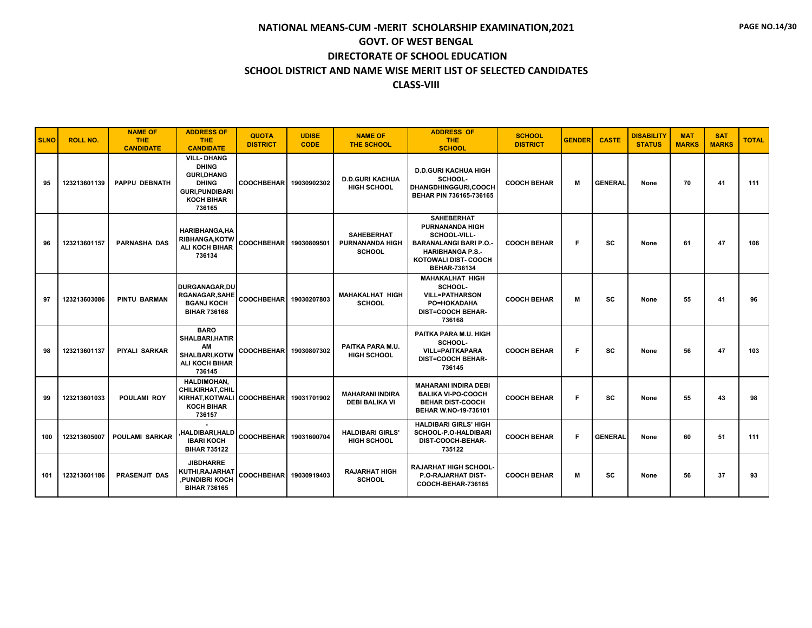| <b>SLNO</b> | <b>ROLL NO.</b> | <b>NAME OF</b><br><b>THE</b><br><b>CANDIDATE</b> | <b>ADDRESS OF</b><br><b>THE</b><br><b>CANDIDATE</b>                                                                              | <b>QUOTA</b><br><b>DISTRICT</b> | <b>UDISE</b><br><b>CODE</b> | <b>NAME OF</b><br><b>THE SCHOOL</b>                          | <b>ADDRESS OF</b><br><b>THE</b><br><b>SCHOOL</b>                                                                                                                      | <b>SCHOOL</b><br><b>DISTRICT</b> | <b>GENDER</b> | <b>CASTE</b>   | <b>DISABILITY</b><br><b>STATUS</b> | <b>MAT</b><br><b>MARKS</b> | <b>SAT</b><br><b>MARKS</b> | <b>TOTAL</b> |
|-------------|-----------------|--------------------------------------------------|----------------------------------------------------------------------------------------------------------------------------------|---------------------------------|-----------------------------|--------------------------------------------------------------|-----------------------------------------------------------------------------------------------------------------------------------------------------------------------|----------------------------------|---------------|----------------|------------------------------------|----------------------------|----------------------------|--------------|
| 95          | 123213601139    | <b>PAPPU DEBNATH</b>                             | <b>VILL- DHANG</b><br><b>DHING</b><br><b>GURI, DHANG</b><br><b>DHING</b><br><b>GURI.PUNDIBARI</b><br><b>KOCH BIHAR</b><br>736165 | COOCHBEHAR 19030902302          |                             | <b>D.D.GURI KACHUA</b><br><b>HIGH SCHOOL</b>                 | <b>D.D.GURI KACHUA HIGH</b><br>SCHOOL-<br>DHANGDHINGGURI,COOCH<br>BEHAR PIN 736165-736165                                                                             | <b>COOCH BEHAR</b>               | М             | <b>GENERAL</b> | None                               | 70                         | 41                         | 111          |
| 96          | 123213601157    | <b>PARNASHA DAS</b>                              | <b>HARIBHANGA.HA</b><br>RIBHANGA, KOTW<br><b>ALI KOCH BIHAR</b><br>736134                                                        | COOCHBEHAR 19030809501          |                             | <b>SAHEBERHAT</b><br><b>PURNANANDA HIGH</b><br><b>SCHOOL</b> | <b>SAHEBERHAT</b><br><b>PURNANANDA HIGH</b><br>SCHOOL-VILL-<br><b>BARANALANGI BARI P.O.</b><br><b>HARIBHANGA P.S.-</b><br>KOTOWALI DIST- COOCH<br><b>BEHAR-736134</b> | <b>COOCH BEHAR</b>               | F             | sc             | None                               | 61                         | 47                         | 108          |
| 97          | 123213603086    | <b>PINTU BARMAN</b>                              | <b>DURGANAGAR.DU</b><br><b>RGANAGAR, SAHE</b><br><b>BGANJ KOCH</b><br><b>BIHAR 736168</b>                                        | COOCHBEHAR 19030207803          |                             | <b>MAHAKALHAT HIGH</b><br><b>SCHOOL</b>                      | <b>MAHAKALHAT HIGH</b><br>SCHOOL-<br><b>VILL=PATHARSON</b><br>PO=HOKADAHA<br><b>DIST=COOCH BEHAR-</b><br>736168                                                       | <b>COOCH BEHAR</b>               | м             | SC             | None                               | 55                         | 41                         | 96           |
| 98          | 123213601137    | PIYALI SARKAR                                    | <b>BARO</b><br><b>SHALBARI.HATIR</b><br>AM<br><b>SHALBARI.KOTW</b><br><b>ALI KOCH BIHAR</b><br>736145                            | <b>COOCHBEHAR</b>               | 19030807302                 | PAITKA PARA M.U.<br><b>HIGH SCHOOL</b>                       | PAITKA PARA M.U. HIGH<br>SCHOOL-<br><b>VILL=PAITKAPARA</b><br><b>DIST=COOCH BEHAR-</b><br>736145                                                                      | <b>COOCH BEHAR</b>               | Е             | SC             | None                               | 56                         | 47                         | 103          |
| 99          | 123213601033    | <b>POULAMI ROY</b>                               | <b>HALDIMOHAN.</b><br><b>CHILKIRHAT, CHIL</b><br>KIRHAT.KOTWALI<br><b>KOCH BIHAR</b><br>736157                                   | COOCHBEHAR 19031701902          |                             | <b>MAHARANI INDIRA</b><br><b>DEBI BALIKA VI</b>              | <b>MAHARANI INDIRA DEBI</b><br><b>BALIKA VI-PO-COOCH</b><br><b>BEHAR DIST-COOCH</b><br>BEHAR W.NO-19-736101                                                           | <b>COOCH BEHAR</b>               | F             | SC             | None                               | 55                         | 43                         | 98           |
| 100         | 123213605007    | <b>POULAMI SARKAR</b>                            | HALDIBARI, HALD<br><b>IBARI KOCH</b><br><b>BIHAR 735122</b>                                                                      | COOCHBEHAR 19031600704          |                             | <b>HALDIBARI GIRLS'</b><br><b>HIGH SCHOOL</b>                | <b>HALDIBARI GIRLS' HIGH</b><br>SCHOOL-P.O-HALDIBARI<br>DIST-COOCH-BEHAR-<br>735122                                                                                   | <b>COOCH BEHAR</b>               | F             | <b>GENERAL</b> | None                               | 60                         | 51                         | 111          |
| 101         | 123213601186    | <b>PRASENJIT DAS</b>                             | <b>JIBDHARRE</b><br>KUTHI,RAJARHAT<br>PUNDIBRI KOCH<br><b>BIHAR 736165</b>                                                       | COOCHBEHAR 19030919403          |                             | <b>RAJARHAT HIGH</b><br><b>SCHOOL</b>                        | RAJARHAT HIGH SCHOOL-<br><b>P.O-RAJARHAT DIST-</b><br>COOCH-BEHAR-736165                                                                                              | <b>COOCH BEHAR</b>               | м             | <b>SC</b>      | None                               | 56                         | 37                         | 93           |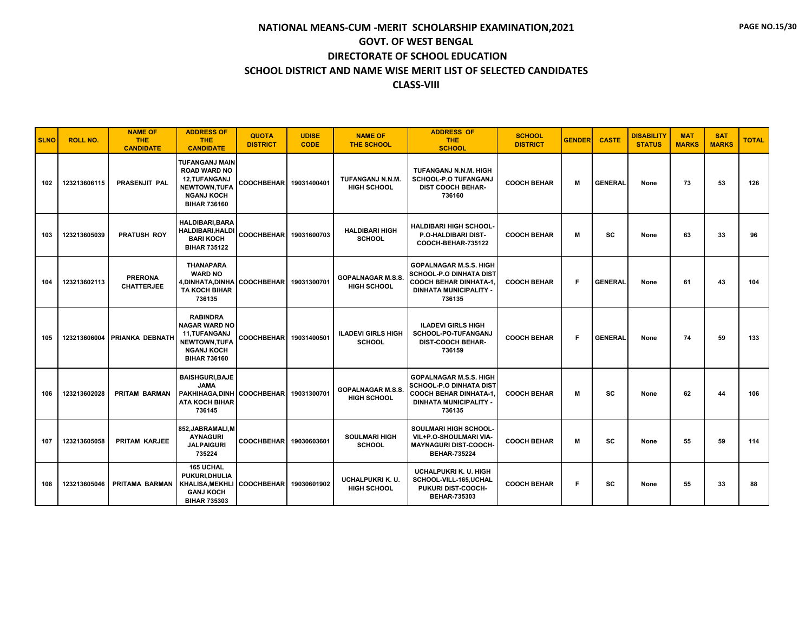| <b>SLNO</b> | <b>ROLL NO.</b> | <b>NAME OF</b><br>THE.<br><b>CANDIDATE</b> | <b>ADDRESS OF</b><br><b>THE</b><br><b>CANDIDATE</b>                                                                         | <b>QUOTA</b><br><b>DISTRICT</b> | <b>UDISE</b><br><b>CODE</b> | <b>NAME OF</b><br><b>THE SCHOOL</b>            | <b>ADDRESS OF</b><br><b>THE</b><br><b>SCHOOL</b>                                                                                            | <b>SCHOOL</b><br><b>DISTRICT</b> | <b>GENDER</b> | <b>CASTE</b>   | <b>DISABILITY</b><br><b>STATUS</b> | <b>MAT</b><br><b>MARKS</b> | <b>SAT</b><br><b>MARKS</b> | <b>TOTAL</b> |
|-------------|-----------------|--------------------------------------------|-----------------------------------------------------------------------------------------------------------------------------|---------------------------------|-----------------------------|------------------------------------------------|---------------------------------------------------------------------------------------------------------------------------------------------|----------------------------------|---------------|----------------|------------------------------------|----------------------------|----------------------------|--------------|
| 102         | 123213606115    | <b>PRASENJIT PAL</b>                       | <b>TUFANGANJ MAIN</b><br><b>ROAD WARD NO</b><br>12, TUFANGANJ<br>NEWTOWN, TUFA<br><b>NGANJ KOCH</b><br><b>BIHAR 736160</b>  | <b>COOCHBEHAR</b>               | 19031400401                 | TUFANGANJ N.N.M.<br><b>HIGH SCHOOL</b>         | TUFANGANJ N.N.M. HIGH<br><b>SCHOOL-P.O TUFANGANJ</b><br><b>DIST COOCH BEHAR-</b><br>736160                                                  | <b>COOCH BEHAR</b>               | M             | <b>GENERAL</b> | None                               | 73                         | 53                         | 126          |
| 103         | 123213605039    | <b>PRATUSH ROY</b>                         | <b>HALDIBARI.BARA</b><br><b>HALDIBARI, HALDI</b><br><b>BARI KOCH</b><br><b>BIHAR 735122</b>                                 | <b>COOCHBEHAR</b>               | 19031600703                 | <b>HALDIBARI HIGH</b><br><b>SCHOOL</b>         | <b>HALDIBARI HIGH SCHOOL-</b><br>P.O-HALDIBARI DIST-<br><b>COOCH-BEHAR-735122</b>                                                           | <b>COOCH BEHAR</b>               | M             | <b>SC</b>      | None                               | 63                         | 33                         | 96           |
| 104         | 123213602113    | <b>PRERONA</b><br><b>CHATTERJEE</b>        | <b>THANAPARA</b><br><b>WARD NO</b><br>4, DINHATA, DINHA<br><b>TA KOCH BIHAR</b><br>736135                                   | COOCHBEHAR 19031300701          |                             | <b>GOPALNAGAR M.S.S</b><br><b>HIGH SCHOOL</b>  | <b>GOPALNAGAR M.S.S. HIGH</b><br><b>SCHOOL-P.O DINHATA DIST</b><br><b>COOCH BEHAR DINHATA-1</b><br><b>DINHATA MUNICIPALITY</b><br>736135    | <b>COOCH BEHAR</b>               | F             | <b>GENERAL</b> | None                               | 61                         | 43                         | 104          |
| 105         | 123213606004    | <b>PRIANKA DEBNATH</b>                     | <b>RABINDRA</b><br><b>NAGAR WARD NO</b><br><b>11.TUFANGANJ</b><br>NEWTOWN, TUFA<br><b>NGANJ KOCH</b><br><b>BIHAR 736160</b> | <b>COOCHBEHAR</b>               | 19031400501                 | <b>ILADEVI GIRLS HIGH</b><br><b>SCHOOL</b>     | <b>ILADEVI GIRLS HIGH</b><br>SCHOOL-PO-TUFANGANJ<br><b>DIST-COOCH BEHAR-</b><br>736159                                                      | <b>COOCH BEHAR</b>               | F.            | <b>GENERAL</b> | None                               | 74                         | 59                         | 133          |
| 106         | 123213602028    | <b>PRITAM BARMAN</b>                       | <b>BAISHGURI, BAJE</b><br><b>JAMA</b><br>PAKHIHAGA.DINH<br><b>ATA KOCH BIHAR</b><br>736145                                  | <b>COOCHBEHAR</b>               | 19031300701                 | <b>GOPALNAGAR M.S.S.</b><br><b>HIGH SCHOOL</b> | <b>GOPALNAGAR M.S.S. HIGH</b><br><b>SCHOOL-P.O DINHATA DIST</b><br><b>COOCH BEHAR DINHATA-1.</b><br><b>DINHATA MUNICIPALITY -</b><br>736135 | <b>COOCH BEHAR</b>               | M             | <b>SC</b>      | None                               | 62                         | 44                         | 106          |
| 107         | 123213605058    | PRITAM KARJEE                              | 852.JABRAMALI.M<br><b>AYNAGURI</b><br><b>JALPAIGURI</b><br>735224                                                           | <b>COOCHBEHAR</b>               | 19030603601                 | <b>SOULMARI HIGH</b><br><b>SCHOOL</b>          | SOULMARI HIGH SCHOOL-<br>VIL+P.O-SHOULMARI VIA-<br><b>MAYNAGURI DIST-COOCH-</b><br><b>BEHAR-735224</b>                                      | <b>COOCH BEHAR</b>               | M             | <b>SC</b>      | None                               | 55                         | 59                         | 114          |
| 108         | 123213605046    | PRITAMA BARMAN                             | <b>165 UCHAL</b><br>PUKURI.DHULIA<br><b>KHALISA, MEKHLI</b><br><b>GANJ KOCH</b><br><b>BIHAR 735303</b>                      | <b>COOCHBEHAR</b>               | 19030601902                 | UCHALPUKRI K. U.<br>HIGH SCHOOL                | <b>UCHALPUKRI K. U. HIGH</b><br>SCHOOL-VILL-165,UCHAL<br>PUKURI DIST-COOCH-<br><b>BEHAR-735303</b>                                          | <b>COOCH BEHAR</b>               | F             | sc             | None                               | 55                         | 33                         | 88           |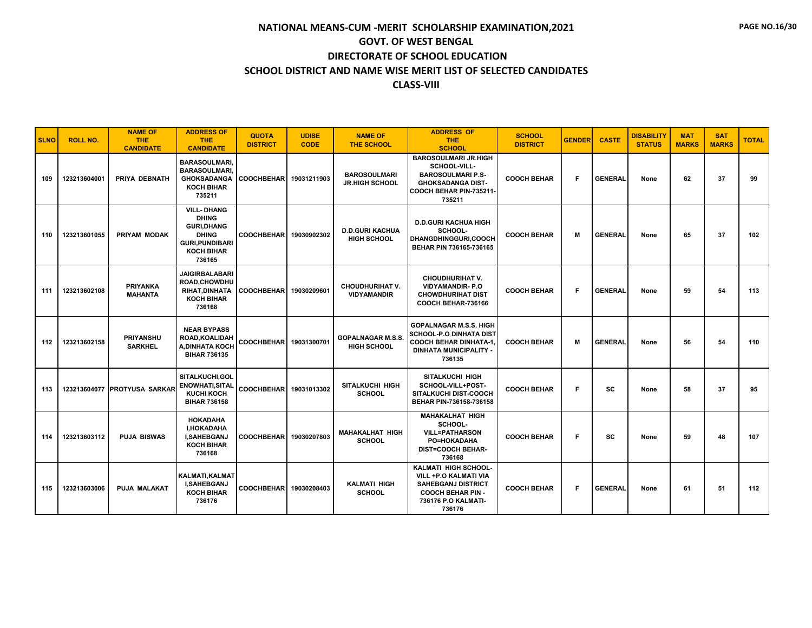| <b>SLNO</b> | <b>ROLL NO.</b> | <b>NAME OF</b><br><b>THE</b><br><b>CANDIDATE</b> | <b>ADDRESS OF</b><br><b>THE</b><br><b>CANDIDATE</b>                                                                             | <b>QUOTA</b><br><b>DISTRICT</b> | <b>UDISE</b><br><b>CODE</b> | <b>NAME OF</b><br><b>THE SCHOOL</b>            | <b>ADDRESS OF</b><br><b>THE</b><br><b>SCHOOL</b>                                                                                               | <b>SCHOOL</b><br><b>DISTRICT</b> | <b>GENDER</b> | <b>CASTE</b>   | <b>DISABILITY</b><br><b>STATUS</b> | <b>MAT</b><br><b>MARKS</b> | <b>SAT</b><br><b>MARKS</b> | <b>TOTAL</b> |
|-------------|-----------------|--------------------------------------------------|---------------------------------------------------------------------------------------------------------------------------------|---------------------------------|-----------------------------|------------------------------------------------|------------------------------------------------------------------------------------------------------------------------------------------------|----------------------------------|---------------|----------------|------------------------------------|----------------------------|----------------------------|--------------|
| 109         | 123213604001    | PRIYA DEBNATH                                    | <b>BARASOULMARI</b><br><b>BARASOULMARI</b><br><b>GHOKSADANGA</b><br><b>KOCH BIHAR</b><br>735211                                 | COOCHBEHAR 19031211903          |                             | <b>BAROSOULMARI</b><br><b>JR.HIGH SCHOOL</b>   | <b>BAROSOULMARI JR.HIGH</b><br>SCHOOL-VILL-<br><b>BAROSOULMARI P.S-</b><br><b>GHOKSADANGA DIST-</b><br>COOCH BEHAR PIN-735211-<br>735211       | <b>COOCH BEHAR</b>               | F             | <b>GENERAL</b> | None                               | 62                         | 37                         | 99           |
| 110         | 123213601055    | PRIYAM MODAK                                     | <b>VILL-DHANG</b><br><b>DHING</b><br><b>GURI, DHANG</b><br><b>DHING</b><br><b>GURI.PUNDIBARI</b><br><b>KOCH BIHAR</b><br>736165 | <b>COOCHBEHAR</b>               | 19030902302                 | <b>D.D.GURI KACHUA</b><br><b>HIGH SCHOOL</b>   | <b>D.D.GURI KACHUA HIGH</b><br>SCHOOL-<br><b>DHANGDHINGGURI.COOCH</b><br>BEHAR PIN 736165-736165                                               | <b>COOCH BEHAR</b>               | M             | <b>GENERAL</b> | None                               | 65                         | 37                         | 102          |
| 111         | 123213602108    | <b>PRIYANKA</b><br><b>MAHANTA</b>                | <b>JAIGIRBALABARI</b><br><b>ROAD.CHOWDHU</b><br><b>RIHAT.DINHATA</b><br><b>KOCH BIHAR</b><br>736168                             | COOCHBEHAR 19030209601          |                             | <b>CHOUDHURIHAT V.</b><br><b>VIDYAMANDIR</b>   | <b>CHOUDHURIHAT V.</b><br><b>VIDYAMANDIR-P.O</b><br><b>CHOWDHURIHAT DIST</b><br>COOCH BEHAR-736166                                             | <b>COOCH BEHAR</b>               | F             | <b>GENERAL</b> | None                               | 59                         | 54                         | 113          |
| 112         | 123213602158    | <b>PRIYANSHU</b><br><b>SARKHEL</b>               | <b>NEAR BYPASS</b><br>ROAD, KOALIDAH<br><b>A.DINHATA KOCH</b><br><b>BIHAR 736135</b>                                            | COOCHBEHAR 19031300701          |                             | <b>GOPALNAGAR M.S.S.</b><br><b>HIGH SCHOOL</b> | <b>GOPALNAGAR M.S.S. HIGH</b><br><b>SCHOOL-P.O DINHATA DIST</b><br><b>COOCH BEHAR DINHATA-1.</b><br><b>DINHATA MUNICIPALITY -</b><br>736135    | <b>COOCH BEHAR</b>               | м             | <b>GENERAL</b> | None                               | 56                         | 54                         | 110          |
| 113         |                 | 123213604077 PROTYUSA SARKAR                     | SITALKUCHI.GOL<br><b>ENOWHATI, SITAL</b><br><b>KUCHI KOCH</b><br><b>BIHAR 736158</b>                                            | COOCHBEHAR 19031013302          |                             | SITALKUCHI HIGH<br><b>SCHOOL</b>               | <b>SITALKUCHI HIGH</b><br>SCHOOL-VILL+POST-<br><b>SITALKUCHI DIST-COOCH</b><br>BEHAR PIN-736158-736158                                         | <b>COOCH BEHAR</b>               | F.            | SC             | None                               | 58                         | 37                         | 95           |
| 114         | 123213603112    | <b>PUJA BISWAS</b>                               | <b>HOKADAHA</b><br>I, HOKADAHA<br>I, SAHEBGANJ<br><b>KOCH BIHAR</b><br>736168                                                   | <b>COOCHBEHAR</b>               | 19030207803                 | <b>MAHAKALHAT HIGH</b><br><b>SCHOOL</b>        | <b>MAHAKALHAT HIGH</b><br>SCHOOL-<br><b>VILL=PATHARSON</b><br>PO=HOKADAHA<br><b>DIST=COOCH BEHAR-</b><br>736168                                | <b>COOCH BEHAR</b>               | F             | SC             | None                               | 59                         | 48                         | 107          |
| 115         | 123213603006    | PUJA MALAKAT                                     | KALMATI, KALMAT<br>I, SAHEBGANJ<br><b>KOCH BIHAR</b><br>736176                                                                  | <b>COOCHBEHAR</b>               | 19030208403                 | <b>KALMATI HIGH</b><br><b>SCHOOL</b>           | <b>KALMATI HIGH SCHOOL-</b><br>VILL +P.O KALMATI VIA<br><b>SAHEBGANJ DISTRICT</b><br><b>COOCH BEHAR PIN -</b><br>736176 P.O KALMATI-<br>736176 | <b>COOCH BEHAR</b>               | F             | <b>GENERAL</b> | None                               | 61                         | 51                         | 112          |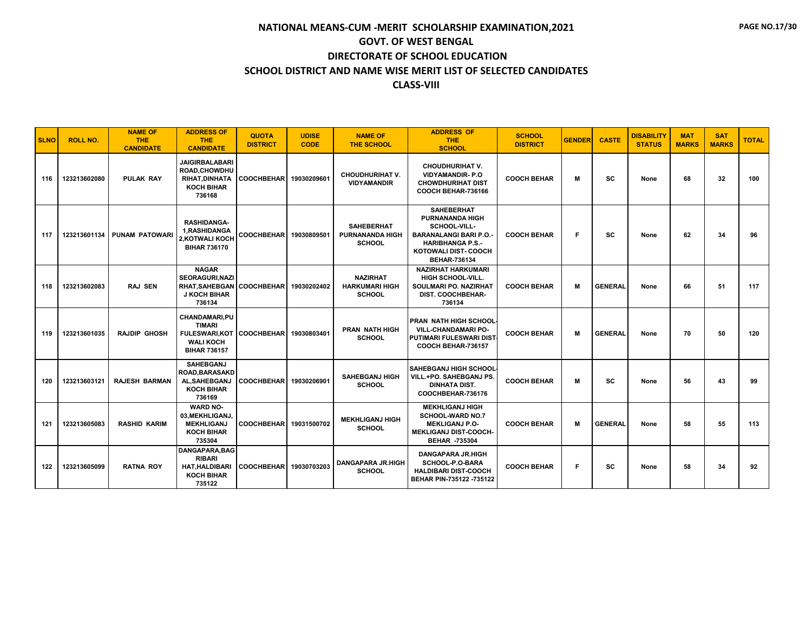| <b>SLNO</b> | <b>ROLL NO.</b> | <b>NAME OF</b><br>THE.<br><b>CANDIDATE</b> | <b>ADDRESS OF</b><br><b>THE</b><br><b>CANDIDATE</b>                                               | <b>QUOTA</b><br><b>DISTRICT</b> | <b>UDISE</b><br><b>CODE</b> | <b>NAME OF</b><br><b>THE SCHOOL</b>                          | <b>ADDRESS OF</b><br><b>THE</b><br><b>SCHOOL</b>                                                                                                                             | <b>SCHOOL</b><br><b>DISTRICT</b> | <b>GENDER</b> | <b>CASTE</b>   | <b>DISABILITY</b><br><b>STATUS</b> | <b>MAT</b><br><b>MARKS</b> | <b>SAT</b><br><b>MARKS</b> | <b>TOTAL</b> |
|-------------|-----------------|--------------------------------------------|---------------------------------------------------------------------------------------------------|---------------------------------|-----------------------------|--------------------------------------------------------------|------------------------------------------------------------------------------------------------------------------------------------------------------------------------------|----------------------------------|---------------|----------------|------------------------------------|----------------------------|----------------------------|--------------|
| 116         | 123213602080    | <b>PULAK RAY</b>                           | <b>JAIGIRBALABARI</b><br>ROAD, CHOWDHU<br><b>RIHAT.DINHATA</b><br><b>KOCH BIHAR</b><br>736168     | <b>COOCHBEHAR</b>               | 19030209601                 | <b>CHOUDHURIHAT V.</b><br><b>VIDYAMANDIR</b>                 | <b>CHOUDHURIHAT V.</b><br><b>VIDYAMANDIR-P.O</b><br><b>CHOWDHURIHAT DIST</b><br>COOCH BEHAR-736166                                                                           | <b>COOCH BEHAR</b>               | M             | <b>SC</b>      | None                               | 68                         | 32                         | 100          |
| 117         | 123213601134    | <b>PUNAM PATOWARI</b>                      | <b>RASHIDANGA-</b><br>1, RASHIDANGA<br>2, KOTWALI KOCH<br><b>BIHAR 736170</b>                     | <b>COOCHBEHAR</b>               | 19030809501                 | <b>SAHEBERHAT</b><br><b>PURNANANDA HIGH</b><br><b>SCHOOL</b> | <b>SAHEBERHAT</b><br><b>PURNANANDA HIGH</b><br>SCHOOL-VILL-<br><b>BARANALANGI BARI P.O.</b><br><b>HARIBHANGA P.S.-</b><br><b>KOTOWALI DIST- COOCH</b><br><b>BEHAR-736134</b> | <b>COOCH BEHAR</b>               | F             | <b>SC</b>      | None                               | 62                         | 34                         | 96           |
| 118         | 123213602083    | <b>RAJ SEN</b>                             | <b>NAGAR</b><br><b>SEORAGURI.NAZI</b><br><b>RHAT.SAHEBGAN</b><br><b>J KOCH BIHAR</b><br>736134    | <b>COOCHBEHAR</b>               | 19030202402                 | <b>NAZIRHAT</b><br><b>HARKUMARI HIGH</b><br><b>SCHOOL</b>    | <b>NAZIRHAT HARKUMARI</b><br><b>HIGH SCHOOL-VILL.</b><br><b>SOULMARI PO. NAZIRHAT</b><br><b>DIST. COOCHBEHAR-</b><br>736134                                                  | <b>COOCH BEHAR</b>               | М             | <b>GENERAL</b> | None                               | 66                         | 51                         | 117          |
| 119         | 123213601035    | <b>RAJDIP GHOSH</b>                        | CHANDAMARI,PU<br><b>TIMARI</b><br><b>FULESWARI,KOT</b><br><b>WALI KOCH</b><br><b>BIHAR 736157</b> | <b>COOCHBEHARI</b>              | 19030803401                 | <b>PRAN NATH HIGH</b><br><b>SCHOOL</b>                       | <b>PRAN NATH HIGH SCHOOL-</b><br><b>VILL-CHANDAMARI PO-</b><br><b>PUTIMARI FULESWARI DIST</b><br>COOCH BEHAR-736157                                                          | <b>COOCH BEHAR</b>               | М             | <b>GENERAL</b> | None                               | 70                         | 50                         | 120          |
| 120         | 123213603121    | <b>RAJESH BARMAN</b>                       | <b>SAHEBGANJ</b><br><b>ROAD, BARASAKD</b><br>AL, SAHEBGANJ<br><b>KOCH BIHAR</b><br>736169         | <b>COOCHBEHAR</b>               | 19030206901                 | <b>SAHEBGANJ HIGH</b><br><b>SCHOOL</b>                       | <b>SAHEBGANJ HIGH SCHOOL</b><br>VILL.+PO. SAHEBGANJ PS.<br><b>DINHATA DIST.</b><br>COOCHBEHAR-736176                                                                         | <b>COOCH BEHAR</b>               | М             | <b>SC</b>      | None                               | 56                         | 43                         | 99           |
| 121         | 123213605083    | <b>RASHID KARIM</b>                        | <b>WARD NO-</b><br>03.MEKHLIGANJ.<br><b>MEKHLIGANJ</b><br><b>KOCH BIHAR</b><br>735304             | <b>COOCHBEHAR</b>               | 19031500702                 | <b>MEKHLIGANJ HIGH</b><br><b>SCHOOL</b>                      | <b>MEKHLIGANJ HIGH</b><br><b>SCHOOL-WARD NO.7</b><br><b>MEKLIGANJ P.O-</b><br><b>MEKLIGANJ DIST-COOCH-</b><br><b>BEHAR -735304</b>                                           | <b>COOCH BEHAR</b>               | м             | <b>GENERAL</b> | None                               | 58                         | 55                         | 113          |
| 122         | 123213605099    | <b>RATNA ROY</b>                           | DANGAPARA, BAG<br><b>RIBARI</b><br><b>HAT, HALDIBARI</b><br><b>KOCH BIHAR</b><br>735122           | <b>COOCHBEHAR</b>               | 19030703203                 | <b>DANGAPARA JR.HIGH</b><br><b>SCHOOL</b>                    | <b>DANGAPARA JR.HIGH</b><br>SCHOOL-P.O-BARA<br><b>HALDIBARI DIST-COOCH</b><br>BEHAR PIN-735122 -735122                                                                       | <b>COOCH BEHAR</b>               | F             | <b>SC</b>      | None                               | 58                         | 34                         | 92           |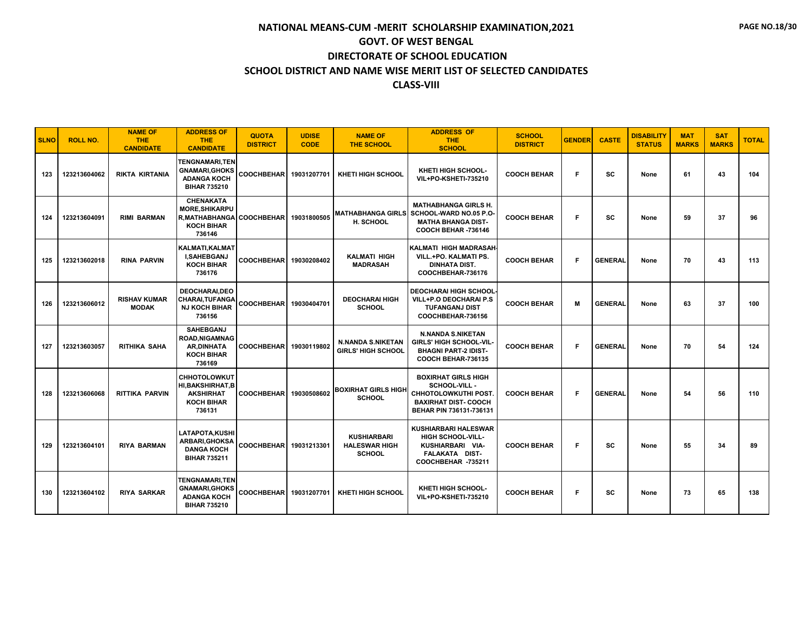| <b>SLNO</b> | <b>ROLL NO.</b> | <b>NAME OF</b><br>THE.<br><b>CANDIDATE</b> | <b>ADDRESS OF</b><br>THE.<br><b>CANDIDATE</b>                                                              | <b>QUOTA</b><br><b>DISTRICT</b> | <b>UDISE</b><br><b>CODE</b> | <b>NAME OF</b><br><b>THE SCHOOL</b>                         | <b>ADDRESS OF</b><br><b>THE</b><br><b>SCHOOL</b>                                                                                    | <b>SCHOOL</b><br><b>DISTRICT</b> | <b>GENDER</b> | <b>CASTE</b>   | <b>DISABILITY</b><br><b>STATUS</b> | <b>MAT</b><br><b>MARKS</b> | <b>SAT</b><br><b>MARKS</b> | <b>TOTAL</b> |
|-------------|-----------------|--------------------------------------------|------------------------------------------------------------------------------------------------------------|---------------------------------|-----------------------------|-------------------------------------------------------------|-------------------------------------------------------------------------------------------------------------------------------------|----------------------------------|---------------|----------------|------------------------------------|----------------------------|----------------------------|--------------|
| 123         | 123213604062    | <b>RIKTA KIRTANIA</b>                      | <b>TENGNAMARI.TEN</b><br><b>GNAMARI, GHOKS</b><br><b>ADANGA KOCH</b><br><b>BIHAR 735210</b>                | COOCHBEHAR                      | 19031207701                 | <b>KHETI HIGH SCHOOL</b>                                    | KHETI HIGH SCHOOL-<br><b>VIL+PO-KSHETI-735210</b>                                                                                   | <b>COOCH BEHAR</b>               | F             | <b>SC</b>      | None                               | 61                         | 43                         | 104          |
| 124         | 123213604091    | <b>RIMI BARMAN</b>                         | <b>CHENAKATA</b><br><b>MORE.SHIKARPU</b><br><b>R.MATHABHANGA COOCHBEHAR</b><br><b>KOCH BIHAR</b><br>736146 |                                 | 19031800505                 | <b>MATHABHANGA GIRLS</b><br><b>H. SCHOOL</b>                | <b>MATHABHANGA GIRLS H.</b><br>SCHOOL-WARD NO.05 P.O-<br><b>MATHA BHANGA DIST-</b><br>COOCH BEHAR -736146                           | <b>COOCH BEHAR</b>               | F             | sc             | None                               | 59                         | 37                         | 96           |
| 125         | 123213602018    | <b>RINA PARVIN</b>                         | KALMATI.KALMAT<br><b>I,SAHEBGANJ</b><br><b>KOCH BIHAR</b><br>736176                                        | <b>COOCHBEHAR</b>               | 19030208402                 | <b>KALMATI HIGH</b><br><b>MADRASAH</b>                      | <b>KALMATI HIGH MADRASAH</b><br>VILL.+PO. KALMATI PS.<br><b>DINHATA DIST.</b><br>COOCHBEHAR-736176                                  | <b>COOCH BEHAR</b>               | F.            | <b>GENERAL</b> | None                               | 70                         | 43                         | 113          |
| 126         | 123213606012    | <b>RISHAV KUMAR</b><br><b>MODAK</b>        | <b>DEOCHARAI.DEO</b><br><b>CHARAI, TUFANGA</b><br><b>NJ KOCH BIHAR</b><br>736156                           | <b>COOCHBEHAR</b>               | 19030404701                 | <b>DEOCHARAI HIGH</b><br><b>SCHOOL</b>                      | <b>DEOCHARAI HIGH SCHOOL</b><br><b>VILL+P.O DEOCHARAI P.S</b><br><b>TUFANGANJ DIST</b><br>COOCHBEHAR-736156                         | <b>COOCH BEHAR</b>               | м             | <b>GENERAL</b> | None                               | 63                         | 37                         | 100          |
| 127         | 123213603057    | <b>RITHIKA SAHA</b>                        | <b>SAHEBGANJ</b><br><b>ROAD.NIGAMNAG</b><br><b>AR.DINHATA</b><br><b>KOCH BIHAR</b><br>736169               | <b>COOCHBEHAR</b>               | 19030119802                 | <b>N.NANDA S.NIKETAN</b><br><b>GIRLS' HIGH SCHOOL</b>       | <b>N.NANDA S.NIKETAN</b><br><b>GIRLS' HIGH SCHOOL-VIL</b><br><b>BHAGNI PART-2 IDIST-</b><br>COOCH BEHAR-736135                      | <b>COOCH BEHAR</b>               | F.            | <b>GENERAL</b> | None                               | 70                         | 54                         | 124          |
| 128         | 123213606068    | <b>RITTIKA PARVIN</b>                      | <b>CHHOTOLOWKUT</b><br><b>HI.BAKSHIRHAT.B</b><br><b>AKSHIRHAT</b><br><b>KOCH BIHAR</b><br>736131           | <b>COOCHBEHAR</b>               | 19030508602                 | <b>BOXIRHAT GIRLS HIGH</b><br><b>SCHOOL</b>                 | <b>BOXIRHAT GIRLS HIGH</b><br>SCHOOL-VILL -<br><b>CHHOTOLOWKUTHI POST</b><br><b>BAXIRHAT DIST- COOCH</b><br>BEHAR PIN 736131-736131 | <b>COOCH BEHAR</b>               | F.            | <b>GENERAL</b> | None                               | 54                         | 56                         | 110          |
| 129         | 123213604101    | <b>RIYA BARMAN</b>                         | LATAPOTA, KUSHI<br>ARBARI, GHOKSA<br><b>DANGA KOCH</b><br><b>BIHAR 735211</b>                              | <b>COOCHBEHAR</b>               | 19031213301                 | <b>KUSHIARBARI</b><br><b>HALESWAR HIGH</b><br><b>SCHOOL</b> | <b>KUSHIARBARI HALESWAR</b><br><b>HIGH SCHOOL-VILL-</b><br>KUSHIARBARI VIA-<br>FALAKATA DIST-<br>COOCHBEHAR -735211                 | <b>COOCH BEHAR</b>               | F             | <b>SC</b>      | None                               | 55                         | 34                         | 89           |
| 130         | 123213604102    | <b>RIYA SARKAR</b>                         | <b>TENGNAMARI,TEN</b><br><b>GNAMARI, GHOKS</b><br><b>ADANGA KOCH</b><br><b>BIHAR 735210</b>                | COOCHBEHAR 19031207701          |                             | <b>KHETI HIGH SCHOOL</b>                                    | KHETI HIGH SCHOOL-<br>VIL+PO-KSHETI-735210                                                                                          | <b>COOCH BEHAR</b>               | F             | <b>SC</b>      | None                               | 73                         | 65                         | 138          |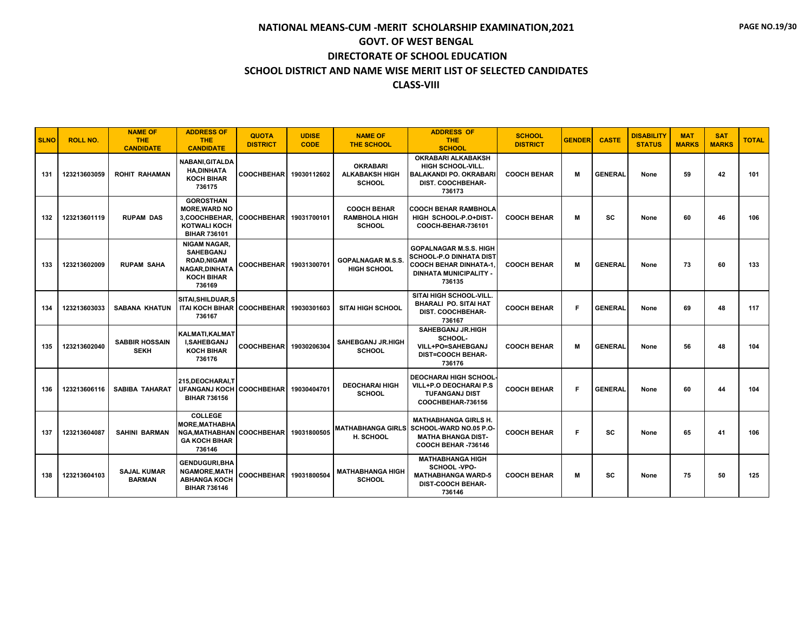| <b>SLNO</b> | <b>ROLL NO.</b> | <b>NAME OF</b><br><b>THE</b><br><b>CANDIDATE</b> | <b>ADDRESS OF</b><br><b>THE</b><br><b>CANDIDATE</b>                                                                  | <b>QUOTA</b><br><b>DISTRICT</b> | <b>UDISE</b><br><b>CODE</b> | <b>NAME OF</b><br><b>THE SCHOOL</b>                         | <b>ADDRESS OF</b><br><b>THE</b><br><b>SCHOOL</b>                                                                                            | <b>SCHOOL</b><br><b>DISTRICT</b> | <b>GENDER</b> | <b>CASTE</b>   | <b>DISABILITY</b><br><b>STATUS</b> | <b>MAT</b><br><b>MARKS</b> | <b>SAT</b><br><b>MARKS</b> | <b>TOTAL</b> |
|-------------|-----------------|--------------------------------------------------|----------------------------------------------------------------------------------------------------------------------|---------------------------------|-----------------------------|-------------------------------------------------------------|---------------------------------------------------------------------------------------------------------------------------------------------|----------------------------------|---------------|----------------|------------------------------------|----------------------------|----------------------------|--------------|
| 131         | 123213603059    | <b>ROHIT RAHAMAN</b>                             | <b>NABANI, GITALDA</b><br><b>HA,DINHATA</b><br><b>KOCH BIHAR</b><br>736175                                           | <b>COOCHBEHAR</b>               | 19030112602                 | <b>OKRABARI</b><br><b>ALKABAKSH HIGH</b><br><b>SCHOOL</b>   | <b>OKRABARI ALKABAKSH</b><br><b>HIGH SCHOOL-VILL.</b><br><b>BALAKANDI PO. OKRABARI</b><br>DIST. COOCHBEHAR-<br>736173                       | <b>COOCH BEHAR</b>               | м             | <b>GENERAL</b> | None                               | 59                         | 42                         | 101          |
| 132         | 123213601119    | <b>RUPAM DAS</b>                                 | <b>GOROSTHAN</b><br><b>MORE.WARD NO</b><br>3,COOCHBEHAR,<br><b>KOTWALI KOCH</b><br><b>BIHAR 736101</b>               | <b>COOCHBEHAR</b>               | 19031700101                 | <b>COOCH BEHAR</b><br><b>RAMBHOLA HIGH</b><br><b>SCHOOL</b> | <b>COOCH BEHAR RAMBHOLA</b><br>HIGH SCHOOL-P.O+DIST-<br>COOCH-BEHAR-736101                                                                  | <b>COOCH BEHAR</b>               | M             | <b>SC</b>      | None                               | 60                         | 46                         | 106          |
| 133         | 123213602009    | <b>RUPAM SAHA</b>                                | <b>NIGAM NAGAR.</b><br><b>SAHEBGANJ</b><br><b>ROAD, NIGAM</b><br><b>NAGAR.DINHATA</b><br><b>KOCH BIHAR</b><br>736169 | <b>COOCHBEHAR</b>               | 19031300701                 | <b>GOPALNAGAR M.S.S.</b><br><b>HIGH SCHOOL</b>              | <b>GOPALNAGAR M.S.S. HIGH</b><br><b>SCHOOL-P.O DINHATA DIST</b><br><b>COOCH BEHAR DINHATA-1,</b><br><b>DINHATA MUNICIPALITY -</b><br>736135 | <b>COOCH BEHAR</b>               | M             | <b>GENERAL</b> | None                               | 73                         | 60                         | 133          |
| 134         | 123213603033    | <b>SABANA KHATUN</b>                             | <b>SITAI.SHILDUAR.S</b><br>ITAI KOCH BIHAR COOCHBEHAR<br>736167                                                      |                                 | 19030301603                 | <b>SITAI HIGH SCHOOL</b>                                    | <b>SITAI HIGH SCHOOL-VILL</b><br><b>BHARALI PO. SITAI HAT</b><br><b>DIST. COOCHBEHAR-</b><br>736167                                         | <b>COOCH BEHAR</b>               | F.            | <b>GENERAL</b> | None                               | 69                         | 48                         | 117          |
| 135         | 123213602040    | <b>SABBIR HOSSAIN</b><br><b>SEKH</b>             | KALMATI, KALMAT<br><b>I.SAHEBGANJ</b><br><b>KOCH BIHAR</b><br>736176                                                 | <b>COOCHBEHAR</b>               | 19030206304                 | SAHEBGANJ JR.HIGH<br><b>SCHOOL</b>                          | <b>SAHEBGANJ JR.HIGH</b><br>SCHOOL-<br>VILL+PO=SAHEBGANJ<br><b>DIST=COOCH BEHAR-</b><br>736176                                              | <b>COOCH BEHAR</b>               | M             | <b>GENERAL</b> | None                               | 56                         | 48                         | 104          |
| 136         | 123213606116    | <b>SABIBA TAHARAT</b>                            | 215.DEOCHARAI.T<br>UFANGANJ KOCH   COOCHBEHAR  <br><b>BIHAR 736156</b>                                               |                                 | 19030404701                 | <b>DEOCHARAI HIGH</b><br><b>SCHOOL</b>                      | <b>DEOCHARAI HIGH SCHOOL</b><br>VILL+P.O DEOCHARAI P.S<br><b>TUFANGANJ DIST</b><br>COOCHBEHAR-736156                                        | <b>COOCH BEHAR</b>               | F.            | <b>GENERAL</b> | None                               | 60                         | 44                         | 104          |
| 137         | 123213604087    | <b>SAHINI BARMAN</b>                             | <b>COLLEGE</b><br><b>MORE, MATHABHA</b><br>NGA, MATHABHAN COOCHBEHAR<br><b>GA KOCH BIHAR</b><br>736146               |                                 | 19031800505                 | H. SCHOOL                                                   | <b>MATHABHANGA GIRLS H.</b><br><b>MATHABHANGA GIRLS SCHOOL-WARD NO.05 P.O-</b><br><b>MATHA BHANGA DIST-</b><br>COOCH BEHAR -736146          | <b>COOCH BEHAR</b>               | Е             | SC             | None                               | 65                         | 41                         | 106          |
| 138         | 123213604103    | <b>SAJAL KUMAR</b><br><b>BARMAN</b>              | <b>GENDUGURI, BHA</b><br><b>NGAMORE, MATH</b><br><b>ABHANGA KOCH</b><br><b>BIHAR 736146</b>                          | COOCHBEHAR 19031800504          |                             | <b>MATHABHANGA HIGH</b><br><b>SCHOOL</b>                    | <b>MATHABHANGA HIGH</b><br>SCHOOL -VPO-<br><b>MATHABHANGA WARD-5</b><br><b>DIST-COOCH BEHAR-</b><br>736146                                  | <b>COOCH BEHAR</b>               | М             | SC             | None                               | 75                         | 50                         | 125          |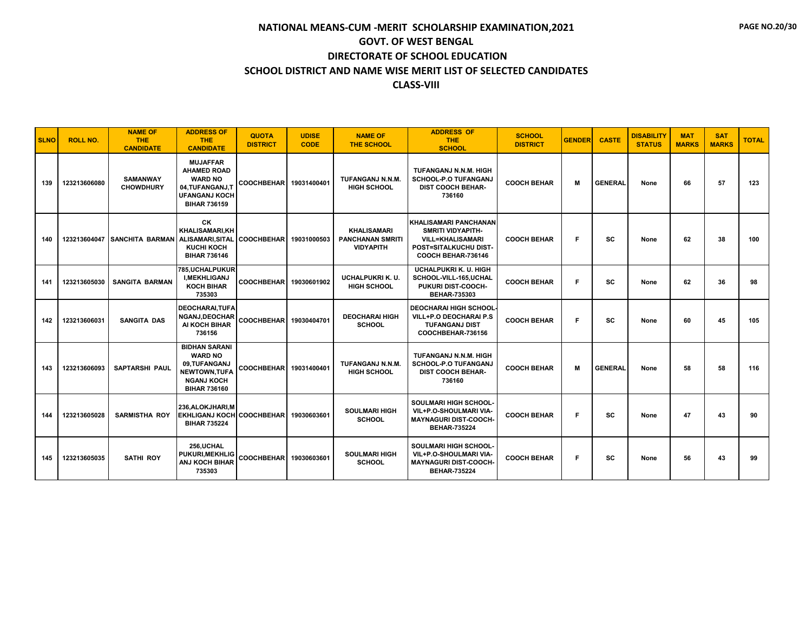| <b>SLNO</b> | <b>ROLL NO.</b> | <b>NAME OF</b><br><b>THE</b><br><b>CANDIDATE</b>         | <b>ADDRESS OF</b><br><b>THE</b><br><b>CANDIDATE</b>                                                                        | <b>QUOTA</b><br><b>DISTRICT</b> | <b>UDISE</b><br><b>CODE</b> | <b>NAME OF</b><br><b>THE SCHOOL</b>                               | <b>ADDRESS OF</b><br><b>THE</b><br><b>SCHOOL</b>                                                                            | <b>SCHOOL</b><br><b>DISTRICT</b> | <b>GENDER</b> | <b>CASTE</b>   | <b>DISABILITY</b><br><b>STATUS</b> | <b>MAT</b><br><b>MARKS</b> | <b>SAT</b><br><b>MARKS</b> | <b>TOTAL</b> |
|-------------|-----------------|----------------------------------------------------------|----------------------------------------------------------------------------------------------------------------------------|---------------------------------|-----------------------------|-------------------------------------------------------------------|-----------------------------------------------------------------------------------------------------------------------------|----------------------------------|---------------|----------------|------------------------------------|----------------------------|----------------------------|--------------|
| 139         | 123213606080    | <b>SAMANWAY</b><br><b>CHOWDHURY</b>                      | <b>MUJAFFAR</b><br><b>AHAMED ROAD</b><br><b>WARD NO</b><br>04, TUFANGANJ, T<br><b>UFANGANJ KOCH</b><br><b>BIHAR 736159</b> | COOCHBEHAR 19031400401          |                             | TUFANGANJ N.N.M.<br><b>HIGH SCHOOL</b>                            | TUFANGANJ N.N.M. HIGH<br><b>SCHOOL-P.O TUFANGANJ</b><br><b>DIST COOCH BEHAR-</b><br>736160                                  | <b>COOCH BEHAR</b>               | M             | <b>GENERAL</b> | None                               | 66                         | 57                         | 123          |
| 140         |                 | 123213604047 SANCHITA BARMAN ALISAMARI, SITAL COOCHBEHAR | CK<br><b>KHALISAMARI,KH</b><br><b>KUCHI KOCH</b><br><b>BIHAR 736146</b>                                                    |                                 | 19031000503                 | <b>KHALISAMARI</b><br><b>PANCHANAN SMRITI</b><br><b>VIDYAPITH</b> | KHALISAMARI PANCHANAN<br><b>SMRITI VIDYAPITH-</b><br><b>VILL=KHALISAMARI</b><br>POST=SITALKUCHU DIST-<br>COOCH BEHAR-736146 | <b>COOCH BEHAR</b>               | F.            | SC             | None                               | 62                         | 38                         | 100          |
| 141         | 123213605030    | <b>SANGITA BARMAN</b>                                    | 785, UCHALPUKUR<br><b>I.MEKHLIGANJ</b><br><b>KOCH BIHAR</b><br>735303                                                      | <b>COOCHBEHAR</b>               | 19030601902                 | <b>UCHALPUKRI K. U.</b><br><b>HIGH SCHOOL</b>                     | <b>UCHALPUKRI K. U. HIGH</b><br>SCHOOL-VILL-165, UCHAL<br>PUKURI DIST-COOCH-<br><b>BEHAR-735303</b>                         | <b>COOCH BEHAR</b>               | F.            | <b>SC</b>      | None                               | 62                         | 36                         | 98           |
| 142         | 123213606031    | <b>SANGITA DAS</b>                                       | <b>DEOCHARAI.TUFA</b><br><b>NGANJ.DEOCHAR</b><br>AI KOCH BIHAR<br>736156                                                   | COOCHBEHAR 19030404701          |                             | <b>DEOCHARAI HIGH</b><br><b>SCHOOL</b>                            | <b>DEOCHARAI HIGH SCHOOL</b><br>VILL+P.O DEOCHARAI P.S<br><b>TUFANGANJ DIST</b><br>COOCHBEHAR-736156                        | <b>COOCH BEHAR</b>               | F             | SC             | None                               | 60                         | 45                         | 105          |
| 143         | 123213606093    | <b>SAPTARSHI PAUL</b>                                    | <b>BIDHAN SARANI</b><br><b>WARD NO</b><br>09,TUFANGANJ<br>NEWTOWN, TUFA<br><b>NGANJ KOCH</b><br><b>BIHAR 736160</b>        | <b>COOCHBEHAR</b>               | 19031400401                 | TUFANGANJ N.N.M.<br><b>HIGH SCHOOL</b>                            | TUFANGANJ N.N.M. HIGH<br><b>SCHOOL-P.O TUFANGANJ</b><br><b>DIST COOCH BEHAR-</b><br>736160                                  | <b>COOCH BEHAR</b>               | M             | <b>GENERAL</b> | None                               | 58                         | 58                         | 116          |
| 144         | 123213605028    | <b>SARMISTHA ROY</b>                                     | 236.ALOKJHARI.M<br>EKHLIGANJ KOCH COOCHBEHAR<br><b>BIHAR 735224</b>                                                        |                                 | 19030603601                 | <b>SOULMARI HIGH</b><br><b>SCHOOL</b>                             | <b>SOULMARI HIGH SCHOOL-</b><br>VIL+P.O-SHOULMARI VIA-<br><b>MAYNAGURI DIST-COOCH-</b><br><b>BEHAR-735224</b>               | <b>COOCH BEHAR</b>               | F.            | SC             | None                               | 47                         | 43                         | 90           |
| 145         | 123213605035    | <b>SATHI ROY</b>                                         | 256.UCHAL<br>PUKURI, MEKHLIG<br>ANJ KOCH BIHAR<br>735303                                                                   | <b>COOCHBEHAR</b>               | 19030603601                 | <b>SOULMARI HIGH</b><br><b>SCHOOL</b>                             | SOULMARI HIGH SCHOOL-<br>VIL+P.O-SHOULMARI VIA-<br><b>MAYNAGURI DIST-COOCH-</b><br><b>BEHAR-735224</b>                      | <b>COOCH BEHAR</b>               | F.            | SC             | None                               | 56                         | 43                         | 99           |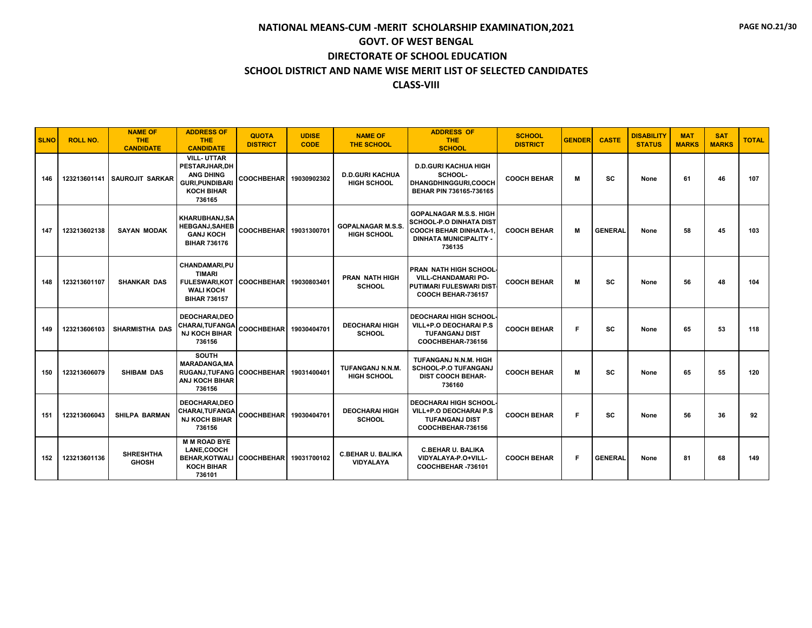| <b>SLNO</b> | <b>ROLL NO.</b> | <b>NAME OF</b><br><b>THE</b><br><b>CANDIDATE</b> | <b>ADDRESS OF</b><br><b>THE</b><br><b>CANDIDATE</b>                                                              | <b>QUOTA</b><br><b>DISTRICT</b> | <b>UDISE</b><br><b>CODE</b> | <b>NAME OF</b><br><b>THE SCHOOL</b>            | <b>ADDRESS OF</b><br><b>THE</b><br><b>SCHOOL</b>                                                                                            | <b>SCHOOL</b><br><b>DISTRICT</b> | <b>GENDER</b> | <b>CASTE</b>   | <b>DISABILITY</b><br><b>STATUS</b> | <b>MAT</b><br><b>MARKS</b> | <b>SAT</b><br><b>MARKS</b> | <b>TOTAL</b> |
|-------------|-----------------|--------------------------------------------------|------------------------------------------------------------------------------------------------------------------|---------------------------------|-----------------------------|------------------------------------------------|---------------------------------------------------------------------------------------------------------------------------------------------|----------------------------------|---------------|----------------|------------------------------------|----------------------------|----------------------------|--------------|
| 146         | 123213601141    | <b>SAUROJIT SARKAR</b>                           | <b>VILL-UTTAR</b><br>PESTARJHAR, DH<br><b>ANG DHING</b><br><b>GURI, PUNDIBARI</b><br><b>KOCH BIHAR</b><br>736165 | <b>COOCHBEHAR</b>               | 19030902302                 | <b>D.D.GURI KACHUA</b><br><b>HIGH SCHOOL</b>   | <b>D.D.GURI KACHUA HIGH</b><br>SCHOOL-<br>DHANGDHINGGURI,COOCH<br>BEHAR PIN 736165-736165                                                   | <b>COOCH BEHAR</b>               | M             | <b>SC</b>      | None                               | 61                         | 46                         | 107          |
| 147         | 123213602138    | <b>SAYAN MODAK</b>                               | <b>KHARUBHANJ,SA</b><br><b>HEBGANJ, SAHEB</b><br><b>GANJ KOCH</b><br><b>BIHAR 736176</b>                         | COOCHBEHAR 19031300701          |                             | <b>GOPALNAGAR M.S.S.</b><br><b>HIGH SCHOOL</b> | <b>GOPALNAGAR M.S.S. HIGH</b><br><b>SCHOOL-P.O DINHATA DIST</b><br><b>COOCH BEHAR DINHATA-1.</b><br><b>DINHATA MUNICIPALITY -</b><br>736135 | <b>COOCH BEHAR</b>               | M             | <b>GENERAL</b> | None                               | 58                         | 45                         | 103          |
| 148         | 123213601107    | <b>SHANKAR DAS</b>                               | <b>CHANDAMARI.PU</b><br><b>TIMARI</b><br><b>FULESWARI.KOT</b><br><b>WALI KOCH</b><br><b>BIHAR 736157</b>         | <b>COOCHBEHAR</b>               | 19030803401                 | <b>PRAN NATH HIGH</b><br><b>SCHOOL</b>         | <b>PRAN NATH HIGH SCHOOL</b><br><b>VILL-CHANDAMARI PO-</b><br>PUTIMARI FULESWARI DIST<br>COOCH BEHAR-736157                                 | <b>COOCH BEHAR</b>               | М             | SC             | None                               | 56                         | 48                         | 104          |
| 149         | 123213606103    | <b>SHARMISTHA DAS</b>                            | DEOCHARAI, DEO<br>CHARAI, TUFANGA<br><b>NJ KOCH BIHAR</b><br>736156                                              | <b>COOCHBEHAR</b>               | 19030404701                 | <b>DEOCHARAI HIGH</b><br><b>SCHOOL</b>         | <b>DEOCHARAI HIGH SCHOOL</b><br>VILL+P.O DEOCHARAI P.S<br><b>TUFANGANJ DIST</b><br>COOCHBEHAR-736156                                        | <b>COOCH BEHAR</b>               | F.            | SC             | None                               | 65                         | 53                         | 118          |
| 150         | 123213606079    | <b>SHIBAM DAS</b>                                | <b>SOUTH</b><br><b>MARADANGA.MA</b><br>RUGANJ.TUFANG COOCHBEHAR 19031400401<br>ANJ KOCH BIHAR<br>736156          |                                 |                             | <b>TUFANGANJ N.N.M.</b><br><b>HIGH SCHOOL</b>  | TUFANGANJ N.N.M. HIGH<br><b>SCHOOL-P.O TUFANGANJ</b><br><b>DIST COOCH BEHAR-</b><br>736160                                                  | <b>COOCH BEHAR</b>               | M             | <b>SC</b>      | None                               | 65                         | 55                         | 120          |
| 151         | 123213606043    | <b>SHILPA BARMAN</b>                             | <b>DEOCHARAI.DEO</b><br>CHARAI, TUFANGA<br><b>NJ KOCH BIHAR</b><br>736156                                        | <b>COOCHBEHAR</b>               | 19030404701                 | <b>DEOCHARAI HIGH</b><br><b>SCHOOL</b>         | <b>DEOCHARAI HIGH SCHOOL</b><br>VILL+P.O DEOCHARAI P.S<br><b>TUFANGANJ DIST</b><br>COOCHBEHAR-736156                                        | <b>COOCH BEHAR</b>               | F             | <b>SC</b>      | None                               | 56                         | 36                         | 92           |
| 152         | 123213601136    | <b>SHRESHTHA</b><br><b>GHOSH</b>                 | <b>M M ROAD BYE</b><br><b>LANE.COOCH</b><br><b>BEHAR, KOTWALI</b><br><b>KOCH BIHAR</b><br>736101                 | <b>COOCHBEHAR</b>               | 19031700102                 | <b>C.BEHAR U. BALIKA</b><br><b>VIDYALAYA</b>   | <b>C.BEHAR U. BALIKA</b><br>VIDYALAYA-P.O+VILL-<br>COOCHBEHAR-736101                                                                        | <b>COOCH BEHAR</b>               | F.            | <b>GENERAL</b> | None                               | 81                         | 68                         | 149          |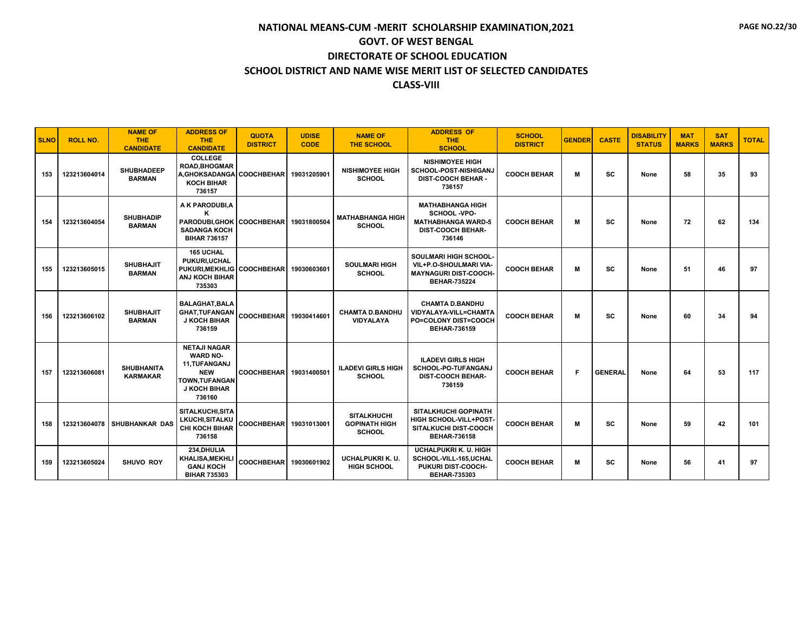| <b>SLNO</b> | <b>ROLL NO.</b> | <b>NAME OF</b><br><b>THE</b><br><b>CANDIDATE</b> | <b>ADDRESS OF</b><br><b>THE</b><br><b>CANDIDATE</b>                                                                     | <b>QUOTA</b><br><b>DISTRICT</b> | <b>UDISE</b><br><b>CODE</b> | <b>NAME OF</b><br><b>THE SCHOOL</b>                         | <b>ADDRESS OF</b><br><b>THE</b><br><b>SCHOOL</b>                                                              | <b>SCHOOL</b><br><b>DISTRICT</b> | <b>GENDER</b> | <b>CASTE</b>   | <b>DISABILITY</b><br><b>STATUS</b> | <b>MAT</b><br><b>MARKS</b> | <b>SAT</b><br><b>MARKS</b> | <b>TOTAL</b> |
|-------------|-----------------|--------------------------------------------------|-------------------------------------------------------------------------------------------------------------------------|---------------------------------|-----------------------------|-------------------------------------------------------------|---------------------------------------------------------------------------------------------------------------|----------------------------------|---------------|----------------|------------------------------------|----------------------------|----------------------------|--------------|
| 153         | 123213604014    | <b>SHUBHADEEP</b><br><b>BARMAN</b>               | <b>COLLEGE</b><br><b>ROAD.BHOGMAR</b><br>A, GHOKSADANGA COOCHBEHAR<br><b>KOCH BIHAR</b><br>736157                       |                                 | 19031205901                 | <b>NISHIMOYEE HIGH</b><br><b>SCHOOL</b>                     | <b>NISHIMOYEE HIGH</b><br><b>SCHOOL-POST-NISHIGANJ</b><br><b>DIST-COOCH BEHAR -</b><br>736157                 | <b>COOCH BEHAR</b>               | М             | SC             | None                               | 58                         | 35                         | 93           |
| 154         | 123213604054    | <b>SHUBHADIP</b><br><b>BARMAN</b>                | A K PARODUBI, A<br>ĸ<br>PARODUBI, GHOK   COOCHBEHAR<br><b>SADANGA KOCH</b><br><b>BIHAR 736157</b>                       |                                 | 19031800504                 | <b>MATHABHANGA HIGH</b><br><b>SCHOOL</b>                    | <b>MATHABHANGA HIGH</b><br>SCHOOL -VPO-<br><b>MATHABHANGA WARD-5</b><br><b>DIST-COOCH BEHAR-</b><br>736146    | <b>COOCH BEHAR</b>               | M             | <b>SC</b>      | None                               | 72                         | 62                         | 134          |
| 155         | 123213605015    | <b>SHUBHAJIT</b><br><b>BARMAN</b>                | <b>165 UCHAL</b><br>PUKURI, UCHAL<br>PUKURI, MEKHLIG COOCHBEHAR<br>ANJ KOCH BIHAR<br>735303                             |                                 | 19030603601                 | <b>SOULMARI HIGH</b><br><b>SCHOOL</b>                       | <b>SOULMARI HIGH SCHOOL-</b><br>VIL+P.O-SHOULMARI VIA-<br><b>MAYNAGURI DIST-COOCH-</b><br><b>BEHAR-735224</b> | <b>COOCH BEHAR</b>               | M             | <b>SC</b>      | None                               | 51                         | 46                         | 97           |
| 156         | 123213606102    | <b>SHUBHAJIT</b><br><b>BARMAN</b>                | <b>BALAGHAT, BALA</b><br><b>GHAT, TUFANGAN</b><br><b>J KOCH BIHAR</b><br>736159                                         | <b>COOCHBEHAR</b>               | 19030414601                 | <b>CHAMTA D.BANDHU</b><br><b>VIDYALAYA</b>                  | <b>CHAMTA D.BANDHU</b><br>VIDYALAYA-VILL=CHAMTA<br><b>PO=COLONY DIST=COOCH</b><br><b>BEHAR-736159</b>         | <b>COOCH BEHAR</b>               | M             | SC             | None                               | 60                         | 34                         | 94           |
| 157         | 123213606081    | <b>SHUBHANITA</b><br><b>KARMAKAR</b>             | <b>NETAJI NAGAR</b><br><b>WARD NO-</b><br>11.TUFANGANJ<br><b>NEW</b><br>TOWN, TUFANGAN<br><b>J KOCH BIHAR</b><br>736160 | <b>COOCHBEHAR</b>               | 19031400501                 | <b>ILADEVI GIRLS HIGH</b><br><b>SCHOOL</b>                  | <b>ILADEVI GIRLS HIGH</b><br>SCHOOL-PO-TUFANGANJ<br><b>DIST-COOCH BEHAR-</b><br>736159                        | <b>COOCH BEHAR</b>               | F.            | <b>GENERAL</b> | None                               | 64                         | 53                         | 117          |
| 158         | 123213604078    | <b>SHUBHANKAR DAS</b>                            | SITALKUCHI.SITA<br>LKUCHI, SITALKU<br><b>CHI KOCH BIHAR</b><br>736158                                                   | COOCHBEHAR 19031013001          |                             | <b>SITALKHUCHI</b><br><b>GOPINATH HIGH</b><br><b>SCHOOL</b> | <b>SITALKHUCHI GOPINATH</b><br><b>HIGH SCHOOL-VILL+POST-</b><br>SITALKUCHI DIST-COOCH<br><b>BEHAR-736158</b>  | <b>COOCH BEHAR</b>               | M             | <b>SC</b>      | None                               | 59                         | 42                         | 101          |
| 159         | 123213605024    | <b>SHUVO ROY</b>                                 | 234.DHULIA<br>KHALISA, MEKHLI<br><b>GANJ KOCH</b><br><b>BIHAR 735303</b>                                                | <b>COOCHBEHAR</b>               | 19030601902                 | UCHALPUKRI K. U.<br><b>HIGH SCHOOL</b>                      | <b>UCHALPUKRI K. U. HIGH</b><br>SCHOOL-VILL-165,UCHAL<br><b>PUKURI DIST-COOCH-</b><br><b>BEHAR-735303</b>     | <b>COOCH BEHAR</b>               | М             | SC             | None                               | 56                         | 41                         | 97           |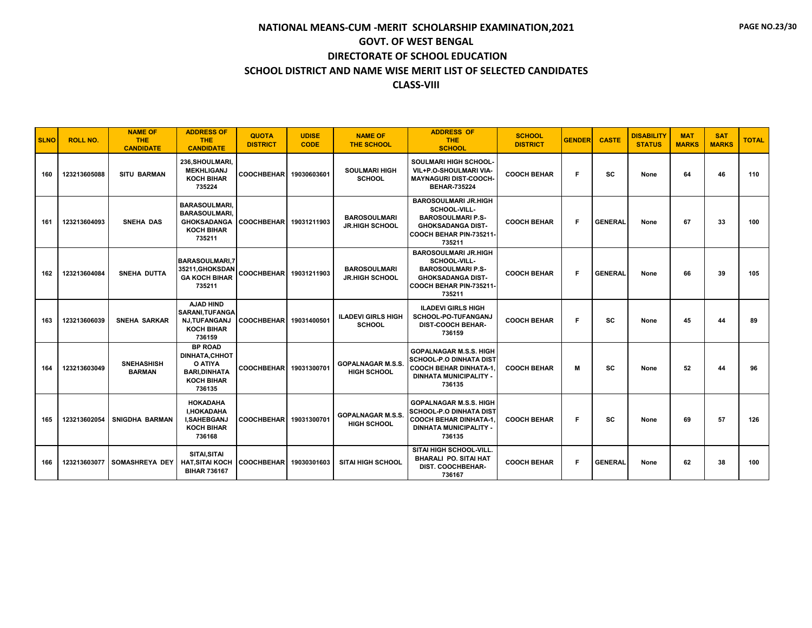| <b>SLNO</b> | <b>ROLL NO.</b> | <b>NAME OF</b><br>THE.<br><b>CANDIDATE</b> | <b>ADDRESS OF</b><br><b>THE</b><br><b>CANDIDATE</b>                                              | <b>QUOTA</b><br><b>DISTRICT</b> | <b>UDISE</b><br><b>CODE</b> | <b>NAME OF</b><br><b>THE SCHOOL</b>            | <b>ADDRESS OF</b><br><b>THE</b><br><b>SCHOOL</b>                                                                                            | <b>SCHOOL</b><br><b>DISTRICT</b> | <b>GENDER</b> | <b>CASTE</b>   | <b>DISABILITY</b><br><b>STATUS</b> | <b>MAT</b><br><b>MARKS</b> | <b>SAT</b><br><b>MARKS</b> | <b>TOTAL</b> |
|-------------|-----------------|--------------------------------------------|--------------------------------------------------------------------------------------------------|---------------------------------|-----------------------------|------------------------------------------------|---------------------------------------------------------------------------------------------------------------------------------------------|----------------------------------|---------------|----------------|------------------------------------|----------------------------|----------------------------|--------------|
| 160         | 123213605088    | <b>SITU BARMAN</b>                         | 236, SHOULMARI,<br><b>MEKHLIGANJ</b><br><b>KOCH BIHAR</b><br>735224                              | <b>COOCHBEHAR</b>               | 19030603601                 | <b>SOULMARI HIGH</b><br><b>SCHOOL</b>          | <b>SOULMARI HIGH SCHOOL-</b><br>VIL+P.O-SHOULMARI VIA-<br><b>MAYNAGURI DIST-COOCH-</b><br><b>BEHAR-735224</b>                               | <b>COOCH BEHAR</b>               | F             | SC             | None                               | 64                         | 46                         | 110          |
| 161         | 123213604093    | SNEHA DAS                                  | <b>BARASOULMARI</b><br><b>BARASOULMARI</b><br><b>GHOKSADANGA</b><br><b>KOCH BIHAR</b><br>735211  | COOCHBEHAR 19031211903          |                             | <b>BAROSOULMARI</b><br><b>JR.HIGH SCHOOL</b>   | <b>BAROSOULMARI JR.HIGH</b><br>SCHOOL-VILL-<br><b>BAROSOULMARI P.S-</b><br><b>GHOKSADANGA DIST-</b><br>COOCH BEHAR PIN-735211-<br>735211    | <b>COOCH BEHAR</b>               | F             | <b>GENERAL</b> | None                               | 67                         | 33                         | 100          |
| 162         | 123213604084    | <b>SNEHA DUTTA</b>                         | <b>BARASOULMARI.7</b><br>35211, GHOKSDAN<br><b>GA KOCH BIHAR</b><br>735211                       | COOCHBEHAR 19031211903          |                             | <b>BAROSOULMARI</b><br><b>JR.HIGH SCHOOL</b>   | <b>BAROSOULMARI JR.HIGH</b><br>SCHOOL-VILL-<br><b>BAROSOULMARI P.S-</b><br><b>GHOKSADANGA DIST-</b><br>COOCH BEHAR PIN-735211-<br>735211    | <b>COOCH BEHAR</b>               | F             | <b>GENERAL</b> | None                               | 66                         | 39                         | 105          |
| 163         | 123213606039    | <b>SNEHA SARKAR</b>                        | AJAD HIND<br><b>SARANI.TUFANGA</b><br><b>NJ,TUFANGANJ</b><br><b>KOCH BIHAR</b><br>736159         | COOCHBEHAR 19031400501          |                             | <b>ILADEVI GIRLS HIGH</b><br><b>SCHOOL</b>     | <b>ILADEVI GIRLS HIGH</b><br><b>SCHOOL-PO-TUFANGANJ</b><br><b>DIST-COOCH BEHAR-</b><br>736159                                               | <b>COOCH BEHAR</b>               | F.            | sc             | None                               | 45                         | 44                         | 89           |
| 164         | 123213603049    | <b>SNEHASHISH</b><br><b>BARMAN</b>         | <b>BP ROAD</b><br>DINHATA.CHHOT<br>O ATIYA<br><b>BARI.DINHATA</b><br><b>KOCH BIHAR</b><br>736135 | COOCHBEHAR 19031300701          |                             | <b>GOPALNAGAR M.S.S.</b><br><b>HIGH SCHOOL</b> | <b>GOPALNAGAR M.S.S. HIGH</b><br><b>SCHOOL-P.O DINHATA DIST</b><br><b>COOCH BEHAR DINHATA-1,</b><br><b>DINHATA MUNICIPALITY -</b><br>736135 | <b>COOCH BEHAR</b>               | M             | SC             | None                               | 52                         | 44                         | 96           |
| 165         | 123213602054    | SNIGDHA BARMAN                             | <b>HOKADAHA</b><br><b>I.HOKADAHA</b><br><b>I.SAHEBGANJ</b><br><b>KOCH BIHAR</b><br>736168        | COOCHBEHAR   19031300701        |                             | <b>GOPALNAGAR M.S.S.</b><br><b>HIGH SCHOOL</b> | <b>GOPALNAGAR M.S.S. HIGH</b><br><b>SCHOOL-P.O DINHATA DIST</b><br><b>COOCH BEHAR DINHATA-1,</b><br><b>DINHATA MUNICIPALITY -</b><br>736135 | <b>COOCH BEHAR</b>               | F.            | SC             | None                               | 69                         | 57                         | 126          |
| 166         | 123213603077    | <b>SOMASHREYA DEY</b>                      | SITAI, SITAI<br>HAT,SITAI KOCH<br><b>BIHAR 736167</b>                                            | COOCHBEHAR   19030301603        |                             | <b>SITAI HIGH SCHOOL</b>                       | SITAI HIGH SCHOOL-VILL.<br><b>BHARALI PO. SITAI HAT</b><br><b>DIST. COOCHBEHAR-</b><br>736167                                               | <b>COOCH BEHAR</b>               | F             | <b>GENERAL</b> | None                               | 62                         | 38                         | 100          |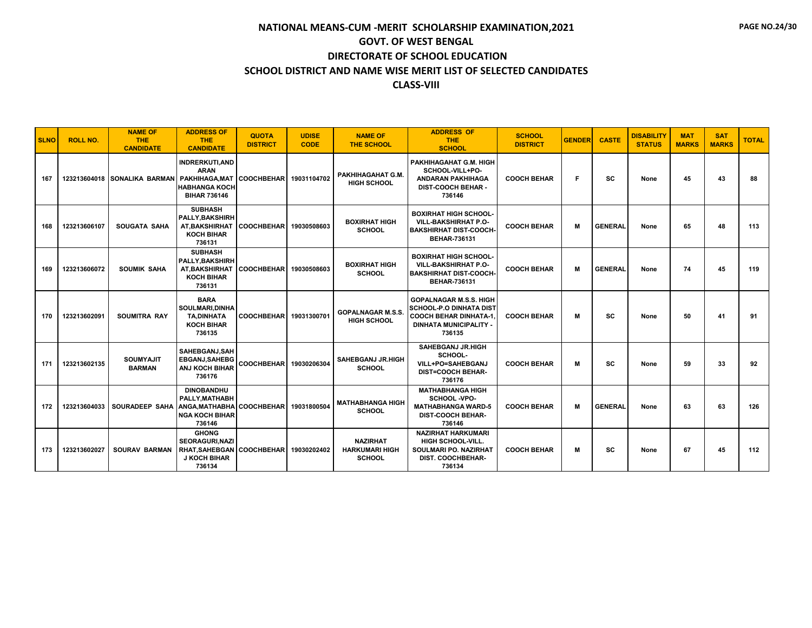| <b>SLNO</b> | <b>ROLL NO.</b> | <b>NAME OF</b><br><b>THE</b><br><b>CANDIDATE</b> | <b>ADDRESS OF</b><br>THE.<br><b>CANDIDATE</b>                                                                   | <b>QUOTA</b><br><b>DISTRICT</b> | <b>UDISE</b><br><b>CODE</b> | <b>NAME OF</b><br><b>THE SCHOOL</b>                       | <b>ADDRESS OF</b><br><b>THE</b><br><b>SCHOOL</b>                                                                                            | <b>SCHOOL</b><br><b>DISTRICT</b> | <b>GENDER</b> | <b>CASTE</b>   | <b>DISABILITY</b><br><b>STATUS</b> | <b>MAT</b><br><b>MARKS</b> | <b>SAT</b><br><b>MARKS</b> | <b>TOTAL</b> |
|-------------|-----------------|--------------------------------------------------|-----------------------------------------------------------------------------------------------------------------|---------------------------------|-----------------------------|-----------------------------------------------------------|---------------------------------------------------------------------------------------------------------------------------------------------|----------------------------------|---------------|----------------|------------------------------------|----------------------------|----------------------------|--------------|
| 167         |                 | 123213604018 SONALIKA BARMAN                     | <b>INDRERKUTI, AND</b><br><b>ARAN</b><br>PAKHIHAGA, MAT<br><b>HABHANGA KOCH</b><br><b>BIHAR 736146</b>          | COOCHBEHAR 19031104702          |                             | PAKHIHAGAHAT G.M.<br><b>HIGH SCHOOL</b>                   | PAKHIHAGAHAT G.M. HIGH<br>SCHOOL-VILL+PO-<br><b>ANDARAN PAKHIHAGA</b><br><b>DIST-COOCH BEHAR -</b><br>736146                                | <b>COOCH BEHAR</b>               | F             | SC             | None                               | 45                         | 43                         | 88           |
| 168         | 123213606107    | <b>SOUGATA SAHA</b>                              | <b>SUBHASH</b><br>PALLY, BAKSHIRH<br>AT, BAKSHIRHAT<br><b>KOCH BIHAR</b><br>736131                              | COOCHBEHAR 19030508603          |                             | <b>BOXIRHAT HIGH</b><br><b>SCHOOL</b>                     | <b>BOXIRHAT HIGH SCHOOL-</b><br><b>VILL-BAKSHIRHAT P.O-</b><br><b>BAKSHIRHAT DIST-COOCH-</b><br><b>BEHAR-736131</b>                         | <b>COOCH BEHAR</b>               | M             | <b>GENERAL</b> | None                               | 65                         | 48                         | 113          |
| 169         | 123213606072    | <b>SOUMIK SAHA</b>                               | <b>SUBHASH</b><br>PALLY, BAKSHIRH<br>AT, BAKSHIRHAT<br><b>KOCH BIHAR</b><br>736131                              | COOCHBEHAR 19030508603          |                             | <b>BOXIRHAT HIGH</b><br><b>SCHOOL</b>                     | <b>BOXIRHAT HIGH SCHOOL-</b><br><b>VILL-BAKSHIRHAT P.O-</b><br><b>BAKSHIRHAT DIST-COOCH-</b><br><b>BEHAR-736131</b>                         | <b>COOCH BEHAR</b>               | M             | <b>GENERAL</b> | None                               | 74                         | 45                         | 119          |
| 170         | 123213602091    | <b>SOUMITRA RAY</b>                              | <b>BARA</b><br>SOULMARI, DINHA<br><b>TA,DINHATA</b><br><b>KOCH BIHAR</b><br>736135                              | COOCHBEHAR 19031300701          |                             | <b>GOPALNAGAR M.S.S</b><br><b>HIGH SCHOOL</b>             | <b>GOPALNAGAR M.S.S. HIGH</b><br><b>SCHOOL-P.O DINHATA DIST</b><br><b>COOCH BEHAR DINHATA-1.</b><br><b>DINHATA MUNICIPALITY -</b><br>736135 | <b>COOCH BEHAR</b>               | м             | SC             | None                               | 50                         | 41                         | 91           |
| 171         | 123213602135    | <b>SOUMYAJIT</b><br><b>BARMAN</b>                | SAHEBGANJ.SAH<br>EBGANJ, SAHEBG<br>ANJ KOCH BIHAR<br>736176                                                     | COOCHBEHAR 19030206304          |                             | <b>SAHEBGANJ JR.HIGH</b><br><b>SCHOOL</b>                 | <b>SAHEBGANJ JR.HIGH</b><br>SCHOOL-<br>VILL+PO=SAHEBGANJ<br><b>DIST=COOCH BEHAR-</b><br>736176                                              | <b>COOCH BEHAR</b>               | М             | <b>SC</b>      | None                               | 59                         | 33                         | 92           |
| 172         | 123213604033    | <b>SOURADEEP SAHA</b>                            | <b>DINOBANDHU</b><br>PALLY.MATHABH<br>ANGA.MATHABHA COOCHBEHAR 19031800504<br><b>NGA KOCH BIHAR</b><br>736146   |                                 |                             | <b>MATHABHANGA HIGH</b><br><b>SCHOOL</b>                  | <b>MATHABHANGA HIGH</b><br>SCHOOL -VPO-<br><b>MATHABHANGA WARD-5</b><br><b>DIST-COOCH BEHAR-</b><br>736146                                  | <b>COOCH BEHAR</b>               | М             | <b>GENERAL</b> | None                               | 63                         | 63                         | 126          |
| 173         | 123213602027    | <b>SOURAV BARMAN</b>                             | <b>GHONG</b><br><b>SEORAGURI.NAZI</b><br>RHAT, SAHEBGAN COOCHBEHAR 19030202402<br><b>J KOCH BIHAR</b><br>736134 |                                 |                             | <b>NAZIRHAT</b><br><b>HARKUMARI HIGH</b><br><b>SCHOOL</b> | <b>NAZIRHAT HARKUMARI</b><br><b>HIGH SCHOOL-VILL.</b><br>SOULMARI PO. NAZIRHAT<br>DIST. COOCHBEHAR-<br>736134                               | <b>COOCH BEHAR</b>               | М             | <b>SC</b>      | None                               | 67                         | 45                         | 112          |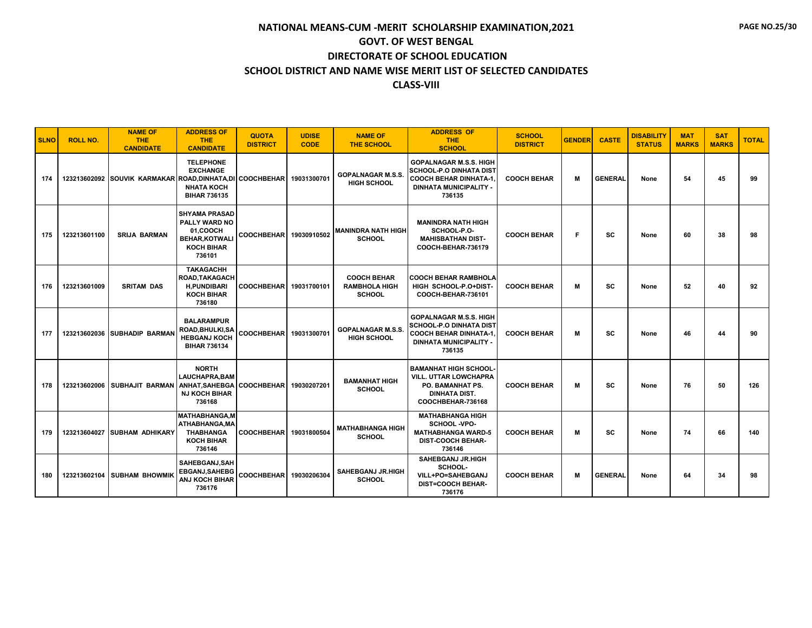| <b>SLNO</b> | <b>ROLL NO.</b> | <b>NAME OF</b><br><b>THE</b><br><b>CANDIDATE</b>          | <b>ADDRESS OF</b><br><b>THE</b><br><b>CANDIDATE</b>                                                      | <b>QUOTA</b><br><b>DISTRICT</b> | <b>UDISE</b><br><b>CODE</b> | <b>NAME OF</b><br><b>THE SCHOOL</b>                         | <b>ADDRESS OF</b><br><b>THE</b><br><b>SCHOOL</b>                                                                                            | <b>SCHOOL</b><br><b>DISTRICT</b> | <b>GENDER</b> | <b>CASTE</b>   | <b>DISABILITY</b><br><b>STATUS</b> | <b>MAT</b><br><b>MARKS</b> | <b>SAT</b><br><b>MARKS</b> | <b>TOTAL</b> |
|-------------|-----------------|-----------------------------------------------------------|----------------------------------------------------------------------------------------------------------|---------------------------------|-----------------------------|-------------------------------------------------------------|---------------------------------------------------------------------------------------------------------------------------------------------|----------------------------------|---------------|----------------|------------------------------------|----------------------------|----------------------------|--------------|
| 174         |                 | 123213602092 SOUVIK KARMAKAR ROAD.DINHATA.DI COOCHBEHAR I | <b>TELEPHONE</b><br><b>EXCHANGE</b><br><b>NHATA KOCH</b><br><b>BIHAR 736135</b>                          |                                 | 19031300701                 | <b>GOPALNAGAR M.S.S.</b><br><b>HIGH SCHOOL</b>              | <b>GOPALNAGAR M.S.S. HIGH</b><br><b>SCHOOL-P.O DINHATA DIST</b><br><b>COOCH BEHAR DINHATA-1.</b><br><b>DINHATA MUNICIPALITY -</b><br>736135 | <b>COOCH BEHAR</b>               | М             | <b>GENERAL</b> | None                               | 54                         | 45                         | 99           |
| 175         | 123213601100    | <b>SRIJA BARMAN</b>                                       | <b>SHYAMA PRASAD</b><br>PALLY WARD NO<br>01.COOCH<br><b>BEHAR.KOTWALI</b><br><b>KOCH BIHAR</b><br>736101 | <b>COOCHBEHAR</b>               | 19030910502                 | <b>MANINDRA NATH HIGH</b><br><b>SCHOOL</b>                  | <b>MANINDRA NATH HIGH</b><br>SCHOOL-P.O-<br><b>MAHISBATHAN DIST-</b><br>COOCH-BEHAR-736179                                                  | <b>COOCH BEHAR</b>               | F.            | SC             | None                               | 60                         | 38                         | 98           |
| 176         | 123213601009    | <b>SRITAM DAS</b>                                         | <b>TAKAGACHH</b><br>ROAD, TAKAGACH<br><b>H.PUNDIBARI</b><br><b>KOCH BIHAR</b><br>736180                  | <b>COOCHBEHAR</b>               | 19031700101                 | <b>COOCH BEHAR</b><br><b>RAMBHOLA HIGH</b><br><b>SCHOOL</b> | <b>COOCH BEHAR RAMBHOLA</b><br>HIGH SCHOOL-P.O+DIST-<br>COOCH-BEHAR-736101                                                                  | <b>COOCH BEHAR</b>               | м             | SC             | None                               | 52                         | 40                         | 92           |
| 177         |                 | 123213602036 SUBHADIP BARMAN                              | <b>BALARAMPUR</b><br>ROAD, BHULKI, SA<br><b>HEBGANJ KOCH</b><br><b>BIHAR 736134</b>                      | COOCHBEHAR 19031300701          |                             | <b>GOPALNAGAR M.S.S.</b><br><b>HIGH SCHOOL</b>              | <b>GOPALNAGAR M.S.S. HIGH</b><br><b>SCHOOL-P.O DINHATA DIST</b><br><b>COOCH BEHAR DINHATA-1.</b><br><b>DINHATA MUNICIPALITY -</b><br>736135 | <b>COOCH BEHAR</b>               | M             | SC             | None                               | 46                         | 44                         | 90           |
| 178         | 123213602006    | <b>SUBHAJIT BARMAN</b>                                    | <b>NORTH</b><br><b>LAUCHAPRA.BAM</b><br>ANHAT, SAHEBGA<br><b>NJ KOCH BIHAR</b><br>736168                 | <b>COOCHBEHAR</b>               | 19030207201                 | <b>BAMANHAT HIGH</b><br><b>SCHOOL</b>                       | <b>BAMANHAT HIGH SCHOOL-</b><br><b>VILL. UTTAR LOWCHAPRA</b><br>PO. BAMANHAT PS.<br><b>DINHATA DIST.</b><br>COOCHBEHAR-736168               | <b>COOCH BEHAR</b>               | M             | SC             | None                               | 76                         | 50                         | 126          |
| 179         | 123213604027    | <b>SUBHAM ADHIKARY</b>                                    | <b>MATHABHANGA.M</b><br>ATHABHANGA.MA<br><b>THABHANGA</b><br><b>KOCH BIHAR</b><br>736146                 | <b>COOCHBEHAR</b>               | 19031800504                 | <b>MATHABHANGA HIGH</b><br><b>SCHOOL</b>                    | <b>MATHABHANGA HIGH</b><br>SCHOOL -VPO-<br><b>MATHABHANGA WARD-5</b><br><b>DIST-COOCH BEHAR-</b><br>736146                                  | <b>COOCH BEHAR</b>               | M             | SC             | None                               | 74                         | 66                         | 140          |
| 180         |                 | 123213602104 SUBHAM BHOWMIK                               | SAHEBGANJ.SAH<br><b>EBGANJ, SAHEBG</b><br><b>ANJ KOCH BIHAR</b><br>736176                                | COOCHBEHAR 19030206304          |                             | <b>SAHEBGANJ JR.HIGH</b><br><b>SCHOOL</b>                   | <b>SAHEBGANJ JR.HIGH</b><br>SCHOOL-<br>VILL+PO=SAHEBGANJ<br><b>DIST=COOCH BEHAR-</b><br>736176                                              | <b>COOCH BEHAR</b>               | м             | <b>GENERAL</b> | None                               | 64                         | 34                         | 98           |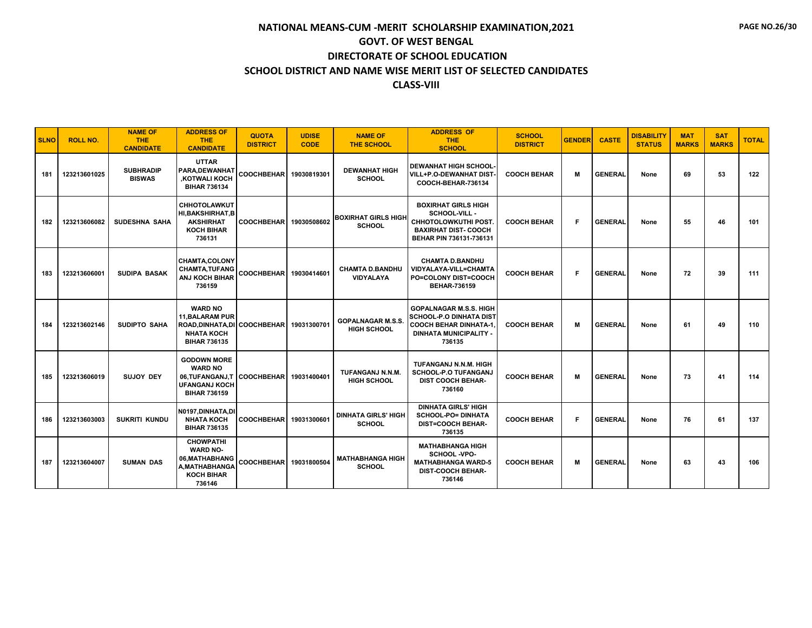| <b>SLNO</b> | <b>ROLL NO.</b> | <b>NAME OF</b><br><b>THE</b><br><b>CANDIDATE</b> | <b>ADDRESS OF</b><br><b>THE</b><br><b>CANDIDATE</b>                                                                  | <b>QUOTA</b><br><b>DISTRICT</b> | <b>UDISE</b><br><b>CODE</b> | <b>NAME OF</b><br><b>THE SCHOOL</b>            | <b>ADDRESS OF</b><br><b>THE</b><br><b>SCHOOL</b>                                                                                     | <b>SCHOOL</b><br><b>DISTRICT</b> | <b>GENDER</b> | <b>CASTE</b>   | <b>DISABILITY</b><br><b>STATUS</b> | <b>MAT</b><br><b>MARKS</b> | <b>SAT</b><br><b>MARKS</b> | <b>TOTAL</b> |
|-------------|-----------------|--------------------------------------------------|----------------------------------------------------------------------------------------------------------------------|---------------------------------|-----------------------------|------------------------------------------------|--------------------------------------------------------------------------------------------------------------------------------------|----------------------------------|---------------|----------------|------------------------------------|----------------------------|----------------------------|--------------|
| 181         | 123213601025    | <b>SUBHRADIP</b><br><b>BISWAS</b>                | <b>UTTAR</b><br>PARA, DEWANHAT<br><b>KOTWALI KOCH</b><br><b>BIHAR 736134</b>                                         | <b>COOCHBEHAR</b>               | 19030819301                 | <b>DEWANHAT HIGH</b><br><b>SCHOOL</b>          | <b>DEWANHAT HIGH SCHOOL-</b><br>VILL+P.O-DEWANHAT DIST-<br>COOCH-BEHAR-736134                                                        | <b>COOCH BEHAR</b>               | M             | <b>GENERAL</b> | None                               | 69                         | 53                         | 122          |
| 182         | 123213606082    | <b>SUDESHNA SAHA</b>                             | <b>CHHOTOLAWKUT</b><br><b>HI, BAKSHIRHAT, B</b><br><b>AKSHIRHAT</b><br><b>KOCH BIHAR</b><br>736131                   | <b>COOCHBEHAR</b>               | 19030508602                 | <b>BOXIRHAT GIRLS HIGH</b><br><b>SCHOOL</b>    | <b>BOXIRHAT GIRLS HIGH</b><br><b>SCHOOL-VILL -</b><br>CHHOTOLOWKUTHI POST.<br><b>BAXIRHAT DIST-COOCH</b><br>BEHAR PIN 736131-736131  | <b>COOCH BEHAR</b>               | F             | <b>GENERAL</b> | None                               | 55                         | 46                         | 101          |
| 183         | 123213606001    | <b>SUDIPA BASAK</b>                              | <b>CHAMTA,COLONY</b><br><b>CHAMTA, TUFANG</b><br><b>ANJ KOCH BIHAR</b><br>736159                                     | <b>COOCHBEHAR</b>               | 19030414601                 | <b>CHAMTA D.BANDHU</b><br><b>VIDYALAYA</b>     | <b>CHAMTA D.BANDHU</b><br><b>VIDYALAYA-VILL=CHAMTA</b><br><b>PO=COLONY DIST=COOCH</b><br><b>BEHAR-736159</b>                         | <b>COOCH BEHAR</b>               | F             | <b>GENERAL</b> | None                               | 72                         | 39                         | 111          |
| 184         | 123213602146    | <b>SUDIPTO SAHA</b>                              | <b>WARD NO</b><br><b>11, BALARAM PUR</b><br>ROAD, DINHATA, DI COOCHBEHAR<br><b>NHATA KOCH</b><br><b>BIHAR 736135</b> |                                 | 19031300701                 | <b>GOPALNAGAR M.S.S.</b><br><b>HIGH SCHOOL</b> | <b>GOPALNAGAR M.S.S. HIGH</b><br>SCHOOL-P.O DINHATA DIST<br><b>COOCH BEHAR DINHATA-1.</b><br><b>DINHATA MUNICIPALITY -</b><br>736135 | <b>COOCH BEHAR</b>               | M             | <b>GENERAL</b> | None                               | 61                         | 49                         | 110          |
| 185         | 123213606019    | <b>SUJOY DEY</b>                                 | <b>GODOWN MORE</b><br><b>WARD NO</b><br>06.TUFANGANJ.T COOCHBEHAR<br><b>UFANGANJ KOCH</b><br><b>BIHAR 736159</b>     |                                 | 19031400401                 | TUFANGANJ N.N.M.<br><b>HIGH SCHOOL</b>         | TUFANGANJ N.N.M. HIGH<br><b>SCHOOL-P.O TUFANGANJ</b><br><b>DIST COOCH BEHAR-</b><br>736160                                           | <b>COOCH BEHAR</b>               | M             | <b>GENERAL</b> | None                               | 73                         | 41                         | 114          |
| 186         | 123213603003    | <b>SUKRITI KUNDU</b>                             | N0197.DINHATA.DI<br><b>NHATA KOCH</b><br><b>BIHAR 736135</b>                                                         | <b>COOCHBEHAR</b>               | 19031300601                 | <b>DINHATA GIRLS' HIGH</b><br><b>SCHOOL</b>    | <b>DINHATA GIRLS' HIGH</b><br><b>SCHOOL-PO= DINHATA</b><br><b>DIST=COOCH BEHAR-</b><br>736135                                        | <b>COOCH BEHAR</b>               | F             | <b>GENERAL</b> | None                               | 76                         | 61                         | 137          |
| 187         | 123213604007    | <b>SUMAN DAS</b>                                 | <b>CHOWPATHI</b><br><b>WARD NO-</b><br>06, MATHABHANG<br>A, MATHABHANGA<br><b>KOCH BIHAR</b><br>736146               | <b>COOCHBEHAR</b>               | 19031800504                 | <b>MATHABHANGA HIGH</b><br><b>SCHOOL</b>       | <b>MATHABHANGA HIGH</b><br><b>SCHOOL -VPO-</b><br><b>MATHABHANGA WARD-5</b><br><b>DIST-COOCH BEHAR-</b><br>736146                    | <b>COOCH BEHAR</b>               | M             | <b>GENERAL</b> | None                               | 63                         | 43                         | 106          |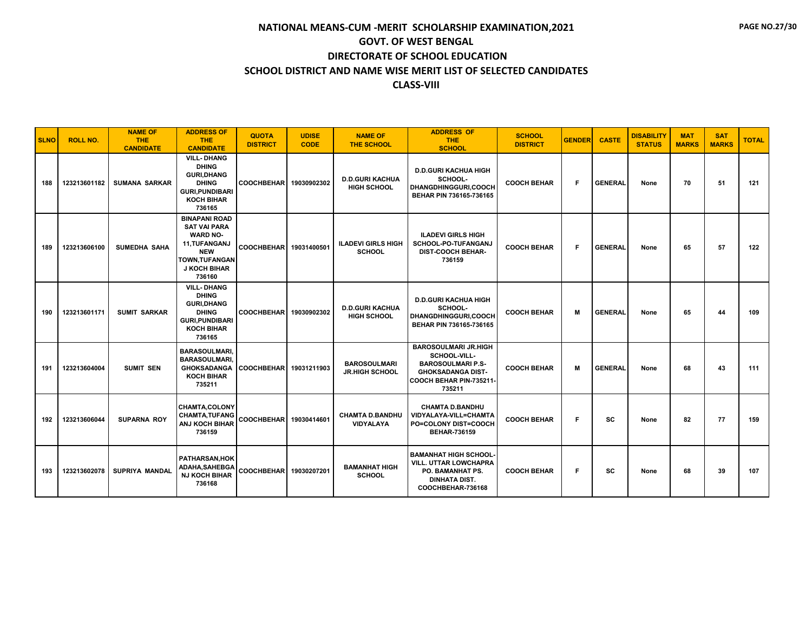| <b>SLNO</b> | <b>ROLL NO.</b> | <b>NAME OF</b><br><b>THE</b><br><b>CANDIDATE</b> | <b>ADDRESS OF</b><br><b>THE</b><br><b>CANDIDATE</b>                                                                                                     | <b>QUOTA</b><br><b>DISTRICT</b> | <b>UDISE</b><br><b>CODE</b> | <b>NAME OF</b><br><b>THE SCHOOL</b>          | <b>ADDRESS OF</b><br><b>THE</b><br><b>SCHOOL</b>                                                                                         | <b>SCHOOL</b><br><b>DISTRICT</b> | <b>GENDER</b> | <b>CASTE</b>   | <b>DISABILITY</b><br><b>STATUS</b> | <b>MAT</b><br><b>MARKS</b> | <b>SAT</b><br><b>MARKS</b> | <b>TOTAL</b> |
|-------------|-----------------|--------------------------------------------------|---------------------------------------------------------------------------------------------------------------------------------------------------------|---------------------------------|-----------------------------|----------------------------------------------|------------------------------------------------------------------------------------------------------------------------------------------|----------------------------------|---------------|----------------|------------------------------------|----------------------------|----------------------------|--------------|
| 188         | 123213601182    | <b>SUMANA SARKAR</b>                             | <b>VILL-DHANG</b><br><b>DHING</b><br><b>GURI.DHANG</b><br><b>DHING</b><br><b>GURI, PUNDIBARI</b><br><b>KOCH BIHAR</b><br>736165                         | <b>COOCHBEHAR</b>               | 19030902302                 | <b>D.D.GURI KACHUA</b><br><b>HIGH SCHOOL</b> | <b>D.D.GURI KACHUA HIGH</b><br>SCHOOL-<br>DHANGDHINGGURI,COOCH<br>BEHAR PIN 736165-736165                                                | <b>COOCH BEHAR</b>               | F.            | <b>GENERAL</b> | None                               | 70                         | 51                         | 121          |
| 189         | 123213606100    | <b>SUMEDHA SAHA</b>                              | <b>BINAPANI ROAD</b><br><b>SAT VAI PARA</b><br><b>WARD NO-</b><br>11, TUFANGANJ<br><b>NEW</b><br><b>TOWN, TUFANGAN</b><br><b>J KOCH BIHAR</b><br>736160 | <b>COOCHBEHAR</b>               | 19031400501                 | <b>ILADEVI GIRLS HIGH</b><br><b>SCHOOL</b>   | <b>ILADEVI GIRLS HIGH</b><br><b>SCHOOL-PO-TUFANGANJ</b><br><b>DIST-COOCH BEHAR-</b><br>736159                                            | <b>COOCH BEHAR</b>               | F.            | <b>GENERAL</b> | None                               | 65                         | 57                         | 122          |
| 190         | 123213601171    | <b>SUMIT SARKAR</b>                              | <b>VILL-DHANG</b><br><b>DHING</b><br><b>GURI, DHANG</b><br><b>DHING</b><br><b>GURI, PUNDIBARI</b><br><b>KOCH BIHAR</b><br>736165                        | <b>COOCHBEHAR</b>               | 19030902302                 | <b>D.D.GURI KACHUA</b><br><b>HIGH SCHOOL</b> | <b>D.D.GURI KACHUA HIGH</b><br>SCHOOL-<br><b>DHANGDHINGGURI.COOCH</b><br>BEHAR PIN 736165-736165                                         | <b>COOCH BEHAR</b>               | М             | <b>GENERAL</b> | None                               | 65                         | 44                         | 109          |
| 191         | 123213604004    | <b>SUMIT SEN</b>                                 | <b>BARASOULMARI.</b><br><b>BARASOULMARI.</b><br><b>GHOKSADANGA</b><br><b>KOCH BIHAR</b><br>735211                                                       | <b>COOCHBEHAR</b>               | 19031211903                 | <b>BAROSOULMARI</b><br><b>JR.HIGH SCHOOL</b> | <b>BAROSOULMARI JR.HIGH</b><br>SCHOOL-VILL-<br><b>BAROSOULMARI P.S-</b><br><b>GHOKSADANGA DIST-</b><br>COOCH BEHAR PIN-735211-<br>735211 | <b>COOCH BEHAR</b>               | м             | <b>GENERAL</b> | None                               | 68                         | 43                         | 111          |
| 192         | 123213606044    | <b>SUPARNA ROY</b>                               | <b>CHAMTA.COLONY</b><br><b>CHAMTA, TUFANG</b><br>ANJ KOCH BIHAR<br>736159                                                                               | <b>COOCHBEHAR</b>               | 19030414601                 | <b>CHAMTA D.BANDHU</b><br>VIDYALAYA          | <b>CHAMTA D.BANDHU</b><br>VIDYALAYA-VILL=CHAMTA<br>PO=COLONY DIST=COOCH<br><b>BEHAR-736159</b>                                           | <b>COOCH BEHAR</b>               | F.            | SC             | None                               | 82                         | 77                         | 159          |
| 193         | 123213602078    | <b>SUPRIYA MANDAL</b>                            | PATHARSAN, HOK<br>ADAHA, SAHEBGA<br><b>NJ KOCH BIHAR</b><br>736168                                                                                      | <b>COOCHBEHAR</b>               | 19030207201                 | <b>BAMANHAT HIGH</b><br><b>SCHOOL</b>        | <b>BAMANHAT HIGH SCHOOL-</b><br>VILL. UTTAR LOWCHAPRA<br>PO. BAMANHAT PS.<br><b>DINHATA DIST.</b><br>COOCHBEHAR-736168                   | <b>COOCH BEHAR</b>               | F.            | SC             | None                               | 68                         | 39                         | 107          |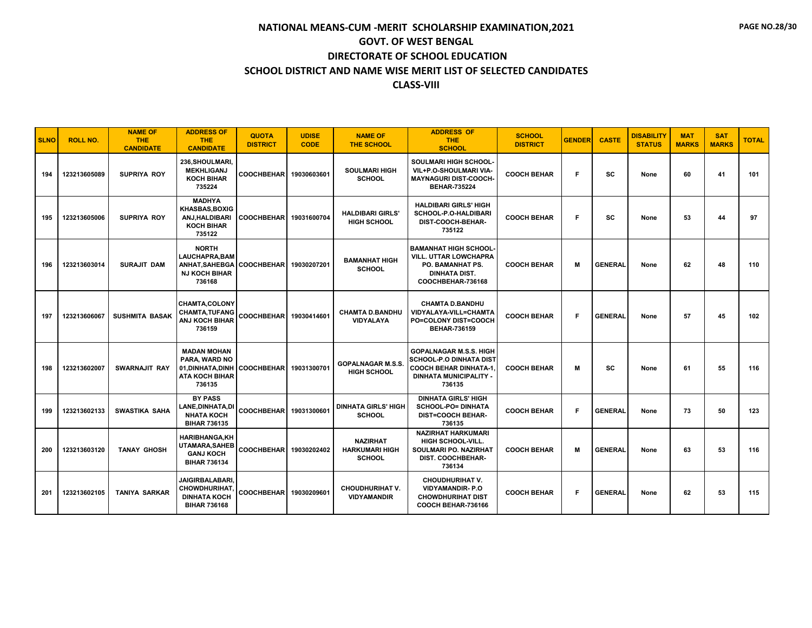| <b>SLNO</b> | <b>ROLL NO.</b> | <b>NAME OF</b><br><b>THE</b><br><b>CANDIDATE</b> | <b>ADDRESS OF</b><br>THE.<br><b>CANDIDATE</b>                                                                   | <b>QUOTA</b><br><b>DISTRICT</b> | <b>UDISE</b><br><b>CODE</b> | <b>NAME OF</b><br><b>THE SCHOOL</b>                       | <b>ADDRESS OF</b><br><b>THE</b><br><b>SCHOOL</b>                                                                                            | <b>SCHOOL</b><br><b>DISTRICT</b> | <b>GENDER</b> | <b>CASTE</b>   | <b>DISABILITY</b><br><b>STATUS</b> | <b>MAT</b><br><b>MARKS</b> | <b>SAT</b><br><b>MARKS</b> | <b>TOTAL</b> |
|-------------|-----------------|--------------------------------------------------|-----------------------------------------------------------------------------------------------------------------|---------------------------------|-----------------------------|-----------------------------------------------------------|---------------------------------------------------------------------------------------------------------------------------------------------|----------------------------------|---------------|----------------|------------------------------------|----------------------------|----------------------------|--------------|
| 194         | 123213605089    | <b>SUPRIYA ROY</b>                               | 236, SHOULMARI,<br><b>MEKHLIGANJ</b><br><b>KOCH BIHAR</b><br>735224                                             | COOCHBEHAR   19030603601        |                             | <b>SOULMARI HIGH</b><br><b>SCHOOL</b>                     | SOULMARI HIGH SCHOOL-<br>VIL+P.O-SHOULMARI VIA-<br><b>MAYNAGURI DIST-COOCH-</b><br><b>BEHAR-735224</b>                                      | <b>COOCH BEHAR</b>               | F             | sc             | None                               | 60                         | 41                         | 101          |
| 195         | 123213605006    | <b>SUPRIYA ROY</b>                               | <b>MADHYA</b><br>KHASBAS, BOXIG<br><b>ANJ.HALDIBARI</b><br><b>KOCH BIHAR</b><br>735122                          | COOCHBEHAR 19031600704          |                             | <b>HALDIBARI GIRLS'</b><br><b>HIGH SCHOOL</b>             | <b>HALDIBARI GIRLS' HIGH</b><br>SCHOOL-P.O-HALDIBARI<br>DIST-COOCH-BEHAR-<br>735122                                                         | <b>COOCH BEHAR</b>               | F             | sc             | None                               | 53                         | 44                         | 97           |
| 196         | 123213603014    | <b>SURAJIT DAM</b>                               | <b>NORTH</b><br><b>LAUCHAPRA.BAM</b><br>ANHAT, SAHEBGA COOCHBEHAR 19030207201<br><b>NJ KOCH BIHAR</b><br>736168 |                                 |                             | <b>BAMANHAT HIGH</b><br><b>SCHOOL</b>                     | <b>BAMANHAT HIGH SCHOOL-</b><br>VILL. UTTAR LOWCHAPRA<br>PO. BAMANHAT PS.<br><b>DINHATA DIST.</b><br>COOCHBEHAR-736168                      | <b>COOCH BEHAR</b>               | M             | <b>GENERAL</b> | None                               | 62                         | 48                         | 110          |
| 197         | 123213606067    | <b>SUSHMITA BASAK</b>                            | <b>CHAMTA.COLONY</b><br><b>CHAMTA,TUFANG</b><br><b>ANJ KOCH BIHAR</b><br>736159                                 | COOCHBEHAR 19030414601          |                             | <b>CHAMTA D.BANDHU</b><br>VIDYALAYA                       | <b>CHAMTA D.BANDHU</b><br>VIDYALAYA-VILL=CHAMTA<br><b>PO=COLONY DIST=COOCH</b><br><b>BEHAR-736159</b>                                       | <b>COOCH BEHAR</b>               | F.            | <b>GENERAL</b> | None                               | 57                         | 45                         | 102          |
| 198         | 123213602007    | <b>SWARNAJIT RAY</b>                             | <b>MADAN MOHAN</b><br><b>PARA, WARD NO</b><br>01, DINHATA, DINH<br><b>ATA KOCH BIHAR</b><br>736135              | COOCHBEHAR 19031300701          |                             | <b>GOPALNAGAR M.S.S.</b><br><b>HIGH SCHOOL</b>            | <b>GOPALNAGAR M.S.S. HIGH</b><br><b>SCHOOL-P.O DINHATA DIST</b><br><b>COOCH BEHAR DINHATA-1.</b><br><b>DINHATA MUNICIPALITY -</b><br>736135 | <b>COOCH BEHAR</b>               | М             | <b>SC</b>      | None                               | 61                         | 55                         | 116          |
| 199         | 123213602133    | SWASTIKA SAHA                                    | <b>BY PASS</b><br>LANE,DINHATA,DI<br><b>NHATA KOCH</b><br><b>BIHAR 736135</b>                                   | COOCHBEHAR 19031300601          |                             | <b>DINHATA GIRLS' HIGH</b><br><b>SCHOOL</b>               | <b>DINHATA GIRLS' HIGH</b><br><b>SCHOOL-PO= DINHATA</b><br><b>DIST=COOCH BEHAR-</b><br>736135                                               | <b>COOCH BEHAR</b>               | F.            | <b>GENERAL</b> | None                               | 73                         | 50                         | 123          |
| 200         | 123213603120    | <b>TANAY GHOSH</b>                               | <b>HARIBHANGA.KH</b><br>UTAMARA, SAHEB<br><b>GANJ KOCH</b><br><b>BIHAR 736134</b>                               | COOCHBEHAR 19030202402          |                             | <b>NAZIRHAT</b><br><b>HARKUMARI HIGH</b><br><b>SCHOOL</b> | <b>NAZIRHAT HARKUMARI</b><br><b>HIGH SCHOOL-VILL.</b><br><b>SOULMARI PO. NAZIRHAT</b><br>DIST. COOCHBEHAR-<br>736134                        | <b>COOCH BEHAR</b>               | M             | <b>GENERAL</b> | None                               | 63                         | 53                         | 116          |
| 201         | 123213602105    | <b>TANIYA SARKAR</b>                             | <b>JAIGIRBALABARI.</b><br><b>CHOWDHURIHAT</b><br><b>DINHATA KOCH</b><br><b>BIHAR 736168</b>                     | COOCHBEHAR 19030209601          |                             | <b>CHOUDHURIHAT V.</b><br><b>VIDYAMANDIR</b>              | <b>CHOUDHURIHAT V.</b><br><b>VIDYAMANDIR-P.O</b><br><b>CHOWDHURIHAT DIST</b><br>COOCH BEHAR-736166                                          | <b>COOCH BEHAR</b>               | F.            | <b>GENERAL</b> | None                               | 62                         | 53                         | 115          |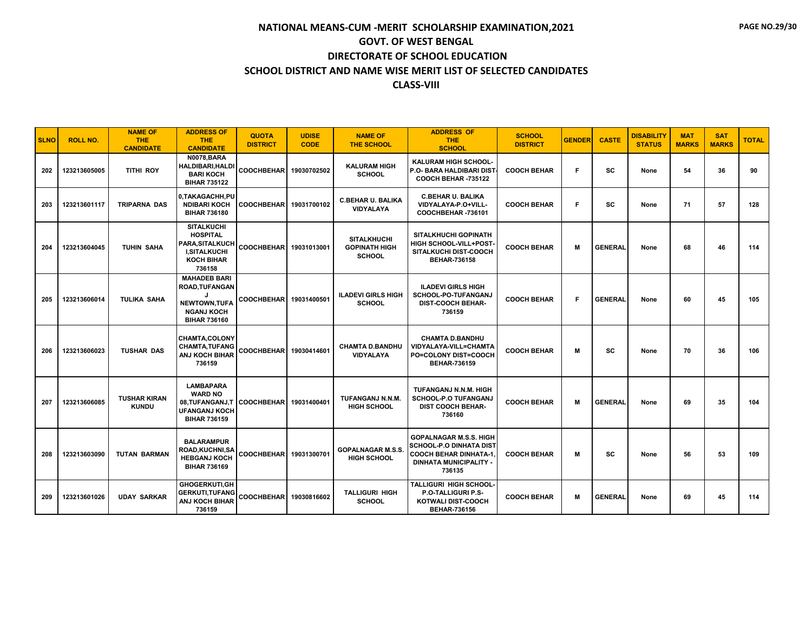| <b>SLNO</b> | <b>ROLL NO.</b> | <b>NAME OF</b><br>THE.<br><b>CANDIDATE</b> | <b>ADDRESS OF</b><br>THE.<br><b>CANDIDATE</b>                                                                 | <b>QUOTA</b><br><b>DISTRICT</b> | <b>UDISE</b><br><b>CODE</b> | <b>NAME OF</b><br><b>THE SCHOOL</b>                         | <b>ADDRESS OF</b><br><b>THE</b><br><b>SCHOOL</b>                                                                                           | <b>SCHOOL</b><br><b>DISTRICT</b> | <b>GENDER</b> | <b>CASTE</b>   | <b>DISABILITY</b><br><b>STATUS</b> | <b>MAT</b><br><b>MARKS</b> | <b>SAT</b><br><b>MARKS</b> | <b>TOTAL</b> |
|-------------|-----------------|--------------------------------------------|---------------------------------------------------------------------------------------------------------------|---------------------------------|-----------------------------|-------------------------------------------------------------|--------------------------------------------------------------------------------------------------------------------------------------------|----------------------------------|---------------|----------------|------------------------------------|----------------------------|----------------------------|--------------|
| 202         | 123213605005    | <b>TITHI ROY</b>                           | <b>N0078.BARA</b><br>HALDIBARI, HALDI<br><b>BARI KOCH</b><br><b>BIHAR 735122</b>                              | <b>COOCHBEHAR</b>               | 19030702502                 | <b>KALURAM HIGH</b><br><b>SCHOOL</b>                        | <b>KALURAM HIGH SCHOOL</b><br>P.O- BARA HALDIBARI DIST<br><b>COOCH BEHAR -735122</b>                                                       | <b>COOCH BEHAR</b>               | F.            | <b>SC</b>      | None                               | 54                         | 36                         | 90           |
| 203         | 123213601117    | <b>TRIPARNA DAS</b>                        | 0,TAKAGACHH,PU<br><b>NDIBARI KOCH</b><br><b>BIHAR 736180</b>                                                  | <b>COOCHBEHAR</b>               | 19031700102                 | <b>C.BEHAR U. BALIKA</b><br>VIDYALAYA                       | <b>C.BEHAR U. BALIKA</b><br>VIDYALAYA-P.O+VILL-<br>COOCHBEHAR-736101                                                                       | <b>COOCH BEHAR</b>               | F.            | SC             | None                               | 71                         | 57                         | 128          |
| 204         | 123213604045    | <b>TUHIN SAHA</b>                          | <b>SITALKUCHI</b><br><b>HOSPITAL</b><br>PARA, SITALKUCH<br><b>I,SITALKUCHI</b><br><b>KOCH BIHAR</b><br>736158 | <b>COOCHBEHAR</b>               | 19031013001                 | <b>SITALKHUCHI</b><br><b>GOPINATH HIGH</b><br><b>SCHOOL</b> | <b>SITALKHUCHI GOPINATH</b><br>HIGH SCHOOL-VILL+POST-<br>SITALKUCHI DIST-COOCH<br><b>BEHAR-736158</b>                                      | <b>COOCH BEHAR</b>               | М             | <b>GENERAL</b> | None                               | 68                         | 46                         | 114          |
| 205         | 123213606014    | TULIKA SAHA                                | <b>MAHADEB BARI</b><br><b>ROAD, TUFANGAN</b><br>NEWTOWN, TUFA<br><b>NGANJ KOCH</b><br><b>BIHAR 736160</b>     | <b>COOCHBEHAR</b>               | 19031400501                 | <b>ILADEVI GIRLS HIGH</b><br><b>SCHOOL</b>                  | <b>ILADEVI GIRLS HIGH</b><br>SCHOOL-PO-TUFANGANJ<br><b>DIST-COOCH BEHAR-</b><br>736159                                                     | <b>COOCH BEHAR</b>               | F.            | <b>GENERAL</b> | None                               | 60                         | 45                         | 105          |
| 206         | 123213606023    | <b>TUSHAR DAS</b>                          | CHAMTA,COLONY<br><b>CHAMTA, TUFANG</b><br><b>ANJ KOCH BIHAR</b><br>736159                                     | <b>COOCHBEHAR</b>               | 19030414601                 | <b>CHAMTA D.BANDHU</b><br><b>VIDYALAYA</b>                  | <b>CHAMTA D.BANDHU</b><br>VIDYALAYA-VILL=CHAMTA<br><b>PO=COLONY DIST=COOCH</b><br><b>BEHAR-736159</b>                                      | <b>COOCH BEHAR</b>               | М             | SC             | None                               | 70                         | 36                         | 106          |
| 207         | 123213606085    | <b>TUSHAR KIRAN</b><br><b>KUNDU</b>        | <b>LAMBAPARA</b><br><b>WARD NO</b><br>08, TUFANGANJ, T<br><b>UFANGANJ KOCH</b><br><b>BIHAR 736159</b>         | <b>COOCHBEHAR</b>               | 19031400401                 | <b>TUFANGANJ N.N.M.</b><br><b>HIGH SCHOOL</b>               | TUFANGANJ N.N.M. HIGH<br><b>SCHOOL-P.O TUFANGANJ</b><br><b>DIST COOCH BEHAR-</b><br>736160                                                 | <b>COOCH BEHAR</b>               | М             | <b>GENERAL</b> | None                               | 69                         | 35                         | 104          |
| 208         | 123213603090    | <b>TUTAN BARMAN</b>                        | <b>BALARAMPUR</b><br>ROAD,KUCHNI,SA<br><b>HEBGANJ KOCH</b><br><b>BIHAR 736169</b>                             | COOCHBEHAR 19031300701          |                             | <b>GOPALNAGAR M.S.S.</b><br><b>HIGH SCHOOL</b>              | <b>GOPALNAGAR M.S.S. HIGH</b><br><b>SCHOOL-P.O DINHATA DIST</b><br><b>COOCH BEHAR DINHATA-1</b><br><b>DINHATA MUNICIPALITY -</b><br>736135 | <b>COOCH BEHAR</b>               | М             | sc             | None                               | 56                         | 53                         | 109          |
| 209         | 123213601026    | <b>UDAY SARKAR</b>                         | <b>GHOGERKUTI,GH</b><br><b>GERKUTI,TUFANG</b><br><b>ANJ KOCH BIHAR</b><br>736159                              | <b>COOCHBEHAR</b>               | 19030816602                 | <b>TALLIGURI HIGH</b><br><b>SCHOOL</b>                      | TALLIGURI HIGH SCHOOL-<br><b>P.O-TALLIGURI P.S-</b><br>KOTWALI DIST-COOCH<br><b>BEHAR-736156</b>                                           | <b>COOCH BEHAR</b>               | М             | <b>GENERAL</b> | None                               | 69                         | 45                         | 114          |